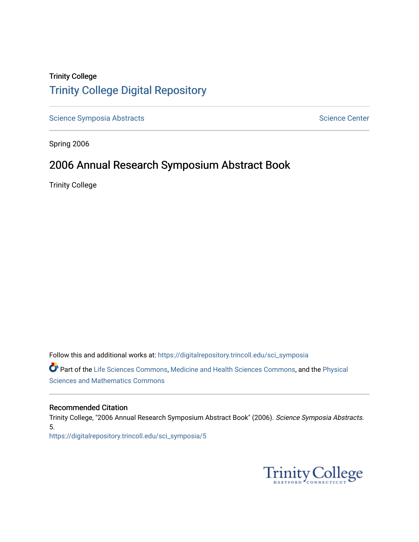## Trinity College [Trinity College Digital Repository](https://digitalrepository.trincoll.edu/)

[Science Symposia Abstracts](https://digitalrepository.trincoll.edu/sci_symposia) **Science Center** Science Center

Spring 2006

## 2006 Annual Research Symposium Abstract Book

Trinity College

Follow this and additional works at: [https://digitalrepository.trincoll.edu/sci\\_symposia](https://digitalrepository.trincoll.edu/sci_symposia?utm_source=digitalrepository.trincoll.edu%2Fsci_symposia%2F5&utm_medium=PDF&utm_campaign=PDFCoverPages)  Part of the [Life Sciences Commons,](http://network.bepress.com/hgg/discipline/1016?utm_source=digitalrepository.trincoll.edu%2Fsci_symposia%2F5&utm_medium=PDF&utm_campaign=PDFCoverPages) [Medicine and Health Sciences Commons,](http://network.bepress.com/hgg/discipline/648?utm_source=digitalrepository.trincoll.edu%2Fsci_symposia%2F5&utm_medium=PDF&utm_campaign=PDFCoverPages) and the [Physical](http://network.bepress.com/hgg/discipline/114?utm_source=digitalrepository.trincoll.edu%2Fsci_symposia%2F5&utm_medium=PDF&utm_campaign=PDFCoverPages)  [Sciences and Mathematics Commons](http://network.bepress.com/hgg/discipline/114?utm_source=digitalrepository.trincoll.edu%2Fsci_symposia%2F5&utm_medium=PDF&utm_campaign=PDFCoverPages) 

#### Recommended Citation

Trinity College, "2006 Annual Research Symposium Abstract Book" (2006). Science Symposia Abstracts. 5. [https://digitalrepository.trincoll.edu/sci\\_symposia/5](https://digitalrepository.trincoll.edu/sci_symposia/5?utm_source=digitalrepository.trincoll.edu%2Fsci_symposia%2F5&utm_medium=PDF&utm_campaign=PDFCoverPages) 

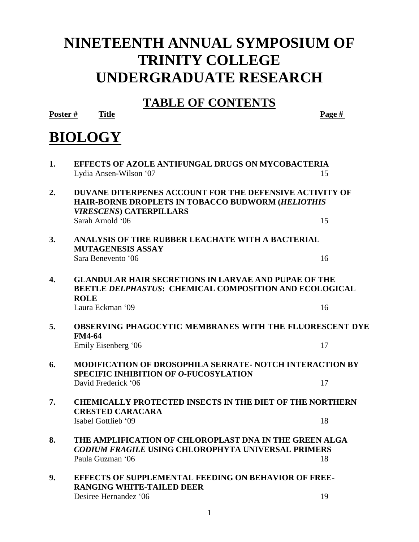## **NINETEENTH ANNUAL SYMPOSIUM OF TRINITY COLLEGE UNDERGRADUATE RESEARCH**

## **TABLE OF CONTENTS**

**Poster # Title Page #**

## **BIOLOGY**

| 1. | <b>EFFECTS OF AZOLE ANTIFUNGAL DRUGS ON MYCOBACTERIA</b><br>Lydia Ansen-Wilson '07                                                                    | 15 |  |
|----|-------------------------------------------------------------------------------------------------------------------------------------------------------|----|--|
| 2. | <b>DUVANE DITERPENES ACCOUNT FOR THE DEFENSIVE ACTIVITY OF</b><br>HAIR-BORNE DROPLETS IN TOBACCO BUDWORM (HELIOTHIS<br><b>VIRESCENS) CATERPILLARS</b> |    |  |
|    | Sarah Arnold '06                                                                                                                                      | 15 |  |
| 3. | ANALYSIS OF TIRE RUBBER LEACHATE WITH A BACTERIAL<br><b>MUTAGENESIS ASSAY</b>                                                                         |    |  |
|    | Sara Benevento '06                                                                                                                                    | 16 |  |
| 4. | <b>GLANDULAR HAIR SECRETIONS IN LARVAE AND PUPAE OF THE</b><br><b>BEETLE DELPHASTUS: CHEMICAL COMPOSITION AND ECOLOGICAL</b><br><b>ROLE</b>           |    |  |
|    | Laura Eckman '09                                                                                                                                      | 16 |  |
| 5. | OBSERVING PHAGOCYTIC MEMBRANES WITH THE FLUORESCENT DYE<br><b>FM4-64</b>                                                                              |    |  |
|    | Emily Eisenberg '06                                                                                                                                   | 17 |  |
| 6. | <b>MODIFICATION OF DROSOPHILA SERRATE- NOTCH INTERACTION BY</b><br><b>SPECIFIC INHIBITION OF O-FUCOSYLATION</b>                                       |    |  |
|    | David Frederick '06                                                                                                                                   | 17 |  |
| 7. | <b>CHEMICALLY PROTECTED INSECTS IN THE DIET OF THE NORTHERN</b><br><b>CRESTED CARACARA</b>                                                            |    |  |
|    | Isabel Gottlieb '09                                                                                                                                   | 18 |  |
| 8. | THE AMPLIFICATION OF CHLOROPLAST DNA IN THE GREEN ALGA<br>CODIUM FRAGILE USING CHLOROPHYTA UNIVERSAL PRIMERS                                          |    |  |
|    | Paula Guzman '06                                                                                                                                      | 18 |  |
| 9. | <b>EFFECTS OF SUPPLEMENTAL FEEDING ON BEHAVIOR OF FREE-</b><br><b>RANGING WHITE-TAILED DEER</b>                                                       |    |  |
|    | Desiree Hernandez '06                                                                                                                                 | 19 |  |
|    |                                                                                                                                                       |    |  |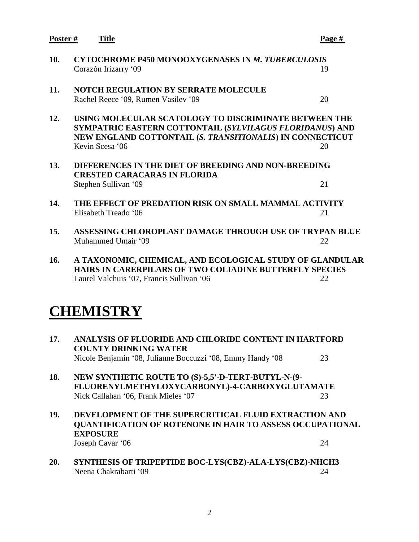**Poster # Title Page # 10. CYTOCHROME P450 MONOOXYGENASES IN** *M. TUBERCULOSIS* Corazón Irizarry '09 19 **11. NOTCH REGULATION BY SERRATE MOLECULE** Rachel Reece '09, Rumen Vasilev '09 20 **12. USING MOLECULAR SCATOLOGY TO DISCRIMINATE BETWEEN THE SYMPATRIC EASTERN COTTONTAIL (***SYLVILAGUS FLORIDANUS***) AND NEW ENGLAND COTTONTAIL (***S. TRANSITIONALIS***) IN CONNECTICUT** Kevin Scesa '06 20 **13. DIFFERENCES IN THE DIET OF BREEDING AND NON-BREEDING CRESTED CARACARAS IN FLORIDA**  Stephen Sullivan '09 21 **14. THE EFFECT OF PREDATION RISK ON SMALL MAMMAL ACTIVITY** Elisabeth Treado '06 21 **15. ASSESSING CHLOROPLAST DAMAGE THROUGH USE OF TRYPAN BLUE** Muhammed Umair '09 22 **16. A TAXONOMIC, CHEMICAL, AND ECOLOGICAL STUDY OF GLANDULAR HAIRS IN CARERPILARS OF TWO COLIADINE BUTTERFLY SPECIES** Laurel Valchuis '07, Francis Sullivan '06 22 **CHEMISTRY 17. ANALYSIS OF FLUORIDE AND CHLORIDE CONTENT IN HARTFORD COUNTY DRINKING WATER** Nicole Benjamin '08, Julianne Boccuzzi '08, Emmy Handy '08 23

- **18. NEW SYNTHETIC ROUTE TO (S)-5,5'-D-TERT-BUTYL-N-(9- FLUORENYLMETHYLOXYCARBONYL)-4-CARBOXYGLUTAMATE** Nick Callahan '06, Frank Mieles '07 23
- **19. DEVELOPMENT OF THE SUPERCRITICAL FLUID EXTRACTION AND QUANTIFICATION OF ROTENONE IN HAIR TO ASSESS OCCUPATIONAL EXPOSURE** Joseph Cavar '06 24
- **20. SYNTHESIS OF TRIPEPTIDE BOC-LYS(CBZ)-ALA-LYS(CBZ)-NHCH3** Neena Chakrabarti '09 24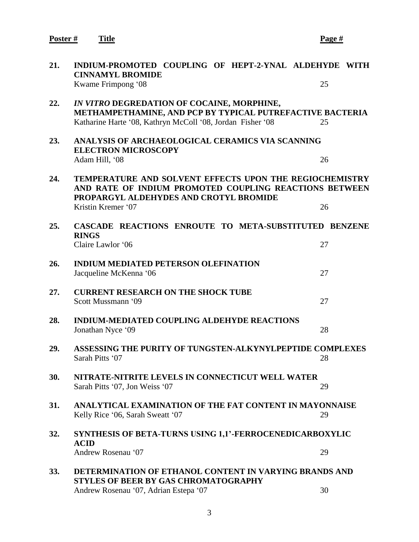**Poster # Title Page #**

| 21. | INDIUM-PROMOTED COUPLING OF HEPT-2-YNAL ALDEHYDE WITH<br><b>CINNAMYL BROMIDE</b>                                                                                                  |    |
|-----|-----------------------------------------------------------------------------------------------------------------------------------------------------------------------------------|----|
|     | Kwame Frimpong '08                                                                                                                                                                | 25 |
| 22. | IN VITRO DEGREDATION OF COCAINE, MORPHINE,<br>METHAMPETHAMINE, AND PCP BY TYPICAL PUTREFACTIVE BACTERIA<br>Katharine Harte '08, Kathryn McColl '08, Jordan Fisher '08             | 25 |
| 23. | ANALYSIS OF ARCHAEOLOGICAL CERAMICS VIA SCANNING<br><b>ELECTRON MICROSCOPY</b><br>Adam Hill, '08                                                                                  | 26 |
| 24. | TEMPERATURE AND SOLVENT EFFECTS UPON THE REGIOCHEMISTRY<br>AND RATE OF INDIUM PROMOTED COUPLING REACTIONS BETWEEN<br>PROPARGYL ALDEHYDES AND CROTYL BROMIDE<br>Kristin Kremer '07 | 26 |
|     |                                                                                                                                                                                   |    |
| 25. | CASCADE REACTIONS ENROUTE TO META-SUBSTITUTED BENZENE<br><b>RINGS</b>                                                                                                             |    |
|     | Claire Lawlor '06                                                                                                                                                                 | 27 |
| 26. | <b>INDIUM MEDIATED PETERSON OLEFINATION</b><br>Jacqueline McKenna '06                                                                                                             | 27 |
| 27. | <b>CURRENT RESEARCH ON THE SHOCK TUBE</b><br>Scott Mussmann '09                                                                                                                   | 27 |
| 28. | <b>INDIUM-MEDIATED COUPLING ALDEHYDE REACTIONS</b><br>Jonathan Nyce '09                                                                                                           | 28 |
| 29. | ASSESSING THE PURITY OF TUNGSTEN-ALKYNYLPEPTIDE COMPLEXES<br>Sarah Pitts '07                                                                                                      | 28 |
| 30. | NITRATE-NITRITE LEVELS IN CONNECTICUT WELL WATER<br>Sarah Pitts '07, Jon Weiss '07                                                                                                | 29 |
| 31. | ANALYTICAL EXAMINATION OF THE FAT CONTENT IN MAYONNAISE<br>Kelly Rice '06, Sarah Sweatt '07                                                                                       | 29 |
| 32. | SYNTHESIS OF BETA-TURNS USING 1,1'-FERROCENEDICARBOXYLIC<br><b>ACID</b>                                                                                                           |    |
|     | Andrew Rosenau '07                                                                                                                                                                | 29 |
| 33. | DETERMINATION OF ETHANOL CONTENT IN VARYING BRANDS AND<br><b>STYLES OF BEER BY GAS CHROMATOGRAPHY</b>                                                                             |    |
|     | Andrew Rosenau '07, Adrian Estepa '07                                                                                                                                             | 30 |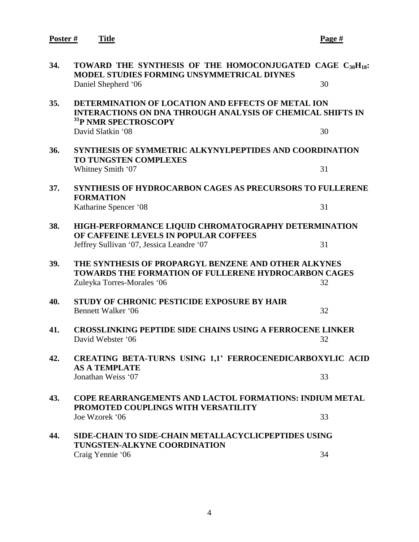**Poster # Title Page #**

| 34. | TOWARD THE SYNTHESIS OF THE HOMOCONJUGATED CAGE $C_{30}H_{18}$ :<br><b>MODEL STUDIES FORMING UNSYMMETRICAL DIYNES</b><br>Daniel Shepherd '06                | 30 |
|-----|-------------------------------------------------------------------------------------------------------------------------------------------------------------|----|
| 35. | DETERMINATION OF LOCATION AND EFFECTS OF METAL ION<br><b>INTERACTIONS ON DNA THROUGH ANALYSIS OF CHEMICAL SHIFTS IN</b><br><sup>31</sup> P NMR SPECTROSCOPY |    |
|     | David Slatkin '08                                                                                                                                           | 30 |
| 36. | <b>SYNTHESIS OF SYMMETRIC ALKYNYLPEPTIDES AND COORDINATION</b><br><b>TO TUNGSTEN COMPLEXES</b>                                                              |    |
|     | Whitney Smith '07                                                                                                                                           | 31 |
| 37. | <b>SYNTHESIS OF HYDROCARBON CAGES AS PRECURSORS TO FULLERENE</b><br><b>FORMATION</b>                                                                        |    |
|     | Katharine Spencer '08                                                                                                                                       | 31 |
| 38. | HIGH-PERFORMANCE LIQUID CHROMATOGRAPHY DETERMINATION<br>OF CAFFEINE LEVELS IN POPULAR COFFEES                                                               |    |
|     | Jeffrey Sullivan '07, Jessica Leandre '07                                                                                                                   | 31 |
| 39. | THE SYNTHESIS OF PROPARGYL BENZENE AND OTHER ALKYNES<br>TOWARDS THE FORMATION OF FULLERENE HYDROCARBON CAGES                                                |    |
|     | Zuleyka Torres-Morales '06                                                                                                                                  | 32 |
| 40. | STUDY OF CHRONIC PESTICIDE EXPOSURE BY HAIR<br>Bennett Walker '06                                                                                           | 32 |
| 41. | <b>CROSSLINKING PEPTIDE SIDE CHAINS USING A FERROCENE LINKER</b><br>David Webster '06                                                                       | 32 |
| 42. | CREATING BETA-TURNS USING 1,1' FERROCENEDICARBOXYLIC ACID<br><b>AS A TEMPLATE</b>                                                                           |    |
|     | Jonathan Weiss '07                                                                                                                                          | 33 |
| 43. | <b>COPE REARRANGEMENTS AND LACTOL FORMATIONS: INDIUM METAL</b><br>PROMOTED COUPLINGS WITH VERSATILITY                                                       |    |
|     | Joe Wzorek '06                                                                                                                                              | 33 |
| 44. | SIDE-CHAIN TO SIDE-CHAIN METALLACYCLICPEPTIDES USING<br>TUNGSTEN-ALKYNE COORDINATION                                                                        |    |
|     | Craig Yennie '06                                                                                                                                            | 34 |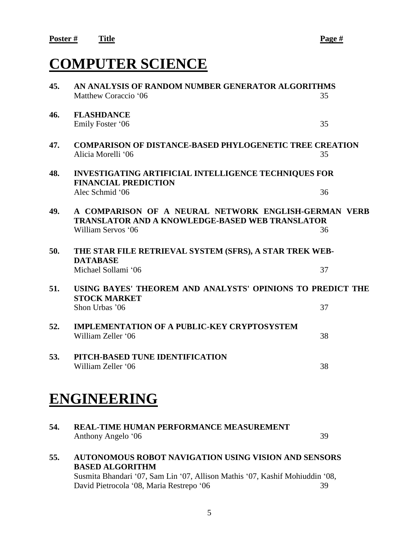## **COMPUTER SCIENCE**

| 45. | AN ANALYSIS OF RANDOM NUMBER GENERATOR ALGORITHMS                                                                                    |    |  |
|-----|--------------------------------------------------------------------------------------------------------------------------------------|----|--|
|     | Matthew Coraccio '06                                                                                                                 | 35 |  |
| 46. | <b>FLASHDANCE</b><br>Emily Foster '06                                                                                                | 35 |  |
| 47. | <b>COMPARISON OF DISTANCE-BASED PHYLOGENETIC TREE CREATION</b>                                                                       |    |  |
|     | Alicia Morelli '06                                                                                                                   | 35 |  |
| 48. | <b>INVESTIGATING ARTIFICIAL INTELLIGENCE TECHNIQUES FOR</b><br><b>FINANCIAL PREDICTION</b>                                           |    |  |
|     | Alec Schmid '06                                                                                                                      | 36 |  |
| 49. | A COMPARISON OF A NEURAL NETWORK ENGLISH-GERMAN VERB<br><b>TRANSLATOR AND A KNOWLEDGE-BASED WEB TRANSLATOR</b><br>William Servos '06 | 36 |  |
|     |                                                                                                                                      |    |  |
| 50. | THE STAR FILE RETRIEVAL SYSTEM (SFRS), A STAR TREK WEB-<br><b>DATABASE</b>                                                           |    |  |
|     | Michael Sollami '06                                                                                                                  | 37 |  |
| 51. | USING BAYES' THEOREM AND ANALYSTS' OPINIONS TO PREDICT THE<br><b>STOCK MARKET</b>                                                    |    |  |
|     | Shon Urbas '06                                                                                                                       | 37 |  |
| 52. | <b>IMPLEMENTATION OF A PUBLIC-KEY CRYPTOSYSTEM</b><br>William Zeller '06                                                             | 38 |  |
| 53. | PITCH-BASED TUNE IDENTIFICATION<br>William Zeller '06                                                                                | 38 |  |
|     | <b>ENGINEERING</b>                                                                                                                   |    |  |
| 54. | <b>REAL-TIME HUMAN PERFORMANCE MEASUREMENT</b><br>Anthony Angelo '06                                                                 | 39 |  |

**55. AUTONOMOUS ROBOT NAVIGATION USING VISION AND SENSORS BASED ALGORITHM** Susmita Bhandari '07, Sam Lin '07, Allison Mathis '07, Kashif Mohiuddin '08, David Pietrocola '08, Maria Restrepo '06 39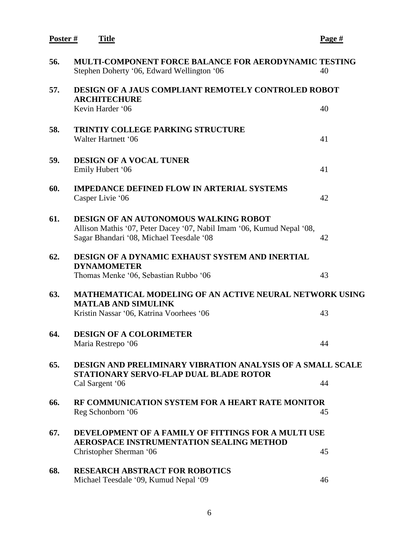| Poster# | <u>Title</u>                                                                                                                                               | <u>Page #</u> |
|---------|------------------------------------------------------------------------------------------------------------------------------------------------------------|---------------|
| 56.     | <b>MULTI-COMPONENT FORCE BALANCE FOR AERODYNAMIC TESTING</b><br>Stephen Doherty '06, Edward Wellington '06                                                 | 40            |
| 57.     | <b>DESIGN OF A JAUS COMPLIANT REMOTELY CONTROLED ROBOT</b><br><b>ARCHITECHURE</b>                                                                          |               |
|         | Kevin Harder '06                                                                                                                                           | 40            |
| 58.     | <b>TRINTIY COLLEGE PARKING STRUCTURE</b><br>Walter Hartnett '06                                                                                            | 41            |
| 59.     | <b>DESIGN OF A VOCAL TUNER</b><br>Emily Hubert '06                                                                                                         | 41            |
| 60.     | <b>IMPEDANCE DEFINED FLOW IN ARTERIAL SYSTEMS</b><br>Casper Livie '06                                                                                      | 42            |
| 61.     | DESIGN OF AN AUTONOMOUS WALKING ROBOT<br>Allison Mathis '07, Peter Dacey '07, Nabil Imam '06, Kumud Nepal '08,<br>Sagar Bhandari '08, Michael Teesdale '08 | 42            |
| 62.     | DESIGN OF A DYNAMIC EXHAUST SYSTEM AND INERTIAL<br><b>DYNAMOMETER</b><br>Thomas Menke '06, Sebastian Rubbo '06                                             | 43            |
| 63.     | <b>MATHEMATICAL MODELING OF AN ACTIVE NEURAL NETWORK USING</b><br><b>MATLAB AND SIMULINK</b>                                                               |               |
|         | Kristin Nassar '06, Katrina Voorhees '06                                                                                                                   | 43            |
| 64.     | <b>DESIGN OF A COLORIMETER</b><br>Maria Restrepo '06                                                                                                       | 44            |
| 65.     | <b>DESIGN AND PRELIMINARY VIBRATION ANALYSIS OF A SMALL SCALE</b><br>STATIONARY SERVO-FLAP DUAL BLADE ROTOR                                                |               |
|         | Cal Sargent '06                                                                                                                                            | 44            |
| 66.     | RF COMMUNICATION SYSTEM FOR A HEART RATE MONITOR<br>Reg Schonborn '06                                                                                      | 45            |
| 67.     | DEVELOPMENT OF A FAMILY OF FITTINGS FOR A MULTI USE<br><b>AEROSPACE INSTRUMENTATION SEALING METHOD</b>                                                     |               |
|         | Christopher Sherman '06                                                                                                                                    | 45            |
| 68.     | <b>RESEARCH ABSTRACT FOR ROBOTICS</b><br>Michael Teesdale '09, Kumud Nepal '09                                                                             | 46            |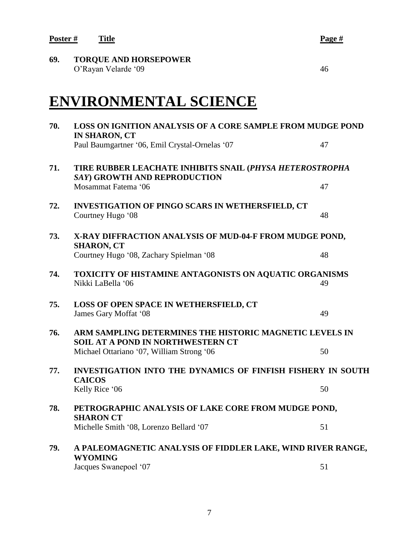**Poster # Title Page #**

**69. TORQUE AND HORSEPOWER** O'Rayan Velarde '09 46

## **ENVIRONMENTAL SCIENCE**

| 70. | <b>LOSS ON IGNITION ANALYSIS OF A CORE SAMPLE FROM MUDGE POND</b><br><b>IN SHARON, CT</b>           |    |  |
|-----|-----------------------------------------------------------------------------------------------------|----|--|
|     | Paul Baumgartner '06, Emil Crystal-Ornelas '07                                                      | 47 |  |
| 71. | TIRE RUBBER LEACHATE INHIBITS SNAIL (PHYSA HETEROSTROPHA<br>SAY) GROWTH AND REPRODUCTION            |    |  |
|     | Mosammat Fatema '06                                                                                 | 47 |  |
| 72. | <b>INVESTIGATION OF PINGO SCARS IN WETHERSFIELD, CT</b><br>Courtney Hugo '08                        | 48 |  |
| 73. | X-RAY DIFFRACTION ANALYSIS OF MUD-04-F FROM MUDGE POND,<br><b>SHARON, CT</b>                        |    |  |
|     | Courtney Hugo '08, Zachary Spielman '08                                                             | 48 |  |
| 74. | TOXICITY OF HISTAMINE ANTAGONISTS ON AQUATIC ORGANISMS<br>Nikki LaBella '06                         | 49 |  |
| 75. | LOSS OF OPEN SPACE IN WETHERSFIELD, CT<br>James Gary Moffat '08                                     | 49 |  |
| 76. | ARM SAMPLING DETERMINES THE HISTORIC MAGNETIC LEVELS IN<br><b>SOIL AT A POND IN NORTHWESTERN CT</b> |    |  |
|     | Michael Ottariano '07, William Strong '06                                                           | 50 |  |
| 77. | <b>INVESTIGATION INTO THE DYNAMICS OF FINFISH FISHERY IN SOUTH</b><br><b>CAICOS</b>                 |    |  |
|     | Kelly Rice '06                                                                                      | 50 |  |
| 78. | PETROGRAPHIC ANALYSIS OF LAKE CORE FROM MUDGE POND,<br><b>SHARON CT</b>                             |    |  |
|     | Michelle Smith '08, Lorenzo Bellard '07                                                             | 51 |  |
| 79. | A PALEOMAGNETIC ANALYSIS OF FIDDLER LAKE, WIND RIVER RANGE,                                         |    |  |
|     | <b>WYOMING</b><br>Jacques Swanepoel '07                                                             | 51 |  |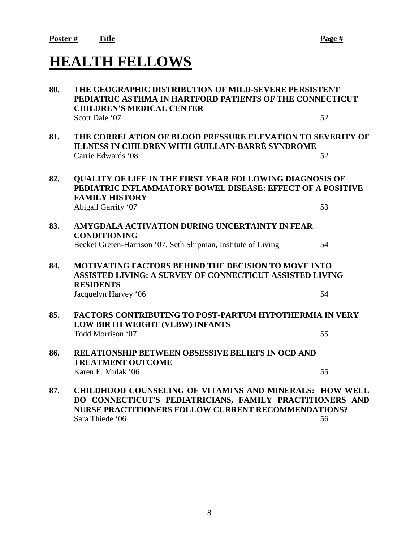## **HEALTH FELLOWS**

| 80. | THE GEOGRAPHIC DISTRIBUTION OF MILD-SEVERE PERSISTENT<br>PEDIATRIC ASTHMA IN HARTFORD PATIENTS OF THE CONNECTICUT                                                                                           |    |  |
|-----|-------------------------------------------------------------------------------------------------------------------------------------------------------------------------------------------------------------|----|--|
|     | <b>CHILDREN'S MEDICAL CENTER</b>                                                                                                                                                                            |    |  |
|     | Scott Dale '07                                                                                                                                                                                              | 52 |  |
| 81. | THE CORRELATION OF BLOOD PRESSURE ELEVATION TO SEVERITY OF<br>ILLNESS IN CHILDREN WITH GUILLAIN-BARRÉ SYNDROME                                                                                              |    |  |
|     | Carrie Edwards '08                                                                                                                                                                                          | 52 |  |
| 82. | QUALITY OF LIFE IN THE FIRST YEAR FOLLOWING DIAGNOSIS OF<br>PEDIATRIC INFLAMMATORY BOWEL DISEASE: EFFECT OF A POSITIVE<br><b>FAMILY HISTORY</b>                                                             |    |  |
|     | Abigail Garrity '07                                                                                                                                                                                         | 53 |  |
| 83. | AMYGDALA ACTIVATION DURING UNCERTAINTY IN FEAR<br><b>CONDITIONING</b>                                                                                                                                       |    |  |
|     | Becket Greten-Harrison '07, Seth Shipman, Institute of Living                                                                                                                                               | 54 |  |
| 84. | <b>MOTIVATING FACTORS BEHIND THE DECISION TO MOVE INTO</b><br><b>ASSISTED LIVING: A SURVEY OF CONNECTICUT ASSISTED LIVING</b><br><b>RESIDENTS</b>                                                           |    |  |
|     | Jacquelyn Harvey '06                                                                                                                                                                                        | 54 |  |
| 85. | <b>FACTORS CONTRIBUTING TO POST-PARTUM HYPOTHERMIA IN VERY</b><br>LOW BIRTH WEIGHT (VLBW) INFANTS                                                                                                           |    |  |
|     | Todd Morrison '07                                                                                                                                                                                           | 55 |  |
| 86. | RELATIONSHIP BETWEEN OBSESSIVE BELIEFS IN OCD AND<br><b>TREATMENT OUTCOME</b>                                                                                                                               |    |  |
|     | Karen E. Mulak '06                                                                                                                                                                                          | 55 |  |
| 87. | <b>CHILDHOOD COUNSELING OF VITAMINS AND MINERALS: HOW WELL</b><br>DO CONNECTICUT'S PEDIATRICIANS, FAMILY PRACTITIONERS AND<br><b>NURSE PRACTITIONERS FOLLOW CURRENT RECOMMENDATIONS?</b><br>Sara Thiede '06 | 56 |  |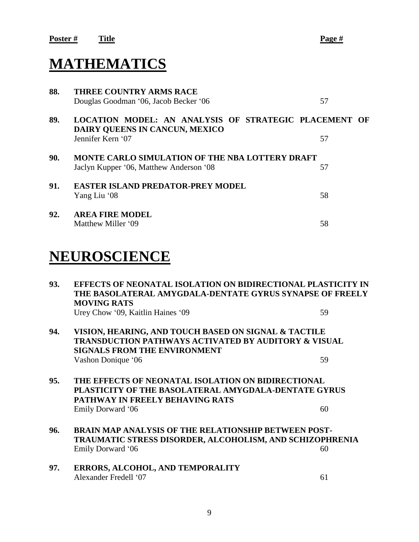## **MATHEMATICS**

| 88. | <b>THREE COUNTRY ARMS RACE</b><br>Douglas Goodman '06, Jacob Becker '06                                      | 57 |  |
|-----|--------------------------------------------------------------------------------------------------------------|----|--|
| 89. | LOCATION MODEL: AN ANALYSIS OF STRATEGIC PLACEMENT OF<br>DAIRY QUEENS IN CANCUN, MEXICO<br>Jennifer Kern '07 | 57 |  |
| 90. | <b>MONTE CARLO SIMULATION OF THE NBA LOTTERY DRAFT</b><br>Jaclyn Kupper '06, Matthew Anderson '08            | 57 |  |
| 91. | <b>EASTER ISLAND PREDATOR-PREY MODEL</b><br>Yang Liu '08                                                     | 58 |  |
| 92. | <b>AREA FIRE MODEL</b><br>Matthew Miller '09                                                                 | 58 |  |

## **NEUROSCIENCE**

| 93. | EFFECTS OF NEONATAL ISOLATION ON BIDIRECTIONAL PLASTICITY IN<br>THE BASOLATERAL AMYGDALA-DENTATE GYRUS SYNAPSE OF FREELY<br><b>MOVING RATS</b>                            |    |
|-----|---------------------------------------------------------------------------------------------------------------------------------------------------------------------------|----|
|     | Urey Chow '09, Kaitlin Haines '09                                                                                                                                         | 59 |
| 94. | VISION, HEARING, AND TOUCH BASED ON SIGNAL & TACTILE<br>TRANSDUCTION PATHWAYS ACTIVATED BY AUDITORY & VISUAL<br><b>SIGNALS FROM THE ENVIRONMENT</b>                       |    |
|     | Vashon Donique '06                                                                                                                                                        | 59 |
| 95. | THE EFFECTS OF NEONATAL ISOLATION ON BIDIRECTIONAL<br>PLASTICITY OF THE BASOLATERAL AMYGDALA-DENTATE GYRUS<br><b>PATHWAY IN FREELY BEHAVING RATS</b><br>Emily Dorward '06 | 60 |
| 96. | <b>BRAIN MAP ANALYSIS OF THE RELATIONSHIP BETWEEN POST-</b><br><b>TRAUMATIC STRESS DISORDER, ALCOHOLISM, AND SCHIZOPHRENIA</b><br>Emily Dorward '06                       | 60 |
| 97. | ERRORS, ALCOHOL, AND TEMPORALITY<br>Alexander Fredell '07                                                                                                                 | 61 |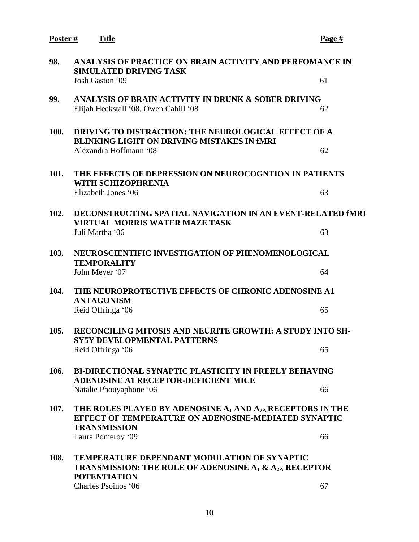**Poster # Title Page # 98. ANALYSIS OF PRACTICE ON BRAIN ACTIVITY AND PERFOMANCE IN SIMULATED DRIVING TASK** Josh Gaston '09 61 **99. ANALYSIS OF BRAIN ACTIVITY IN DRUNK & SOBER DRIVING** Elijah Heckstall '08, Owen Cahill '08 62 **100. DRIVING TO DISTRACTION: THE NEUROLOGICAL EFFECT OF A BLINKING LIGHT ON DRIVING MISTAKES IN fMRI**  Alexandra Hoffmann '08 62 **101. THE EFFECTS OF DEPRESSION ON NEUROCOGNTION IN PATIENTS WITH SCHIZOPHRENIA**  Elizabeth Jones '06 63 **102. DECONSTRUCTING SPATIAL NAVIGATION IN AN EVENT-RELATED fMRI VIRTUAL MORRIS WATER MAZE TASK** Juli Martha '06 63 **103. NEUROSCIENTIFIC INVESTIGATION OF PHENOMENOLOGICAL TEMPORALITY** John Meyer '07 64 **104. THE NEUROPROTECTIVE EFFECTS OF CHRONIC ADENOSINE A1 ANTAGONISM** Reid Offringa '06 65 **105. RECONCILING MITOSIS AND NEURITE GROWTH: A STUDY INTO SH-SY5Y DEVELOPMENTAL PATTERNS** Reid Offringa '06 65 **106. BI-DIRECTIONAL SYNAPTIC PLASTICITY IN FREELY BEHAVING ADENOSINE A1 RECEPTOR-DEFICIENT MICE** Natalie Phouyaphone '06 66 **107. THE ROLES PLAYED BY ADENOSINE A<sup>1</sup> AND A2A RECEPTORS IN THE EFFECT OF TEMPERATURE ON ADENOSINE-MEDIATED SYNAPTIC TRANSMISSION** Laura Pomeroy '09 66 **108. TEMPERATURE DEPENDANT MODULATION OF SYNAPTIC TRANSMISSION: THE ROLE OF ADENOSINE A<sup>1</sup> & A2A RECEPTOR POTENTIATION** Charles Psoinos '06 67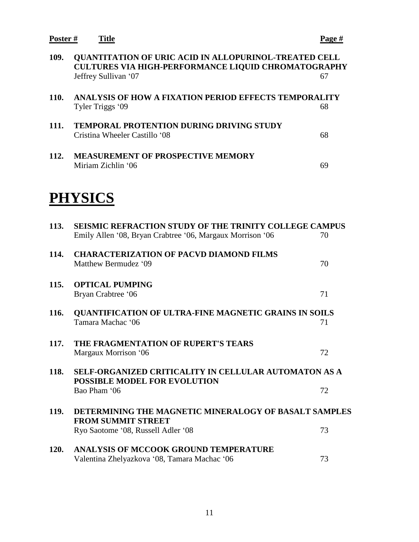**Poster # Title Page #**

| 109.        | QUANTITATION OF URIC ACID IN ALLOPURINOL-TREATED CELL<br><b>CULTURES VIA HIGH-PERFORMANCE LIQUID CHROMATOGRAPHY</b><br>Jeffrey Sullivan '07 | 67 |
|-------------|---------------------------------------------------------------------------------------------------------------------------------------------|----|
| 110.        | ANALYSIS OF HOW A FIXATION PERIOD EFFECTS TEMPORALITY<br>Tyler Triggs '09                                                                   | 68 |
| 111.        | <b>TEMPORAL PROTENTION DURING DRIVING STUDY</b><br>Cristina Wheeler Castillo '08                                                            | 68 |
| 112.        | <b>MEASUREMENT OF PROSPECTIVE MEMORY</b><br>Miriam Zichlin '06                                                                              | 69 |
|             | <b>PHYSICS</b>                                                                                                                              |    |
| 113.        | <b>SEISMIC REFRACTION STUDY OF THE TRINITY COLLEGE CAMPUS</b><br>Emily Allen '08, Bryan Crabtree '06, Margaux Morrison '06                  | 70 |
| 114.        | <b>CHARACTERIZATION OF PACVD DIAMOND FILMS</b><br>Matthew Bermudez '09                                                                      | 70 |
| 115.        | <b>OPTICAL PUMPING</b><br>Bryan Crabtree '06                                                                                                | 71 |
| <b>116.</b> | QUANTIFICATION OF ULTRA-FINE MAGNETIC GRAINS IN SOILS<br>Tamara Machac '06                                                                  | 71 |
| 117.        | THE FRAGMENTATION OF RUPERT'S TEARS<br>Margaux Morrison '06                                                                                 | 72 |
| <b>118.</b> | <b>SELF-ORGANIZED CRITICALITY IN CELLULAR AUTOMATON AS A</b><br>POSSIBLE MODEL FOR EVOLUTION                                                |    |
| <b>119.</b> | Bao Pham '06<br>DETERMINING THE MAGNETIC MINERALOGY OF BASALT SAMPLES                                                                       | 72 |
|             | <b>FROM SUMMIT STREET</b><br>Ryo Saotome '08, Russell Adler '08                                                                             | 73 |
| <b>120.</b> | ANALYSIS OF MCCOOK GROUND TEMPERATURE<br>Valentina Zhelyazkova '08, Tamara Machac '06                                                       | 73 |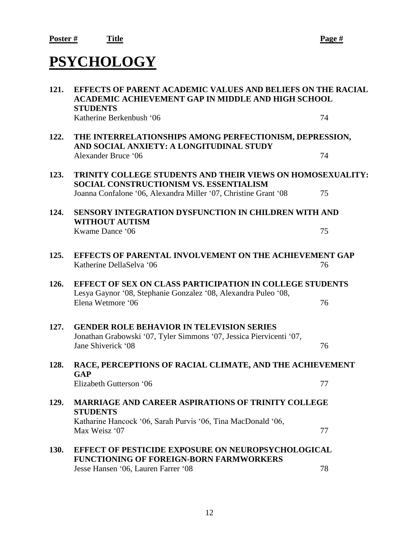## **PSYCHOLOGY**

| 121.        | <b>EFFECTS OF PARENT ACADEMIC VALUES AND BELIEFS ON THE RACIAL</b><br><b>ACADEMIC ACHIEVEMENT GAP IN MIDDLE AND HIGH SCHOOL</b><br><b>STUDENTS</b>                              |    |  |
|-------------|---------------------------------------------------------------------------------------------------------------------------------------------------------------------------------|----|--|
|             | Katherine Berkenbush '06                                                                                                                                                        | 74 |  |
| 122.        | THE INTERRELATIONSHIPS AMONG PERFECTIONISM, DEPRESSION,<br>AND SOCIAL ANXIETY: A LONGITUDINAL STUDY                                                                             |    |  |
|             | Alexander Bruce '06                                                                                                                                                             | 74 |  |
| 123.        | TRINITY COLLEGE STUDENTS AND THEIR VIEWS ON HOMOSEXUALITY:<br><b>SOCIAL CONSTRUCTIONISM VS. ESSENTIALISM</b><br>Joanna Confalone '06, Alexandra Miller '07, Christine Grant '08 | 75 |  |
|             |                                                                                                                                                                                 |    |  |
| 124.        | <b>SENSORY INTEGRATION DYSFUNCTION IN CHILDREN WITH AND</b><br><b>WITHOUT AUTISM</b>                                                                                            |    |  |
|             | Kwame Dance '06                                                                                                                                                                 | 75 |  |
| 125.        | EFFECTS OF PARENTAL INVOLVEMENT ON THE ACHIEVEMENT GAP                                                                                                                          |    |  |
|             | Katherine DellaSelva '06                                                                                                                                                        | 76 |  |
| 126.        | <b>EFFECT OF SEX ON CLASS PARTICIPATION IN COLLEGE STUDENTS</b><br>Lesya Gaynor '08, Stephanie Gonzalez '08, Alexandra Puleo '08,                                               |    |  |
|             | Elena Wetmore '06                                                                                                                                                               | 76 |  |
| 127.        | <b>GENDER ROLE BEHAVIOR IN TELEVISION SERIES</b>                                                                                                                                |    |  |
|             | Jonathan Grabowski '07, Tyler Simmons '07, Jessica Piervicenti '07,<br>Jane Shiverick '08                                                                                       | 76 |  |
| 128.        | RACE, PERCEPTIONS OF RACIAL CLIMATE, AND THE ACHIEVEMENT<br>GAP                                                                                                                 |    |  |
|             | Elizabeth Gutterson '06                                                                                                                                                         | 77 |  |
| 129.        | <b>MARRIAGE AND CAREER ASPIRATIONS OF TRINITY COLLEGE</b><br><b>STUDENTS</b>                                                                                                    |    |  |
|             | Katharine Hancock '06, Sarah Purvis '06, Tina MacDonald '06,<br>Max Weisz '07                                                                                                   | 77 |  |
| <b>130.</b> | <b>EFFECT OF PESTICIDE EXPOSURE ON NEUROPSYCHOLOGICAL</b><br><b>FUNCTIONING OF FOREIGN-BORN FARMWORKERS</b>                                                                     |    |  |
|             | Jesse Hansen '06, Lauren Farrer '08                                                                                                                                             | 78 |  |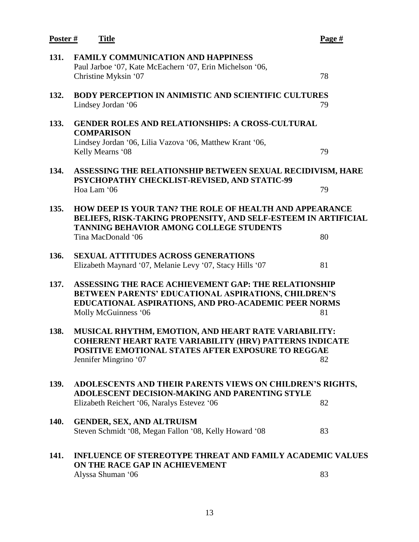| Poster $#$ | <b>Title</b>                                                                                                                                                                                          | Page # |
|------------|-------------------------------------------------------------------------------------------------------------------------------------------------------------------------------------------------------|--------|
| 131.       | <b>FAMILY COMMUNICATION AND HAPPINESS</b><br>Paul Jarboe '07, Kate McEachern '07, Erin Michelson '06,<br>Christine Myksin '07                                                                         | 78     |
| 132.       | <b>BODY PERCEPTION IN ANIMISTIC AND SCIENTIFIC CULTURES</b><br>Lindsey Jordan '06                                                                                                                     | 79     |
| 133.       | <b>GENDER ROLES AND RELATIONSHIPS: A CROSS-CULTURAL</b><br><b>COMPARISON</b>                                                                                                                          |        |
|            | Lindsey Jordan '06, Lilia Vazova '06, Matthew Krant '06,<br>Kelly Mearns '08                                                                                                                          | 79     |
| 134.       | ASSESSING THE RELATIONSHIP BETWEEN SEXUAL RECIDIVISM, HARE<br>PSYCHOPATHY CHECKLIST-REVISED, AND STATIC-99                                                                                            |        |
|            | Hoa Lam '06                                                                                                                                                                                           | 79     |
| 135.       | <b>HOW DEEP IS YOUR TAN? THE ROLE OF HEALTH AND APPEARANCE</b><br>BELIEFS, RISK-TAKING PROPENSITY, AND SELF-ESTEEM IN ARTIFICIAL<br>TANNING BEHAVIOR AMONG COLLEGE STUDENTS                           |        |
|            | Tina MacDonald '06                                                                                                                                                                                    | 80     |
| 136.       | <b>SEXUAL ATTITUDES ACROSS GENERATIONS</b><br>Elizabeth Maynard '07, Melanie Levy '07, Stacy Hills '07                                                                                                | 81     |
| 137.       | ASSESSING THE RACE ACHIEVEMENT GAP: THE RELATIONSHIP<br>BETWEEN PARENTS' EDUCATIONAL ASPIRATIONS, CHILDREN'S<br>EDUCATIONAL ASPIRATIONS, AND PRO-ACADEMIC PEER NORMS<br>Molly McGuinness '06          | 81     |
| 138.       | MUSICAL RHYTHM, EMOTION, AND HEART RATE VARIABILITY:<br><b>COHERENT HEART RATE VARIABILITY (HRV) PATTERNS INDICATE</b><br>POSITIVE EMOTIONAL STATES AFTER EXPOSURE TO REGGAE<br>Jennifer Mingrino '07 | 82     |
| 139.       | ADOLESCENTS AND THEIR PARENTS VIEWS ON CHILDREN'S RIGHTS,<br>ADOLESCENT DECISION-MAKING AND PARENTING STYLE<br>Elizabeth Reichert '06, Naralys Estevez '06                                            | 82     |
|            |                                                                                                                                                                                                       |        |
| 140.       | <b>GENDER, SEX, AND ALTRUISM</b><br>Steven Schmidt '08, Megan Fallon '08, Kelly Howard '08                                                                                                            | 83     |
| 141.       | <b>INFLUENCE OF STEREOTYPE THREAT AND FAMILY ACADEMIC VALUES</b><br>ON THE RACE GAP IN ACHIEVEMENT                                                                                                    |        |
|            | Alyssa Shuman '06                                                                                                                                                                                     | 83     |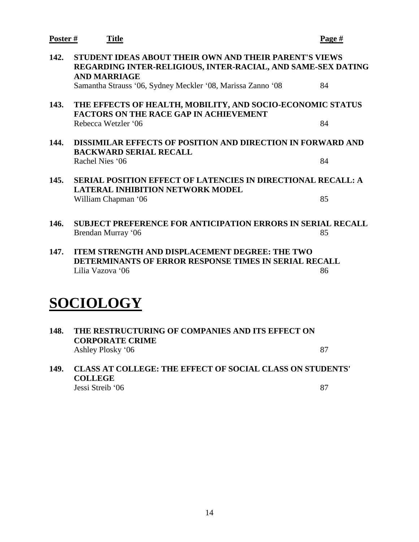| Poster#   | <b>Title</b>                                                                                                                                                                                                 | Page # |  |
|-----------|--------------------------------------------------------------------------------------------------------------------------------------------------------------------------------------------------------------|--------|--|
| 142.      | STUDENT IDEAS ABOUT THEIR OWN AND THEIR PARENT'S VIEWS<br>REGARDING INTER-RELIGIOUS, INTER-RACIAL, AND SAME-SEX DATING<br><b>AND MARRIAGE</b><br>Samantha Strauss '06, Sydney Meckler '08, Marissa Zanno '08 | 84     |  |
| 143.      | THE EFFECTS OF HEALTH, MOBILITY, AND SOCIO-ECONOMIC STATUS<br><b>FACTORS ON THE RACE GAP IN ACHIEVEMENT</b>                                                                                                  |        |  |
|           | Rebecca Wetzler '06                                                                                                                                                                                          | 84     |  |
| 144.      | DISSIMILAR EFFECTS OF POSITION AND DIRECTION IN FORWARD AND<br><b>BACKWARD SERIAL RECALL</b>                                                                                                                 |        |  |
|           | Rachel Nies '06                                                                                                                                                                                              | 84     |  |
| 145.      | <b>SERIAL POSITION EFFECT OF LATENCIES IN DIRECTIONAL RECALL: A</b><br><b>LATERAL INHIBITION NETWORK MODEL</b>                                                                                               |        |  |
|           | William Chapman '06                                                                                                                                                                                          | 85     |  |
| 146.      | <b>SUBJECT PREFERENCE FOR ANTICIPATION ERRORS IN SERIAL RECALL</b>                                                                                                                                           |        |  |
|           | Brendan Murray '06                                                                                                                                                                                           | 85     |  |
| 147.      | <b>ITEM STRENGTH AND DISPLACEMENT DEGREE: THE TWO</b><br>DETERMINANTS OF ERROR RESPONSE TIMES IN SERIAL RECALL                                                                                               |        |  |
|           | Lilia Vazova '06                                                                                                                                                                                             | 86     |  |
|           |                                                                                                                                                                                                              |        |  |
| SOCIOLOGY |                                                                                                                                                                                                              |        |  |
|           |                                                                                                                                                                                                              |        |  |

| 148. | THE RESTRUCTURING OF COMPANIES AND ITS EFFECT ON<br><b>CORPORATE CRIME</b> |    |
|------|----------------------------------------------------------------------------|----|
|      | Ashley Plosky '06                                                          | 87 |

**149. CLASS AT COLLEGE: THE EFFECT OF SOCIAL CLASS ON STUDENTS' COLLEGE**  Jessi Streib '06 87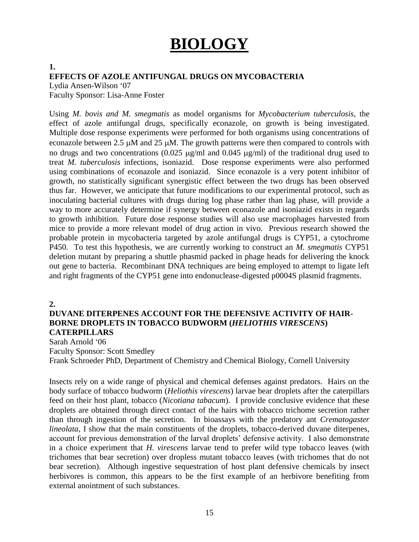# **BIOLOGY**

## **EFFECTS OF AZOLE ANTIFUNGAL DRUGS ON MYCOBACTERIA**

Lydia Ansen-Wilson '07 Faculty Sponsor: Lisa-Anne Foster

Using *M. bovis and M. smegmatis* as model organisms for *Mycobacterium tuberculosis,* the effect of azole antifungal drugs, specifically econazole, on growth is being investigated. Multiple dose response experiments were performed for both organisms using concentrations of econazole between 2.5  $\mu$ M and 25  $\mu$ M. The growth patterns were then compared to controls with no drugs and two concentrations (0.025  $\mu$ g/ml and 0.045  $\mu$ g/ml) of the traditional drug used to treat *M. tuberculosis* infections, isoniazid. Dose response experiments were also performed using combinations of econazole and isoniazid. Since econazole is a very potent inhibitor of growth, no statistically significant synergistic effect between the two drugs has been observed thus far. However, we anticipate that future modifications to our experimental protocol, such as inoculating bacterial cultures with drugs during log phase rather than lag phase, will provide a way to more accurately determine if synergy between econazole and isoniazid exists in regards to growth inhibition. Future dose response studies will also use macrophages harvested from mice to provide a more relevant model of drug action in vivo. Previous research showed the probable protein in mycobacteria targeted by azole antifungal drugs is CYP51, a cytochrome P450. To test this hypothesis, we are currently working to construct an *M. smegmatis* CYP51 deletion mutant by preparing a shuttle phasmid packed in phage heads for delivering the knock out gene to bacteria. Recombinant DNA techniques are being employed to attempt to ligate left and right fragments of the CYP51 gene into endonuclease-digested p0004S plasmid fragments.

### **2.**

**1.**

## **DUVANE DITERPENES ACCOUNT FOR THE DEFENSIVE ACTIVITY OF HAIR-BORNE DROPLETS IN TOBACCO BUDWORM (***HELIOTHIS VIRESCENS***) CATERPILLARS**

Sarah Arnold '06 Faculty Sponsor: Scott Smedley Frank Schroeder PhD, Department of Chemistry and Chemical Biology, Cornell University

Insects rely on a wide range of physical and chemical defenses against predators. Hairs on the body surface of tobacco budworm (*Heliothis virescens*) larvae bear droplets after the caterpillars feed on their host plant, tobacco (*Nicotiana tabacum*). I provide conclusive evidence that these droplets are obtained through direct contact of the hairs with tobacco trichome secretion rather than through ingestion of the secretion. In bioassays with the predatory ant *Crematogaster lineolata*, I show that the main constituents of the droplets, tobacco-derived duvane diterpenes, account for previous demonstration of the larval droplets' defensive activity. I also demonstrate in a choice experiment that *H. virescens* larvae tend to prefer wild type tobacco leaves (with trichomes that bear secretion) over dropless mutant tobacco leaves (with trichomes that do not bear secretion). Although ingestive sequestration of host plant defensive chemicals by insect herbivores is common, this appears to be the first example of an herbivore benefiting from external anointment of such substances.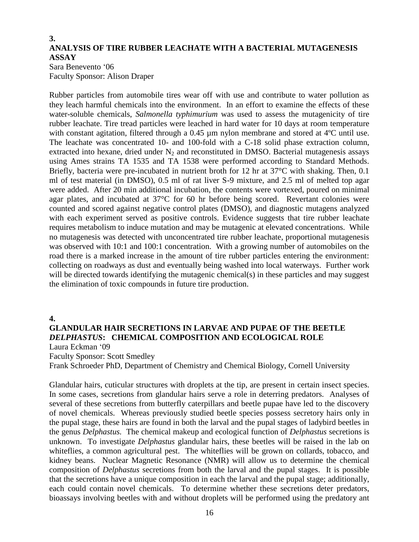## **3. ANALYSIS OF TIRE RUBBER LEACHATE WITH A BACTERIAL MUTAGENESIS ASSAY**

Sara Benevento '06 Faculty Sponsor: Alison Draper

Rubber particles from automobile tires wear off with use and contribute to water pollution as they leach harmful chemicals into the environment. In an effort to examine the effects of these water-soluble chemicals, *Salmonella typhimurium* was used to assess the mutagenicity of tire rubber leachate. Tire tread particles were leached in hard water for 10 days at room temperature with constant agitation, filtered through a 0.45 µm nylon membrane and stored at 4<sup>o</sup>C until use. The leachate was concentrated 10- and 100-fold with a C-18 solid phase extraction column, extracted into hexane, dried under  $N_2$  and reconstituted in DMSO. Bacterial mutagenesis assays using Ames strains TA 1535 and TA 1538 were performed according to Standard Methods. Briefly, bacteria were pre-incubated in nutrient broth for 12 hr at 37°C with shaking. Then, 0.1 ml of test material (in DMSO), 0.5 ml of rat liver S-9 mixture, and 2.5 ml of melted top agar were added. After 20 min additional incubation, the contents were vortexed, poured on minimal agar plates, and incubated at 37°C for 60 hr before being scored. Revertant colonies were counted and scored against negative control plates (DMSO), and diagnostic mutagens analyzed with each experiment served as positive controls. Evidence suggests that tire rubber leachate requires metabolism to induce mutation and may be mutagenic at elevated concentrations. While no mutagenesis was detected with unconcentrated tire rubber leachate, proportional mutagenesis was observed with 10:1 and 100:1 concentration. With a growing number of automobiles on the road there is a marked increase in the amount of tire rubber particles entering the environment: collecting on roadways as dust and eventually being washed into local waterways. Further work will be directed towards identifying the mutagenic chemical(s) in these particles and may suggest the elimination of toxic compounds in future tire production.

### **4.**

## **GLANDULAR HAIR SECRETIONS IN LARVAE AND PUPAE OF THE BEETLE**  *DELPHASTUS***: CHEMICAL COMPOSITION AND ECOLOGICAL ROLE**

Laura Eckman '09

Faculty Sponsor: Scott Smedley

Frank Schroeder PhD, Department of Chemistry and Chemical Biology, Cornell University

Glandular hairs, cuticular structures with droplets at the tip, are present in certain insect species. In some cases, secretions from glandular hairs serve a role in deterring predators. Analyses of several of these secretions from butterfly caterpillars and beetle pupae have led to the discovery of novel chemicals. Whereas previously studied beetle species possess secretory hairs only in the pupal stage, these hairs are found in both the larval and the pupal stages of ladybird beetles in the genus *Delphastus.* The chemical makeup and ecological function of *Delphastus* secretions is unknown. To investigate *Delphastus* glandular hairs, these beetles will be raised in the lab on whiteflies, a common agricultural pest. The whiteflies will be grown on collards, tobacco, and kidney beans. Nuclear Magnetic Resonance (NMR) will allow us to determine the chemical composition of *Delphastus* secretions from both the larval and the pupal stages. It is possible that the secretions have a unique composition in each the larval and the pupal stage; additionally, each could contain novel chemicals. To determine whether these secretions deter predators, bioassays involving beetles with and without droplets will be performed using the predatory ant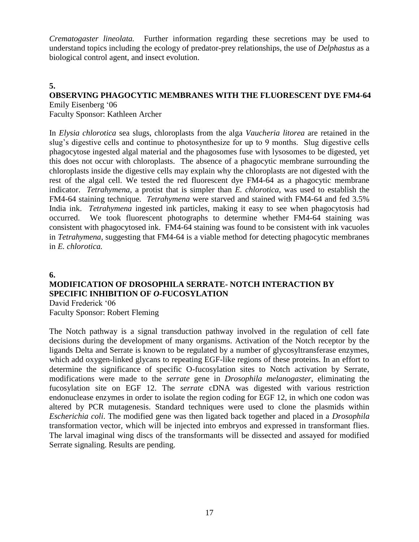*Crematogaster lineolata.* Further information regarding these secretions may be used to understand topics including the ecology of predator-prey relationships, the use of *Delphastus* as a biological control agent, and insect evolution.

## **5. OBSERVING PHAGOCYTIC MEMBRANES WITH THE FLUORESCENT DYE FM4-64**

Emily Eisenberg '06 Faculty Sponsor: Kathleen Archer

In *Elysia chlorotica* sea slugs, chloroplasts from the alga *Vaucheria litorea* are retained in the slug's digestive cells and continue to photosynthesize for up to 9 months. Slug digestive cells phagocytose ingested algal material and the phagosomes fuse with lysosomes to be digested, yet this does not occur with chloroplasts. The absence of a phagocytic membrane surrounding the chloroplasts inside the digestive cells may explain why the chloroplasts are not digested with the rest of the algal cell. We tested the red fluorescent dye FM4-64 as a phagocytic membrane indicator. *Tetrahymena*, a protist that is simpler than *E. chlorotica*, was used to establish the FM4-64 staining technique. *Tetrahymena* were starved and stained with FM4-64 and fed 3.5% India ink. *Tetrahymena* ingested ink particles, making it easy to see when phagocytosis had occurred. We took fluorescent photographs to determine whether FM4-64 staining was consistent with phagocytosed ink. FM4-64 staining was found to be consistent with ink vacuoles in *Tetrahymena*, suggesting that FM4-64 is a viable method for detecting phagocytic membranes in *E. chlorotica.*

**6.**

## **MODIFICATION OF DROSOPHILA SERRATE- NOTCH INTERACTION BY SPECIFIC INHIBITION OF** *O***-FUCOSYLATION**

David Frederick '06 Faculty Sponsor: Robert Fleming

The Notch pathway is a signal transduction pathway involved in the regulation of cell fate decisions during the development of many organisms. Activation of the Notch receptor by the ligands Delta and Serrate is known to be regulated by a number of glycosyltransferase enzymes, which add oxygen-linked glycans to repeating EGF-like regions of these proteins. In an effort to determine the significance of specific O-fucosylation sites to Notch activation by Serrate, modifications were made to the *serrate* gene in *Drosophila melanogaster*, eliminating the fucosylation site on EGF 12. The *serrate* cDNA was digested with various restriction endonuclease enzymes in order to isolate the region coding for EGF 12, in which one codon was altered by PCR mutagenesis. Standard techniques were used to clone the plasmids within *Escherichia coli*. The modified gene was then ligated back together and placed in a *Drosophila* transformation vector, which will be injected into embryos and expressed in transformant flies. The larval imaginal wing discs of the transformants will be dissected and assayed for modified Serrate signaling. Results are pending.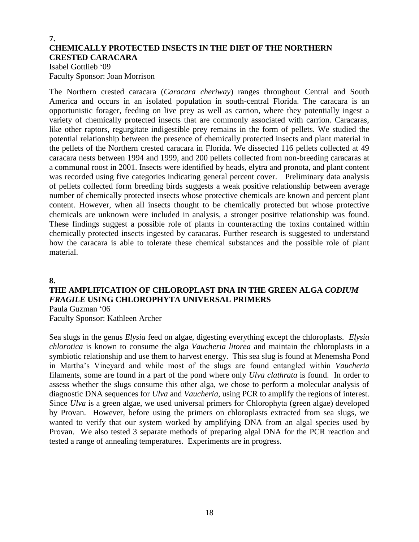## **7. CHEMICALLY PROTECTED INSECTS IN THE DIET OF THE NORTHERN CRESTED CARACARA**

Isabel Gottlieb '09 Faculty Sponsor: Joan Morrison

The Northern crested caracara (*Caracara cheriway*) ranges throughout Central and South America and occurs in an isolated population in south-central Florida. The caracara is an opportunistic forager, feeding on live prey as well as carrion, where they potentially ingest a variety of chemically protected insects that are commonly associated with carrion. Caracaras, like other raptors, regurgitate indigestible prey remains in the form of pellets. We studied the potential relationship between the presence of chemically protected insects and plant material in the pellets of the Northern crested caracara in Florida. We dissected 116 pellets collected at 49 caracara nests between 1994 and 1999, and 200 pellets collected from non-breeding caracaras at a communal roost in 2001. Insects were identified by heads, elytra and pronota, and plant content was recorded using five categories indicating general percent cover. Preliminary data analysis of pellets collected form breeding birds suggests a weak positive relationship between average number of chemically protected insects whose protective chemicals are known and percent plant content. However, when all insects thought to be chemically protected but whose protective chemicals are unknown were included in analysis, a stronger positive relationship was found. These findings suggest a possible role of plants in counteracting the toxins contained within chemically protected insects ingested by caracaras. Further research is suggested to understand how the caracara is able to tolerate these chemical substances and the possible role of plant material.

**8.**

## **THE AMPLIFICATION OF CHLOROPLAST DNA IN THE GREEN ALGA** *CODIUM FRAGILE* **USING CHLOROPHYTA UNIVERSAL PRIMERS**

Paula Guzman '06 Faculty Sponsor: Kathleen Archer

Sea slugs in the genus *Elysia* feed on algae, digesting everything except the chloroplasts. *Elysia chlorotica* is known to consume the alga *Vaucheria litorea* and maintain the chloroplasts in a symbiotic relationship and use them to harvest energy. This sea slug is found at Menemsha Pond in Martha's Vineyard and while most of the slugs are found entangled within *Vaucheria* filaments, some are found in a part of the pond where only *Ulva clathrata* is found. In order to assess whether the slugs consume this other alga, we chose to perform a molecular analysis of diagnostic DNA sequences for *Ulva* and *Vaucheria*, using PCR to amplify the regions of interest. Since *Ulva* is a green algae, we used universal primers for Chlorophyta (green algae) developed by Provan. However, before using the primers on chloroplasts extracted from sea slugs, we wanted to verify that our system worked by amplifying DNA from an algal species used by Provan. We also tested 3 separate methods of preparing algal DNA for the PCR reaction and tested a range of annealing temperatures. Experiments are in progress.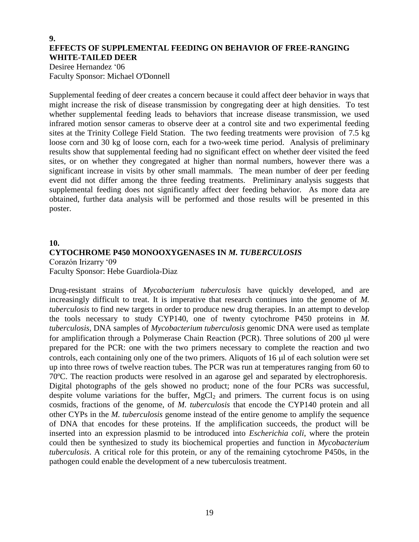## **9. EFFECTS OF SUPPLEMENTAL FEEDING ON BEHAVIOR OF FREE-RANGING WHITE-TAILED DEER**

Desiree Hernandez '06 Faculty Sponsor: Michael O'Donnell

Supplemental feeding of deer creates a concern because it could affect deer behavior in ways that might increase the risk of disease transmission by congregating deer at high densities. To test whether supplemental feeding leads to behaviors that increase disease transmission, we used infrared motion sensor cameras to observe deer at a control site and two experimental feeding sites at the Trinity College Field Station. The two feeding treatments were provision of 7.5 kg loose corn and 30 kg of loose corn, each for a two-week time period. Analysis of preliminary results show that supplemental feeding had no significant effect on whether deer visited the feed sites, or on whether they congregated at higher than normal numbers, however there was a significant increase in visits by other small mammals. The mean number of deer per feeding event did not differ among the three feeding treatments. Preliminary analysis suggests that supplemental feeding does not significantly affect deer feeding behavior. As more data are obtained, further data analysis will be performed and those results will be presented in this poster.

## **10. CYTOCHROME P450 MONOOXYGENASES IN** *M. TUBERCULOSIS* Corazón Irizarry '09

Faculty Sponsor: Hebe Guardiola-Diaz

Drug-resistant strains of *Mycobacterium tuberculosis* have quickly developed, and are increasingly difficult to treat. It is imperative that research continues into the genome of *M. tuberculosis* to find new targets in order to produce new drug therapies. In an attempt to develop the tools necessary to study CYP140, one of twenty cytochrome P450 proteins in *M. tuberculosis*, DNA samples of *Mycobacterium tuberculosis* genomic DNA were used as template for amplification through a Polymerase Chain Reaction (PCR). Three solutions of  $200 \mu l$  were prepared for the PCR: one with the two primers necessary to complete the reaction and two controls, each containing only one of the two primers. Aliquots of  $16 \mu l$  of each solution were set up into three rows of twelve reaction tubes. The PCR was run at temperatures ranging from 60 to 70ºC. The reaction products were resolved in an agarose gel and separated by electrophoresis. Digital photographs of the gels showed no product; none of the four PCRs was successful, despite volume variations for the buffer,  $MgCl<sub>2</sub>$  and primers. The current focus is on using cosmids, fractions of the genome, of *M. tuberculosis* that encode the CYP140 protein and all other CYPs in the *M. tuberculosis* genome instead of the entire genome to amplify the sequence of DNA that encodes for these proteins. If the amplification succeeds, the product will be inserted into an expression plasmid to be introduced into *Escherichia coli*, where the protein could then be synthesized to study its biochemical properties and function in *Mycobacterium tuberculosis*. A critical role for this protein, or any of the remaining cytochrome P450s, in the pathogen could enable the development of a new tuberculosis treatment.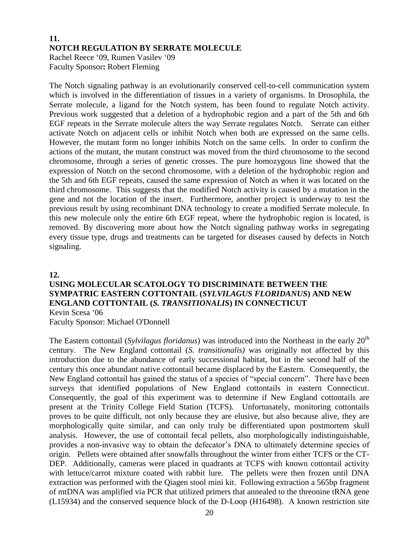## **11. NOTCH REGULATION BY SERRATE MOLECULE** Rachel Reece '09, Rumen Vasilev '09 Faculty Sponsor**:** Robert Fleming

The Notch signaling pathway is an evolutionarily conserved cell-to-cell communication system which is involved in the differentiation of tissues in a variety of organisms. In Drosophila, the Serrate molecule, a ligand for the Notch system, has been found to regulate Notch activity. Previous work suggested that a deletion of a hydrophobic region and a part of the 5th and 6th EGF repeats in the Serrate molecule alters the way Serrate regulates Notch. Serrate can either activate Notch on adjacent cells or inhibit Notch when both are expressed on the same cells. However, the mutant form no longer inhibits Notch on the same cells. In order to confirm the actions of the mutant, the mutant construct was moved from the third chromosome to the second chromosome, through a series of genetic crosses. The pure homozygous line showed that the expression of Notch on the second chromosome, with a deletion of the hydrophobic region and the 5th and 6th EGF repeats, caused the same expression of Notch as when it was located on the third chromosome. This suggests that the modified Notch activity is caused by a mutation in the gene and not the location of the insert. Furthermore, another project is underway to test the previous result by using recombinant DNA technology to create a modified Serrate molecule. In this new molecule only the entire 6th EGF repeat, where the hydrophobic region is located, is removed. By discovering more about how the Notch signaling pathway works in segregating every tissue type, drugs and treatments can be targeted for diseases caused by defects in Notch signaling.

**12.**

## **USING MOLECULAR SCATOLOGY TO DISCRIMINATE BETWEEN THE SYMPATRIC EASTERN COTTONTAIL (***SYLVILAGUS FLORIDANUS***) AND NEW ENGLAND COTTONTAIL (***S. TRANSITIONALIS***) IN CONNECTICUT** Kevin Scesa '06

Faculty Sponsor: Michael O'Donnell

The Eastern cottontail (*Sylvilagus floridanus*) was introduced into the Northeast in the early 20th century. The New England cottontail (*S. transitionalis)* was originally not affected by this introduction due to the abundance of early successional habitat, but in the second half of the century this once abundant native cottontail became displaced by the Eastern. Consequently, the New England cottontail has gained the status of a species of "special concern". There have been surveys that identified populations of New England cottontails in eastern Connecticut. Consequently, the goal of this experiment was to determine if New England cottontails are present at the Trinity College Field Station (TCFS). Unfortunately, monitoring cottontails proves to be quite difficult, not only because they are elusive, but also because alive, they are morphologically quite similar, and can only truly be differentiated upon postmortem skull analysis. However, the use of cottontail fecal pellets, also morphologically indistinguishable, provides a non-invasive way to obtain the defecator's DNA to ultimately determine species of origin. Pellets were obtained after snowfalls throughout the winter from either TCFS or the CT-DEP. Additionally, cameras were placed in quadrants at TCFS with known cottontail activity with lettuce/carrot mixture coated with rabbit lure. The pellets were then frozen until DNA extraction was performed with the Qiagen stool mini kit. Following extraction a 565bp fragment of mtDNA was amplified via PCR that utilized primers that annealed to the threonine tRNA gene (L15934) and the conserved sequence block of the D-Loop (H16498). A known restriction site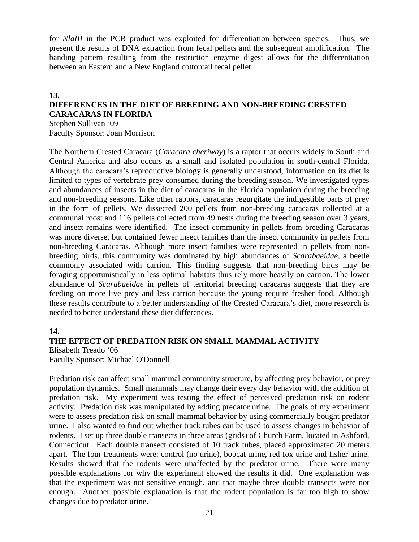for *NlaIII* in the PCR product was exploited for differentiation between species. Thus, we present the results of DNA extraction from fecal pellets and the subsequent amplification. The banding pattern resulting from the restriction enzyme digest allows for the differentiation between an Eastern and a New England cottontail fecal pellet.

## **13. DIFFERENCES IN THE DIET OF BREEDING AND NON-BREEDING CRESTED CARACARAS IN FLORIDA**

Stephen Sullivan '09 Faculty Sponsor: Joan Morrison

The Northern Crested Caracara (*Caracara cheriway*) is a raptor that occurs widely in South and Central America and also occurs as a small and isolated population in south-central Florida. Although the caracara's reproductive biology is generally understood, information on its diet is limited to types of vertebrate prey consumed during the breeding season. We investigated types and abundances of insects in the diet of caracaras in the Florida population during the breeding and non-breeding seasons. Like other raptors, caracaras regurgitate the indigestible parts of prey in the form of pellets. We dissected 200 pellets from non-breeding caracaras collected at a communal roost and 116 pellets collected from 49 nests during the breeding season over 3 years, and insect remains were identified. The insect community in pellets from breeding Caracaras was more diverse, but contained fewer insect families than the insect community in pellets from non-breeding Caracaras. Although more insect families were represented in pellets from nonbreeding birds, this community was dominated by high abundances of *Scarabaeidae*, a beetle commonly associated with carrion. This finding suggests that non-breeding birds may be foraging opportunistically in less optimal habitats thus rely more heavily on carrion. The lower abundance of *Scarabaeidae* in pellets of territorial breeding caracaras suggests that they are feeding on more live prey and less carrion because the young require fresher food. Although these results contribute to a better understanding of the Crested Caracara's diet, more research is needed to better understand these diet differences.

## **14.**

### **THE EFFECT OF PREDATION RISK ON SMALL MAMMAL ACTIVITY**

Elisabeth Treado '06

Faculty Sponsor: Michael O'Donnell

Predation risk can affect small mammal community structure, by affecting prey behavior, or prey population dynamics. Small mammals may change their every day behavior with the addition of predation risk. My experiment was testing the effect of perceived predation risk on rodent activity. Predation risk was manipulated by adding predator urine. The goals of my experiment were to assess predation risk on small mammal behavior by using commercially bought predator urine. I also wanted to find out whether track tubes can be used to assess changes in behavior of rodents. I set up three double transects in three areas (grids) of Church Farm, located in Ashford, Connecticut. Each double transect consisted of 10 track tubes, placed approximated 20 meters apart. The four treatments were: control (no urine), bobcat urine, red fox urine and fisher urine. Results showed that the rodents were unaffected by the predator urine. There were many possible explanations for why the experiment showed the results it did. One explanation was that the experiment was not sensitive enough, and that maybe three double transects were not enough. Another possible explanation is that the rodent population is far too high to show changes due to predator urine.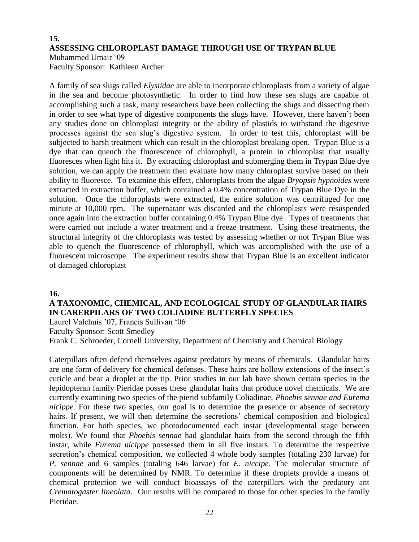### **15. ASSESSING CHLOROPLAST DAMAGE THROUGH USE OF TRYPAN BLUE** Muhammed Umair '09

Faculty Sponsor: Kathleen Archer

A family of sea slugs called *Elysiidae* are able to incorporate chloroplasts from a variety of algae in the sea and become photosynthetic. In order to find how these sea slugs are capable of accomplishing such a task, many researchers have been collecting the slugs and dissecting them in order to see what type of digestive components the slugs have. However, there haven't been any studies done on chloroplast integrity or the ability of plastids to withstand the digestive processes against the sea slug's digestive system. In order to test this, chloroplast will be subjected to harsh treatment which can result in the chloroplast breaking open. Trypan Blue is a dye that can quench the fluorescence of chlorophyll, a protein in chloroplast that usually fluoresces when light hits it. By extracting chloroplast and submerging them in Trypan Blue dye solution, we can apply the treatment then evaluate how many chloroplast survive based on their ability to fluoresce. To examine this effect, chloroplasts from the algae *Bryopsis hypnoides* were extracted in extraction buffer, which contained a 0.4% concentration of Trypan Blue Dye in the solution. Once the chloroplasts were extracted, the entire solution was centrifuged for one minute at 10,000 rpm. The supernatant was discarded and the chloroplasts were resuspended once again into the extraction buffer containing 0.4% Trypan Blue dye. Types of treatments that were carried out include a water treatment and a freeze treatment. Using these treatments, the structural integrity of the chloroplasts was tested by assessing whether or not Trypan Blue was able to quench the fluorescence of chlorophyll, which was accomplished with the use of a fluorescent microscope. The experiment results show that Trypan Blue is an excellent indicator of damaged chloroplast

### **16.**

## **A TAXONOMIC, CHEMICAL, AND ECOLOGICAL STUDY OF GLANDULAR HAIRS IN CARERPILARS OF TWO COLIADINE BUTTERFLY SPECIES**

Laurel Valchuis '07, Francis Sullivan '06

Faculty Sponsor: Scott Smedley

Frank C. Schroeder, Cornell University, Department of Chemistry and Chemical Biology

Caterpillars often defend themselves against predators by means of chemicals. Glandular hairs are one form of delivery for chemical defenses. These hairs are hollow extensions of the insect's cuticle and bear a droplet at the tip. Prior studies in our lab have shown certain species in the lepidopteran family Pieridae posses these glandular hairs that produce novel chemicals. We are currently examining two species of the pierid subfamily Coliadinae, *Phoebis sennae and Eurema nicippe.* For these two species, our goal is to determine the presence or absence of secretory hairs. If present, we will then determine the secretions' chemical composition and biological function. For both species, we photodocumented each instar (developmental stage between molts). We found that *Phoebis sennae* had glandular hairs from the second through the fifth instar, while *Eurema nicippe* possessed them in all five instars. To determine the respective secretion's chemical composition, we collected 4 whole body samples (totaling 230 larvae) for *P. sennae* and 6 samples (totaling 646 larvae) for *E. niccipe*. The molecular structure of components will be determined by NMR. To determine if these droplets provide a means of chemical protection we will conduct bioassays of the caterpillars with the predatory ant *Crematogaster lineolata*. Our results will be compared to those for other species in the family Pieridae.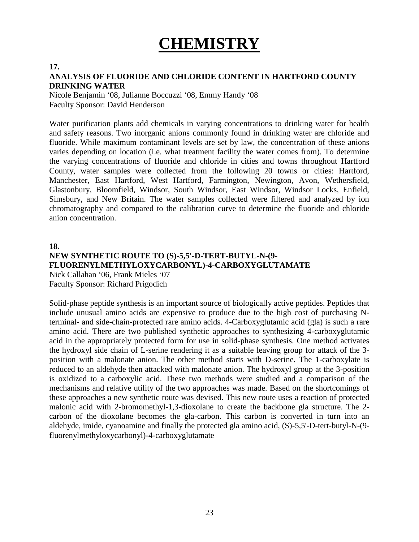# **CHEMISTRY**

#### **17.**

### **ANALYSIS OF FLUORIDE AND CHLORIDE CONTENT IN HARTFORD COUNTY DRINKING WATER**

Nicole Benjamin '08, Julianne Boccuzzi '08, Emmy Handy '08 Faculty Sponsor: David Henderson

Water purification plants add chemicals in varying concentrations to drinking water for health and safety reasons. Two inorganic anions commonly found in drinking water are chloride and fluoride. While maximum contaminant levels are set by law, the concentration of these anions varies depending on location (i.e. what treatment facility the water comes from). To determine the varying concentrations of fluoride and chloride in cities and towns throughout Hartford County, water samples were collected from the following 20 towns or cities: Hartford, Manchester, East Hartford, West Hartford, Farmington, Newington, Avon, Wethersfield, Glastonbury, Bloomfield, Windsor, South Windsor, East Windsor, Windsor Locks, Enfield, Simsbury, and New Britain. The water samples collected were filtered and analyzed by ion chromatography and compared to the calibration curve to determine the fluoride and chloride anion concentration.

#### **18.**

## **NEW SYNTHETIC ROUTE TO (S)-5,5'-D-TERT-BUTYL-N-(9- FLUORENYLMETHYLOXYCARBONYL)-4-CARBOXYGLUTAMATE** Nick Callahan '06, Frank Mieles '07 Faculty Sponsor: Richard Prigodich

Solid-phase peptide synthesis is an important source of biologically active peptides. Peptides that include unusual amino acids are expensive to produce due to the high cost of purchasing Nterminal- and side-chain-protected rare amino acids. 4-Carboxyglutamic acid (gla) is such a rare amino acid. There are two published synthetic approaches to synthesizing 4-carboxyglutamic acid in the appropriately protected form for use in solid-phase synthesis. One method activates the hydroxyl side chain of L-serine rendering it as a suitable leaving group for attack of the 3 position with a malonate anion. The other method starts with D-serine. The 1-carboxylate is reduced to an aldehyde then attacked with malonate anion. The hydroxyl group at the 3-position is oxidized to a carboxylic acid. These two methods were studied and a comparison of the mechanisms and relative utility of the two approaches was made. Based on the shortcomings of these approaches a new synthetic route was devised. This new route uses a reaction of protected malonic acid with 2-bromomethyl-1,3-dioxolane to create the backbone gla structure. The 2 carbon of the dioxolane becomes the gla-carbon. This carbon is converted in turn into an aldehyde, imide, cyanoamine and finally the protected gla amino acid, (S)-5,5'-D-tert-butyl-N-(9 fluorenylmethyloxycarbonyl)-4-carboxyglutamate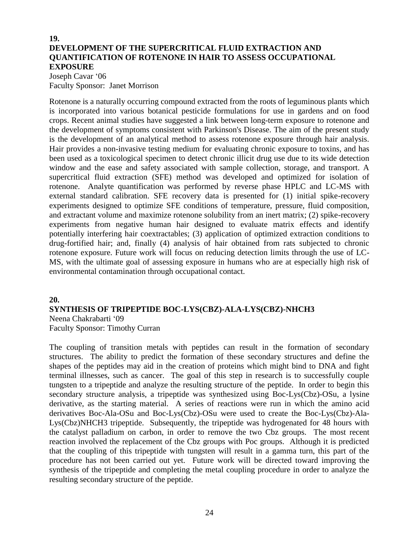## **19. DEVELOPMENT OF THE SUPERCRITICAL FLUID EXTRACTION AND QUANTIFICATION OF ROTENONE IN HAIR TO ASSESS OCCUPATIONAL EXPOSURE**

Joseph Cavar '06 Faculty Sponsor:Janet Morrison

Rotenone is a naturally occurring compound extracted from the roots of leguminous plants which is incorporated into various botanical pesticide formulations for use in gardens and on food crops. Recent animal studies have suggested a link between long-term exposure to rotenone and the development of symptoms consistent with Parkinson's Disease. The aim of the present study is the development of an analytical method to assess rotenone exposure through hair analysis. Hair provides a non-invasive testing medium for evaluating chronic exposure to toxins, and has been used as a toxicological specimen to detect chronic illicit drug use due to its wide detection window and the ease and safety associated with sample collection, storage, and transport. A supercritical fluid extraction (SFE) method was developed and optimized for isolation of rotenone. Analyte quantification was performed by reverse phase HPLC and LC-MS with external standard calibration. SFE recovery data is presented for (1) initial spike-recovery experiments designed to optimize SFE conditions of temperature, pressure, fluid composition, and extractant volume and maximize rotenone solubility from an inert matrix; (2) spike-recovery experiments from negative human hair designed to evaluate matrix effects and identify potentially interfering hair coextractables; (3) application of optimized extraction conditions to drug-fortified hair; and, finally (4) analysis of hair obtained from rats subjected to chronic rotenone exposure. Future work will focus on reducing detection limits through the use of LC-MS, with the ultimate goal of assessing exposure in humans who are at especially high risk of environmental contamination through occupational contact.

#### **20.**

#### **SYNTHESIS OF TRIPEPTIDE BOC-LYS(CBZ)-ALA-LYS(CBZ)-NHCH3** Neena Chakrabarti '09

Faculty Sponsor: Timothy Curran

The coupling of transition metals with peptides can result in the formation of secondary structures. The ability to predict the formation of these secondary structures and define the shapes of the peptides may aid in the creation of proteins which might bind to DNA and fight terminal illnesses, such as cancer. The goal of this step in research is to successfully couple tungsten to a tripeptide and analyze the resulting structure of the peptide. In order to begin this secondary structure analysis, a tripeptide was synthesized using Boc-Lys(Cbz)-OSu, a lysine derivative, as the starting material. A series of reactions were run in which the amino acid derivatives Boc-Ala-OSu and Boc-Lys(Cbz)-OSu were used to create the Boc-Lys(Cbz)-Ala-Lys(Cbz)NHCH3 tripeptide. Subsequently, the tripeptide was hydrogenated for 48 hours with the catalyst palladium on carbon, in order to remove the two Cbz groups. The most recent reaction involved the replacement of the Cbz groups with Poc groups. Although it is predicted that the coupling of this tripeptide with tungsten will result in a gamma turn, this part of the procedure has not been carried out yet. Future work will be directed toward improving the synthesis of the tripeptide and completing the metal coupling procedure in order to analyze the resulting secondary structure of the peptide.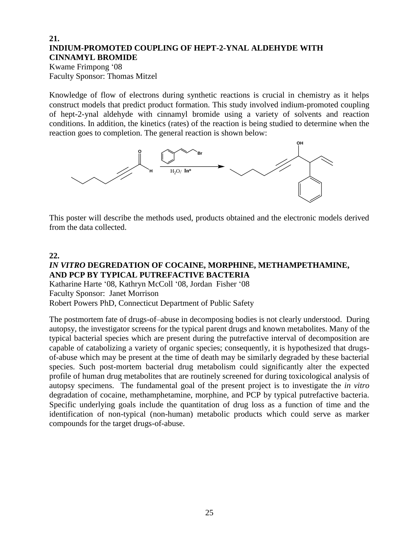## **21. INDIUM-PROMOTED COUPLING OF HEPT-2-YNAL ALDEHYDE WITH CINNAMYL BROMIDE**

Kwame Frimpong '08 Faculty Sponsor: Thomas Mitzel

Knowledge of flow of electrons during synthetic reactions is crucial in chemistry as it helps construct models that predict product formation. This study involved indium-promoted coupling of hept-2-ynal aldehyde with cinnamyl bromide using a variety of solvents and reaction conditions. In addition, the kinetics (rates) of the reaction is being studied to determine when the reaction goes to completion. The general reaction is shown below:



This poster will describe the methods used, products obtained and the electronic models derived from the data collected.

### **22.**

## *IN VITRO* **DEGREDATION OF COCAINE, MORPHINE, METHAMPETHAMINE, AND PCP BY TYPICAL PUTREFACTIVE BACTERIA**

Katharine Harte '08, Kathryn McColl '08, Jordan Fisher '08 Faculty Sponsor:Janet Morrison Robert Powers PhD, Connecticut Department of Public Safety

The postmortem fate of drugs-of–abuse in decomposing bodies is not clearly understood. During autopsy, the investigator screens for the typical parent drugs and known metabolites. Many of the typical bacterial species which are present during the putrefactive interval of decomposition are capable of catabolizing a variety of organic species; consequently, it is hypothesized that drugsof-abuse which may be present at the time of death may be similarly degraded by these bacterial species. Such post-mortem bacterial drug metabolism could significantly alter the expected profile of human drug metabolites that are routinely screened for during toxicological analysis of autopsy specimens. The fundamental goal of the present project is to investigate the *in vitro* degradation of cocaine, methamphetamine, morphine, and PCP by typical putrefactive bacteria. Specific underlying goals include the quantitation of drug loss as a function of time and the identification of non-typical (non-human) metabolic products which could serve as marker compounds for the target drugs-of-abuse.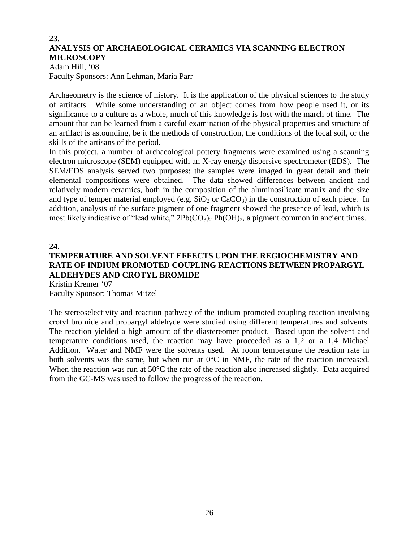## **23. ANALYSIS OF ARCHAEOLOGICAL CERAMICS VIA SCANNING ELECTRON MICROSCOPY**

Adam Hill, '08 Faculty Sponsors: Ann Lehman, Maria Parr

Archaeometry is the science of history. It is the application of the physical sciences to the study of artifacts. While some understanding of an object comes from how people used it, or its significance to a culture as a whole, much of this knowledge is lost with the march of time. The amount that can be learned from a careful examination of the physical properties and structure of an artifact is astounding, be it the methods of construction, the conditions of the local soil, or the skills of the artisans of the period.

In this project, a number of archaeological pottery fragments were examined using a scanning electron microscope (SEM) equipped with an X-ray energy dispersive spectrometer (EDS). The SEM/EDS analysis served two purposes: the samples were imaged in great detail and their elemental compositions were obtained. The data showed differences between ancient and relatively modern ceramics, both in the composition of the aluminosilicate matrix and the size and type of temper material employed (e.g.  $SiO<sub>2</sub>$  or  $CaCO<sub>3</sub>$ ) in the construction of each piece. In addition, analysis of the surface pigment of one fragment showed the presence of lead, which is most likely indicative of "lead white,"  $2Pb(CO_3)_2 Ph(OH)_2$ , a pigment common in ancient times.

**24.**

## **TEMPERATURE AND SOLVENT EFFECTS UPON THE REGIOCHEMISTRY AND RATE OF INDIUM PROMOTED COUPLING REACTIONS BETWEEN PROPARGYL ALDEHYDES AND CROTYL BROMIDE**

Kristin Kremer '07 Faculty Sponsor: Thomas Mitzel

The stereoselectivity and reaction pathway of the indium promoted coupling reaction involving crotyl bromide and propargyl aldehyde were studied using different temperatures and solvents. The reaction yielded a high amount of the diastereomer product. Based upon the solvent and temperature conditions used, the reaction may have proceeded as a 1,2 or a 1,4 Michael Addition. Water and NMF were the solvents used. At room temperature the reaction rate in both solvents was the same, but when run at 0°C in NMF, the rate of the reaction increased. When the reaction was run at 50°C the rate of the reaction also increased slightly. Data acquired from the GC-MS was used to follow the progress of the reaction.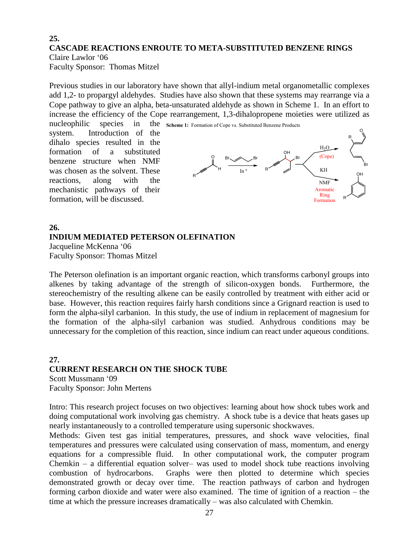## **25. CASCADE REACTIONS ENROUTE TO META-SUBSTITUTED BENZENE RINGS**

Claire Lawlor '06 Faculty Sponsor: Thomas Mitzel

Previous studies in our laboratory have shown that allyl-indium metal organometallic complexes add 1,2- to propargyl aldehydes. Studies have also shown that these systems may rearrange via a Cope pathway to give an alpha, beta-unsaturated aldehyde as shown in Scheme 1. In an effort to increase the efficiency of the Cope rearrangement, 1,3-dihalopropene moieties were utilized as

nucleophilic species in system. Introduction of the dihalo species resulted in the formation of a substituted benzene structure when NMF was chosen as the solvent. These reactions, along with the mechanistic pathways of their formation, will be discussed.



## **26. INDIUM MEDIATED PETERSON OLEFINATION** Jacqueline McKenna '06

Faculty Sponsor: Thomas Mitzel

The Peterson olefination is an important organic reaction, which transforms carbonyl groups into alkenes by taking advantage of the strength of silicon-oxygen bonds. Furthermore, the stereochemistry of the resulting alkene can be easily controlled by treatment with either acid or base. However, this reaction requires fairly harsh conditions since a Grignard reaction is used to form the alpha-silyl carbanion. In this study, the use of indium in replacement of magnesium for the formation of the alpha-silyl carbanion was studied. Anhydrous conditions may be unnecessary for the completion of this reaction, since indium can react under aqueous conditions.

## **27. CURRENT RESEARCH ON THE SHOCK TUBE** Scott Mussmann '09

Faculty Sponsor: John Mertens

Intro: This research project focuses on two objectives: learning about how shock tubes work and doing computational work involving gas chemistry. A shock tube is a device that heats gases up nearly instantaneously to a controlled temperature using supersonic shockwaves.

Methods: Given test gas initial temperatures, pressures, and shock wave velocities, final temperatures and pressures were calculated using conservation of mass, momentum, and energy equations for a compressible fluid. In other computational work, the computer program Chemkin – a differential equation solver– was used to model shock tube reactions involving combustion of hydrocarbons. Graphs were then plotted to determine which species demonstrated growth or decay over time. The reaction pathways of carbon and hydrogen forming carbon dioxide and water were also examined. The time of ignition of a reaction – the time at which the pressure increases dramatically – was also calculated with Chemkin.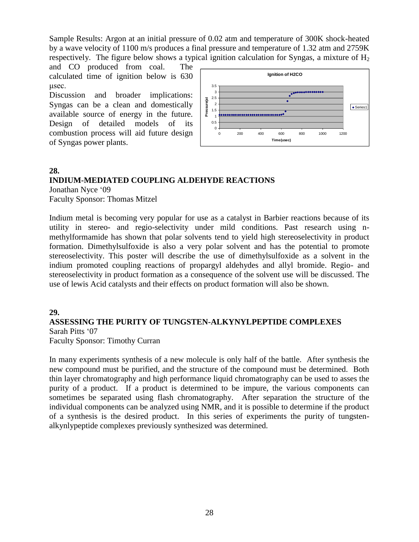Sample Results: Argon at an initial pressure of 0.02 atm and temperature of 300K shock-heated by a wave velocity of 1100 m/s produces a final pressure and temperature of 1.32 atm and 2759K respectively. The figure below shows a typical ignition calculation for Syngas, a mixture of  $H_2$ 

and CO produced from coal. The calculated time of ignition below is 630 μsec.

Discussion and broader implications: Syngas can be a clean and domestically available source of energy in the future. Design of detailed models of its combustion process will aid future design of Syngas power plants.



## **28.**

## **INDIUM-MEDIATED COUPLING ALDEHYDE REACTIONS**

Jonathan Nyce '09 Faculty Sponsor: Thomas Mitzel

Indium metal is becoming very popular for use as a catalyst in Barbier reactions because of its utility in stereo- and regio-selectivity under mild conditions. Past research using nmethylformamide has shown that polar solvents tend to yield high stereoselectivity in product formation. Dimethylsulfoxide is also a very polar solvent and has the potential to promote stereoselectivity. This poster will describe the use of dimethylsulfoxide as a solvent in the indium promoted coupling reactions of propargyl aldehydes and allyl bromide. Regio- and stereoselectivity in product formation as a consequence of the solvent use will be discussed. The use of lewis Acid catalysts and their effects on product formation will also be shown.

## **29.**

## **ASSESSING THE PURITY OF TUNGSTEN-ALKYNYLPEPTIDE COMPLEXES**

Sarah Pitts '07 Faculty Sponsor: Timothy Curran

In many experiments synthesis of a new molecule is only half of the battle. After synthesis the new compound must be purified, and the structure of the compound must be determined. Both thin layer chromatography and high performance liquid chromatography can be used to asses the purity of a product. If a product is determined to be impure, the various components can sometimes be separated using flash chromatography. After separation the structure of the individual components can be analyzed using NMR, and it is possible to determine if the product of a synthesis is the desired product. In this series of experiments the purity of tungstenalkynlypeptide complexes previously synthesized was determined.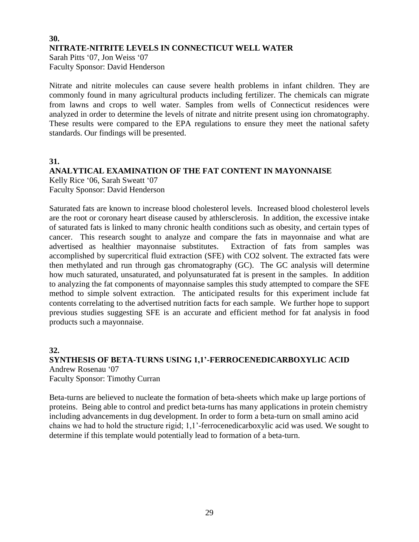## **30. NITRATE-NITRITE LEVELS IN CONNECTICUT WELL WATER** Sarah Pitts '07, Jon Weiss '07 Faculty Sponsor: David Henderson

Nitrate and nitrite molecules can cause severe health problems in infant children. They are commonly found in many agricultural products including fertilizer. The chemicals can migrate from lawns and crops to well water. Samples from wells of Connecticut residences were analyzed in order to determine the levels of nitrate and nitrite present using ion chromatography. These results were compared to the EPA regulations to ensure they meet the national safety standards. Our findings will be presented.

**31.**

### **ANALYTICAL EXAMINATION OF THE FAT CONTENT IN MAYONNAISE** Kelly Rice '06, Sarah Sweatt '07 Faculty Sponsor: David Henderson

Saturated fats are known to increase blood cholesterol levels. Increased blood cholesterol levels are the root or coronary heart disease caused by athlersclerosis. In addition, the excessive intake of saturated fats is linked to many chronic health conditions such as obesity, and certain types of cancer. This research sought to analyze and compare the fats in mayonnaise and what are advertised as healthier mayonnaise substitutes. Extraction of fats from samples was accomplished by supercritical fluid extraction (SFE) with CO2 solvent. The extracted fats were then methylated and run through gas chromatography (GC). The GC analysis will determine how much saturated, unsaturated, and polyunsaturated fat is present in the samples. In addition to analyzing the fat components of mayonnaise samples this study attempted to compare the SFE method to simple solvent extraction. The anticipated results for this experiment include fat contents correlating to the advertised nutrition facts for each sample. We further hope to support previous studies suggesting SFE is an accurate and efficient method for fat analysis in food products such a mayonnaise.

## **32.**

## **SYNTHESIS OF BETA-TURNS USING 1,1'-FERROCENEDICARBOXYLIC ACID** Andrew Rosenau '07 Faculty Sponsor: Timothy Curran

Beta-turns are believed to nucleate the formation of beta-sheets which make up large portions of proteins. Being able to control and predict beta-turns has many applications in protein chemistry including advancements in dug development. In order to form a beta-turn on small amino acid chains we had to hold the structure rigid; 1,1'-ferrocenedicarboxylic acid was used. We sought to determine if this template would potentially lead to formation of a beta-turn.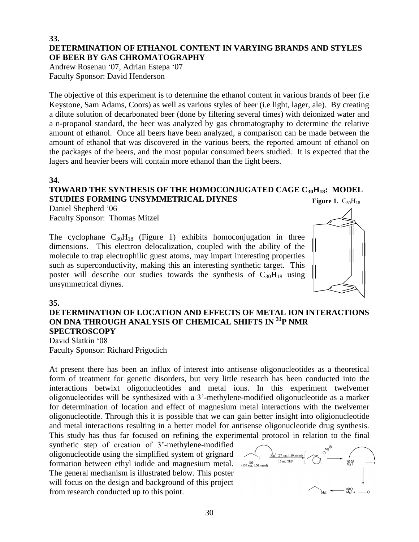### **33. DETERMINATION OF ETHANOL CONTENT IN VARYING BRANDS AND STYLES OF BEER BY GAS CHROMATOGRAPHY**

Andrew Rosenau '07, Adrian Estepa '07 Faculty Sponsor: David Henderson

The objective of this experiment is to determine the ethanol content in various brands of beer (i.e Keystone, Sam Adams, Coors) as well as various styles of beer (i.e light, lager, ale). By creating a dilute solution of decarbonated beer (done by filtering several times) with deionized water and a n-propanol standard, the beer was analyzed by gas chromatography to determine the relative amount of ethanol. Once all beers have been analyzed, a comparison can be made between the amount of ethanol that was discovered in the various beers, the reported amount of ethanol on the packages of the beers, and the most popular consumed beers studied. It is expected that the lagers and heavier beers will contain more ethanol than the light beers.

#### **34.**

#### **TOWARD THE SYNTHESIS OF THE HOMOCONJUGATED CAGE C30H18: MODEL STUDIES FORMING UNSYMMETRICAL DIYNES Figure 1.**  $C_{30}H_{18}$

Daniel Shepherd '06 Faculty Sponsor: Thomas Mitzel

The cyclophane  $C_{30}H_{18}$  (Figure 1) exhibits homoconjugation in three dimensions. This electron delocalization, coupled with the ability of the molecule to trap electrophilic guest atoms, may impart interesting properties such as superconductivity, making this an interesting synthetic target. This poster will describe our studies towards the synthesis of  $C_{30}H_{18}$  using unsymmetrical diynes.



## **35.**

## **DETERMINATION OF LOCATION AND EFFECTS OF METAL ION INTERACTIONS ON DNA THROUGH ANALYSIS OF CHEMICAL SHIFTS IN <sup>31</sup>P NMR SPECTROSCOPY**

David Slatkin '08 Faculty Sponsor: Richard Prigodich

At present there has been an influx of interest into antisense oligonucleotides as a theoretical form of treatment for genetic disorders, but very little research has been conducted into the interactions betwixt oligonucleotides and metal ions. In this experiment twelvemer oligonucleotides will be synthesized with a 3'-methylene-modified oligonucleotide as a marker for determination of location and effect of magnesium metal interactions with the twelvemer oligonucleotide. Through this it is possible that we can gain better insight into oligionucleotide and metal interactions resulting in a better model for antisense oligonucleotide drug synthesis. This study has thus far focused on refining the experimental protocol in relation to the final

synthetic step of creation of 3'-methylene-modified oligonucleotide using the simplified system of grignard formation between ethyl iodide and magnesium metal. The general mechanism is illustrated below. This poster will focus on the design and background of this project from research conducted up to this point.

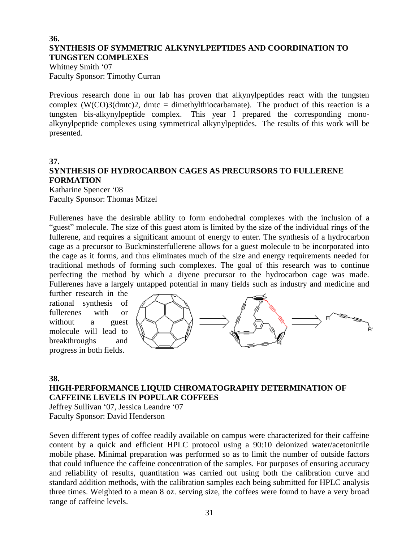### **36. SYNTHESIS OF SYMMETRIC ALKYNYLPEPTIDES AND COORDINATION TO TUNGSTEN COMPLEXES**

Whitney Smith '07 Faculty Sponsor: Timothy Curran

Previous research done in our lab has proven that alkynylpeptides react with the tungsten complex  $(W(CO)3(dmtc)2)$ , dmtc = dimethylthiocarbamate). The product of this reaction is a tungsten bis-alkynylpeptide complex. This year I prepared the corresponding monoalkynylpeptide complexes using symmetrical alkynylpeptides. The results of this work will be presented.

#### **37.**

## **SYNTHESIS OF HYDROCARBON CAGES AS PRECURSORS TO FULLERENE FORMATION**

Katharine Spencer '08 Faculty Sponsor: Thomas Mitzel

Fullerenes have the desirable ability to form endohedral complexes with the inclusion of a "guest" molecule. The size of this guest atom is limited by the size of the individual rings of the fullerene, and requires a significant amount of energy to enter. The synthesis of a hydrocarbon cage as a precursor to Buckminsterfullerene allows for a guest molecule to be incorporated into the cage as it forms, and thus eliminates much of the size and energy requirements needed for traditional methods of forming such complexes. The goal of this research was to continue perfecting the method by which a diyene precursor to the hydrocarbon cage was made. Fullerenes have a largely untapped potential in many fields such as industry and medicine and

further research in the rational synthesis of fullerenes with or without a guest molecule will lead to breakthroughs and progress in both fields.



### **38.**

## **HIGH-PERFORMANCE LIQUID CHROMATOGRAPHY DETERMINATION OF CAFFEINE LEVELS IN POPULAR COFFEES**

Jeffrey Sullivan '07, Jessica Leandre '07 Faculty Sponsor: David Henderson

Seven different types of coffee readily available on campus were characterized for their caffeine content by a quick and efficient HPLC protocol using a 90:10 deionized water/acetonitrile mobile phase. Minimal preparation was performed so as to limit the number of outside factors that could influence the caffeine concentration of the samples. For purposes of ensuring accuracy and reliability of results, quantitation was carried out using both the calibration curve and standard addition methods, with the calibration samples each being submitted for HPLC analysis three times. Weighted to a mean 8 oz. serving size, the coffees were found to have a very broad range of caffeine levels.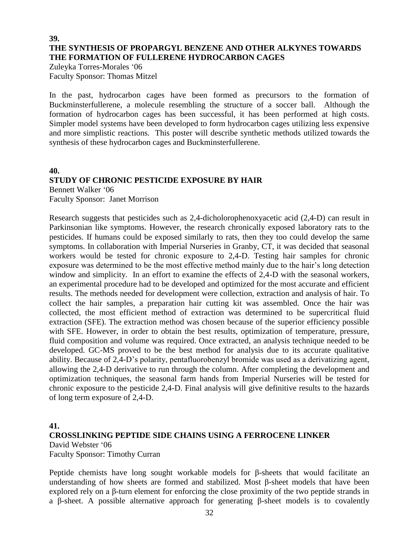## **39. THE SYNTHESIS OF PROPARGYL BENZENE AND OTHER ALKYNES TOWARDS THE FORMATION OF FULLERENE HYDROCARBON CAGES**

Zuleyka Torres-Morales '06 Faculty Sponsor: Thomas Mitzel

In the past, hydrocarbon cages have been formed as precursors to the formation of Buckminsterfullerene, a molecule resembling the structure of a soccer ball. Although the formation of hydrocarbon cages has been successful, it has been performed at high costs. Simpler model systems have been developed to form hydrocarbon cages utilizing less expensive and more simplistic reactions. This poster will describe synthetic methods utilized towards the synthesis of these hydrocarbon cages and Buckminsterfullerene.

#### **40.**

## **STUDY OF CHRONIC PESTICIDE EXPOSURE BY HAIR**

Bennett Walker '06 Faculty Sponsor:Janet Morrison

Research suggests that pesticides such as 2,4-dicholorophenoxyacetic acid (2,4-D) can result in Parkinsonian like symptoms. However, the research chronically exposed laboratory rats to the pesticides. If humans could be exposed similarly to rats, then they too could develop the same symptoms. In collaboration with Imperial Nurseries in Granby, CT, it was decided that seasonal workers would be tested for chronic exposure to 2,4-D. Testing hair samples for chronic exposure was determined to be the most effective method mainly due to the hair's long detection window and simplicity. In an effort to examine the effects of 2,4-D with the seasonal workers, an experimental procedure had to be developed and optimized for the most accurate and efficient results. The methods needed for development were collection, extraction and analysis of hair. To collect the hair samples, a preparation hair cutting kit was assembled. Once the hair was collected, the most efficient method of extraction was determined to be supercritical fluid extraction (SFE). The extraction method was chosen because of the superior efficiency possible with SFE. However, in order to obtain the best results, optimization of temperature, pressure, fluid composition and volume was required. Once extracted, an analysis technique needed to be developed. GC-MS proved to be the best method for analysis due to its accurate qualitative ability. Because of 2,4-D's polarity, pentafluorobenzyl bromide was used as a derivatizing agent, allowing the 2,4-D derivative to run through the column. After completing the development and optimization techniques, the seasonal farm hands from Imperial Nurseries will be tested for chronic exposure to the pesticide 2,4-D. Final analysis will give definitive results to the hazards of long term exposure of 2,4-D.

### **41.**

## **CROSSLINKING PEPTIDE SIDE CHAINS USING A FERROCENE LINKER**

David Webster '06 Faculty Sponsor: Timothy Curran

Peptide chemists have long sought workable models for β-sheets that would facilitate an understanding of how sheets are formed and stabilized. Most β-sheet models that have been explored rely on a β-turn element for enforcing the close proximity of the two peptide strands in a β-sheet. A possible alternative approach for generating β-sheet models is to covalently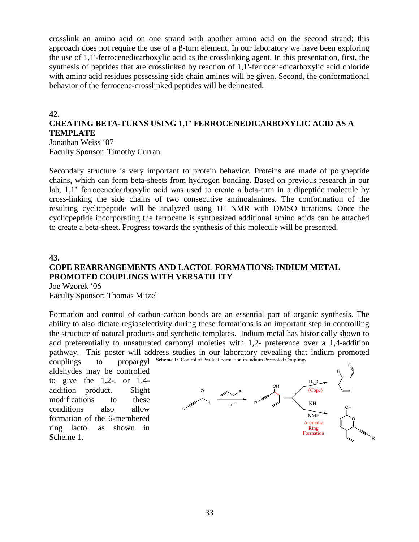crosslink an amino acid on one strand with another amino acid on the second strand; this approach does not require the use of a β-turn element. In our laboratory we have been exploring the use of 1,1'-ferrocenedicarboxylic acid as the crosslinking agent. In this presentation, first, the synthesis of peptides that are crosslinked by reaction of 1,1'-ferrocenedicarboxylic acid chloride with amino acid residues possessing side chain amines will be given. Second, the conformational behavior of the ferrocene-crosslinked peptides will be delineated.

### **42.**

### **CREATING BETA-TURNS USING 1,1' FERROCENEDICARBOXYLIC ACID AS A TEMPLATE** Jonathan Weiss '07

Faculty Sponsor: Timothy Curran

Secondary structure is very important to protein behavior. Proteins are made of polypeptide chains, which can form beta-sheets from hydrogen bonding. Based on previous research in our lab, 1,1' ferrocenedcarboxylic acid was used to create a beta-turn in a dipeptide molecule by cross-linking the side chains of two consecutive aminoalanines. The conformation of the resulting cyclicpeptide will be analyzed using 1H NMR with DMSO titrations. Once the cyclicpeptide incorporating the ferrocene is synthesized additional amino acids can be attached to create a beta-sheet. Progress towards the synthesis of this molecule will be presented.

### **43.**

## **COPE REARRANGEMENTS AND LACTOL FORMATIONS: INDIUM METAL PROMOTED COUPLINGS WITH VERSATILITY**

Joe Wzorek '06 Faculty Sponsor: Thomas Mitzel

Formation and control of carbon-carbon bonds are an essential part of organic synthesis. The ability to also dictate regioselectivity during these formations is an important step in controlling the structure of natural products and synthetic templates. Indium metal has historically shown to add preferentially to unsaturated carbonyl moieties with 1,2- preference over a 1,4-addition pathway. This poster will address studies in our laboratory revealing that indium promoted couplings to propargyl **Scheme 1:**Control of Product Formation in Indium Promoted Couplings

aldehydes may be controlled to give the  $1,2$ -, or  $1,4$ addition product. Slight modifications to these conditions also allow formation of the 6-membered ring lactol as shown in Scheme 1.

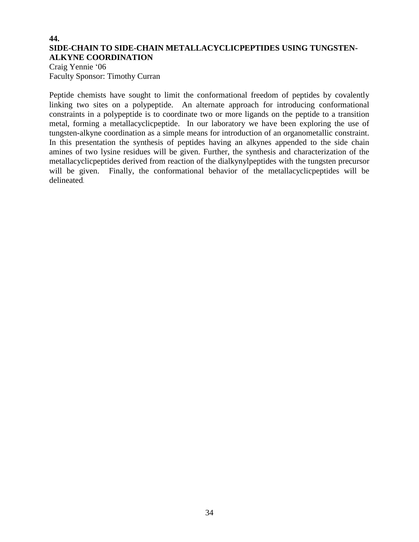## **44. SIDE-CHAIN TO SIDE-CHAIN METALLACYCLICPEPTIDES USING TUNGSTEN-ALKYNE COORDINATION**

Craig Yennie '06 Faculty Sponsor: Timothy Curran

Peptide chemists have sought to limit the conformational freedom of peptides by covalently linking two sites on a polypeptide. An alternate approach for introducing conformational constraints in a polypeptide is to coordinate two or more ligands on the peptide to a transition metal, forming a metallacyclicpeptide. In our laboratory we have been exploring the use of tungsten-alkyne coordination as a simple means for introduction of an organometallic constraint. In this presentation the synthesis of peptides having an alkynes appended to the side chain amines of two lysine residues will be given. Further, the synthesis and characterization of the metallacyclicpeptides derived from reaction of the dialkynylpeptides with the tungsten precursor will be given. Finally, the conformational behavior of the metallacyclicpeptides will be delineated.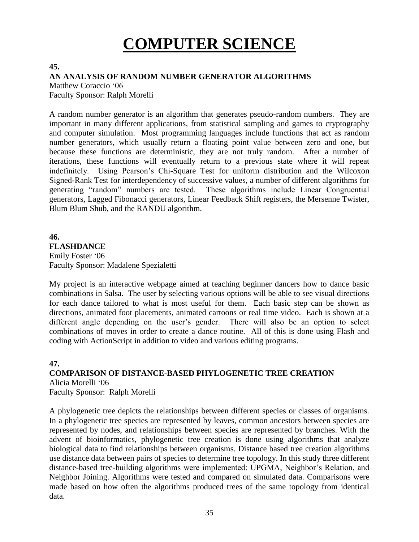# **COMPUTER SCIENCE**

#### **45.**

### **AN ANALYSIS OF RANDOM NUMBER GENERATOR ALGORITHMS**

Matthew Coraccio '06 Faculty Sponsor: Ralph Morelli

A random number generator is an algorithm that generates pseudo-random numbers. They are important in many different applications, from statistical sampling and games to cryptography and computer simulation. Most programming languages include functions that act as random number generators, which usually return a floating point value between zero and one, but because these functions are deterministic, they are not truly random. After a number of iterations, these functions will eventually return to a previous state where it will repeat indefinitely. Using Pearson's Chi-Square Test for uniform distribution and the Wilcoxon Signed-Rank Test for interdependency of successive values, a number of different algorithms for generating "random" numbers are tested. These algorithms include Linear Congruential generators, Lagged Fibonacci generators, Linear Feedback Shift registers, the Mersenne Twister, Blum Blum Shub, and the RANDU algorithm.

## **46. FLASHDANCE** Emily Foster '06 Faculty Sponsor: Madalene Spezialetti

My project is an interactive webpage aimed at teaching beginner dancers how to dance basic combinations in Salsa. The user by selecting various options will be able to see visual directions for each dance tailored to what is most useful for them. Each basic step can be shown as directions, animated foot placements, animated cartoons or real time video. Each is shown at a different angle depending on the user's gender. There will also be an option to select combinations of moves in order to create a dance routine. All of this is done using Flash and coding with ActionScript in addition to video and various editing programs.

## **47.**

## **COMPARISON OF DISTANCE-BASED PHYLOGENETIC TREE CREATION**

Alicia Morelli '06 Faculty Sponsor: Ralph Morelli

A phylogenetic tree depicts the relationships between different species or classes of organisms. In a phylogenetic tree species are represented by leaves, common ancestors between species are represented by nodes, and relationships between species are represented by branches. With the advent of bioinformatics, phylogenetic tree creation is done using algorithms that analyze biological data to find relationships between organisms. Distance based tree creation algorithms use distance data between pairs of species to determine tree topology. In this study three different distance-based tree-building algorithms were implemented: UPGMA, Neighbor's Relation, and Neighbor Joining. Algorithms were tested and compared on simulated data. Comparisons were made based on how often the algorithms produced trees of the same topology from identical data.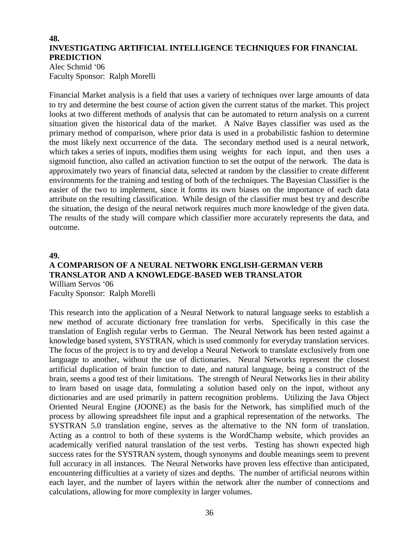#### **48. INVESTIGATING ARTIFICIAL INTELLIGENCE TECHNIQUES FOR FINANCIAL PREDICTION**

Alec Schmid '06 Faculty Sponsor: Ralph Morelli

Financial Market analysis is a field that uses a variety of techniques over large amounts of data to try and determine the best course of action given the current status of the market. This project looks at two different methods of analysis that can be automated to return analysis on a current situation given the historical data of the market. A Naïve Bayes classifier was used as the primary method of comparison, where prior data is used in a probabilistic fashion to determine the most likely next occurrence of the data. The secondary method used is a neural network, which takes a series of inputs, modifies them using weights for each input, and then uses a sigmoid function, also called an activation function to set the output of the network. The data is approximately two years of financial data, selected at random by the classifier to create different environments for the training and testing of both of the techniques. The Bayesian Classifier is the easier of the two to implement, since it forms its own biases on the importance of each data attribute on the resulting classification. While design of the classifier must best try and describe the situation, the design of the neural network requires much more knowledge of the given data. The results of the study will compare which classifier more accurately represents the data, and outcome.

#### **49.**

#### **A COMPARISON OF A NEURAL NETWORK ENGLISH-GERMAN VERB TRANSLATOR AND A KNOWLEDGE-BASED WEB TRANSLATOR** William Servos '06 Faculty Sponsor: Ralph Morelli

This research into the application of a Neural Network to natural language seeks to establish a new method of accurate dictionary free translation for verbs. Specifically in this case the

translation of English regular verbs to German. The Neural Network has been tested against a knowledge based system, SYSTRAN, which is used commonly for everyday translation services. The focus of the project is to try and develop a Neural Network to translate exclusively from one language to another, without the use of dictionaries. Neural Networks represent the closest artificial duplication of brain function to date, and natural language, being a construct of the brain, seems a good test of their limitations. The strength of Neural Networks lies in their ability to learn based on usage data, formulating a solution based only on the input, without any dictionaries and are used primarily in pattern recognition problems. Utilizing the Java Object Oriented Neural Engine (JOONE) as the basis for the Network, has simplified much of the process by allowing spreadsheet file input and a graphical representation of the networks. The SYSTRAN 5.0 translation engine, serves as the alternative to the NN form of translation. Acting as a control to both of these systems is the WordChamp website, which provides an academically verified natural translation of the test verbs. Testing has shown expected high success rates for the SYSTRAN system, though synonyms and double meanings seem to prevent full accuracy in all instances. The Neural Networks have proven less effective than anticipated, encountering difficulties at a variety of sizes and depths. The number of artificial neurons within each layer, and the number of layers within the network alter the number of connections and calculations, allowing for more complexity in larger volumes.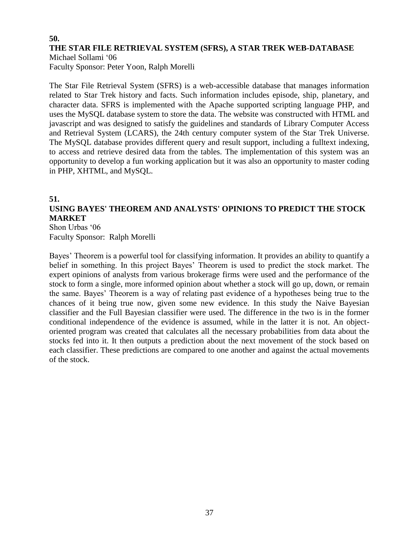## **50. THE STAR FILE RETRIEVAL SYSTEM (SFRS), A STAR TREK WEB-DATABASE**

Michael Sollami '06 Faculty Sponsor: Peter Yoon, Ralph Morelli

The Star File Retrieval System (SFRS) is a web-accessible database that manages information related to Star Trek history and facts. Such information includes episode, ship, planetary, and character data. SFRS is implemented with the Apache supported scripting language PHP, and uses the MySQL database system to store the data. The website was constructed with HTML and javascript and was designed to satisfy the guidelines and standards of Library Computer Access and Retrieval System (LCARS), the 24th century computer system of the Star Trek Universe. The MySQL database provides different query and result support, including a fulltext indexing, to access and retrieve desired data from the tables. The implementation of this system was an opportunity to develop a fun working application but it was also an opportunity to master coding in PHP, XHTML, and MySQL.

#### **51.**

## **USING BAYES' THEOREM AND ANALYSTS' OPINIONS TO PREDICT THE STOCK MARKET**

Shon Urbas '06 Faculty Sponsor: Ralph Morelli

Bayes' Theorem is a powerful tool for classifying information. It provides an ability to quantify a belief in something. In this project Bayes' Theorem is used to predict the stock market. The expert opinions of analysts from various brokerage firms were used and the performance of the stock to form a single, more informed opinion about whether a stock will go up, down, or remain the same. Bayes' Theorem is a way of relating past evidence of a hypotheses being true to the chances of it being true now, given some new evidence. In this study the Naive Bayesian classifier and the Full Bayesian classifier were used. The difference in the two is in the former conditional independence of the evidence is assumed, while in the latter it is not. An objectoriented program was created that calculates all the necessary probabilities from data about the stocks fed into it. It then outputs a prediction about the next movement of the stock based on each classifier. These predictions are compared to one another and against the actual movements of the stock.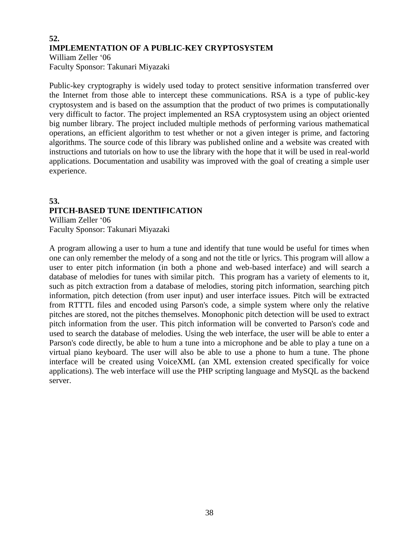#### **52. IMPLEMENTATION OF A PUBLIC-KEY CRYPTOSYSTEM** William Zeller '06 Faculty Sponsor: Takunari Miyazaki

Public-key cryptography is widely used today to protect sensitive information transferred over the Internet from those able to intercept these communications. RSA is a type of public-key cryptosystem and is based on the assumption that the product of two primes is computationally very difficult to factor. The project implemented an RSA cryptosystem using an object oriented big number library. The project included multiple methods of performing various mathematical operations, an efficient algorithm to test whether or not a given integer is prime, and factoring algorithms. The source code of this library was published online and a website was created with instructions and tutorials on how to use the library with the hope that it will be used in real-world applications. Documentation and usability was improved with the goal of creating a simple user experience.

## **53. PITCH-BASED TUNE IDENTIFICATION**

William Zeller '06 Faculty Sponsor: Takunari Miyazaki

A program allowing a user to hum a tune and identify that tune would be useful for times when one can only remember the melody of a song and not the title or lyrics. This program will allow a user to enter pitch information (in both a phone and web-based interface) and will search a database of melodies for tunes with similar pitch. This program has a variety of elements to it, such as pitch extraction from a database of melodies, storing pitch information, searching pitch information, pitch detection (from user input) and user interface issues. Pitch will be extracted from RTTTL files and encoded using Parson's code, a simple system where only the relative pitches are stored, not the pitches themselves. Monophonic pitch detection will be used to extract pitch information from the user. This pitch information will be converted to Parson's code and used to search the database of melodies. Using the web interface, the user will be able to enter a Parson's code directly, be able to hum a tune into a microphone and be able to play a tune on a virtual piano keyboard. The user will also be able to use a phone to hum a tune. The phone interface will be created using VoiceXML (an XML extension created specifically for voice applications). The web interface will use the PHP scripting language and MySQL as the backend server.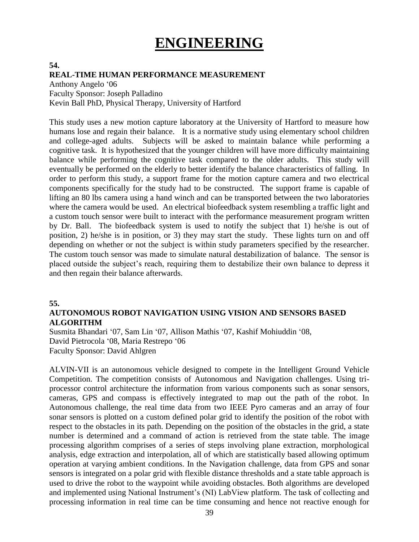## **ENGINEERING**

#### **54. REAL-TIME HUMAN PERFORMANCE MEASUREMENT**

Anthony Angelo '06 Faculty Sponsor: Joseph Palladino Kevin Ball PhD, Physical Therapy, University of Hartford

This study uses a new motion capture laboratory at the University of Hartford to measure how humans lose and regain their balance. It is a normative study using elementary school children and college-aged adults. Subjects will be asked to maintain balance while performing a cognitive task. It is hypothesized that the younger children will have more difficulty maintaining balance while performing the cognitive task compared to the older adults. This study will eventually be performed on the elderly to better identify the balance characteristics of falling. In order to perform this study, a support frame for the motion capture camera and two electrical components specifically for the study had to be constructed. The support frame is capable of lifting an 80 lbs camera using a hand winch and can be transported between the two laboratories where the camera would be used. An electrical biofeedback system resembling a traffic light and a custom touch sensor were built to interact with the performance measurement program written by Dr. Ball. The biofeedback system is used to notify the subject that 1) he/she is out of position, 2) he/she is in position, or 3) they may start the study. These lights turn on and off depending on whether or not the subject is within study parameters specified by the researcher. The custom touch sensor was made to simulate natural destabilization of balance. The sensor is placed outside the subject's reach, requiring them to destabilize their own balance to depress it and then regain their balance afterwards.

#### **55.**

#### **AUTONOMOUS ROBOT NAVIGATION USING VISION AND SENSORS BASED ALGORITHM**

Susmita Bhandari '07, Sam Lin '07, Allison Mathis '07, Kashif Mohiuddin '08, David Pietrocola '08, Maria Restrepo '06 Faculty Sponsor: David Ahlgren

ALVIN-VII is an autonomous vehicle designed to compete in the Intelligent Ground Vehicle Competition. The competition consists of Autonomous and Navigation challenges. Using triprocessor control architecture the information from various components such as sonar sensors, cameras, GPS and compass is effectively integrated to map out the path of the robot. In Autonomous challenge, the real time data from two IEEE Pyro cameras and an array of four sonar sensors is plotted on a custom defined polar grid to identify the position of the robot with respect to the obstacles in its path. Depending on the position of the obstacles in the grid, a state number is determined and a command of action is retrieved from the state table. The image processing algorithm comprises of a series of steps involving plane extraction, morphological analysis, edge extraction and interpolation, all of which are statistically based allowing optimum operation at varying ambient conditions. In the Navigation challenge, data from GPS and sonar sensors is integrated on a polar grid with flexible distance thresholds and a state table approach is used to drive the robot to the waypoint while avoiding obstacles. Both algorithms are developed and implemented using National Instrument's (NI) LabView platform. The task of collecting and processing information in real time can be time consuming and hence not reactive enough for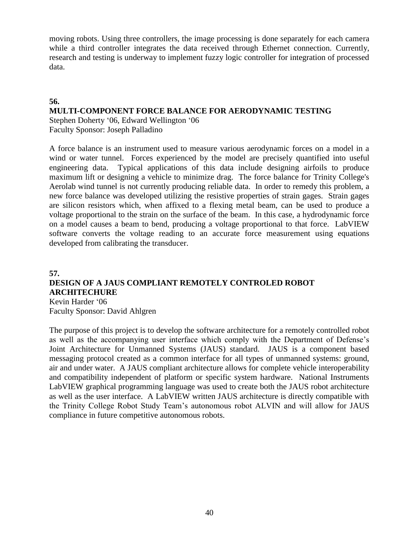moving robots. Using three controllers, the image processing is done separately for each camera while a third controller integrates the data received through Ethernet connection. Currently, research and testing is underway to implement fuzzy logic controller for integration of processed data.

#### **56.**

#### **MULTI-COMPONENT FORCE BALANCE FOR AERODYNAMIC TESTING**

Stephen Doherty '06, Edward Wellington '06 Faculty Sponsor: Joseph Palladino

A force balance is an instrument used to measure various aerodynamic forces on a model in a wind or water tunnel. Forces experienced by the model are precisely quantified into useful engineering data. Typical applications of this data include designing airfoils to produce maximum lift or designing a vehicle to minimize drag. The force balance for Trinity College's Aerolab wind tunnel is not currently producing reliable data. In order to remedy this problem, a new force balance was developed utilizing the resistive properties of strain gages. Strain gages are silicon resistors which, when affixed to a flexing metal beam, can be used to produce a voltage proportional to the strain on the surface of the beam. In this case, a hydrodynamic force on a model causes a beam to bend, producing a voltage proportional to that force. LabVIEW software converts the voltage reading to an accurate force measurement using equations developed from calibrating the transducer.

#### **57. DESIGN OF A JAUS COMPLIANT REMOTELY CONTROLED ROBOT ARCHITECHURE** Kevin Harder '06 Faculty Sponsor: David Ahlgren

The purpose of this project is to develop the software architecture for a remotely controlled robot as well as the accompanying user interface which comply with the Department of Defense's Joint Architecture for Unmanned Systems (JAUS) standard. JAUS is a component based messaging protocol created as a common interface for all types of unmanned systems: ground, air and under water. A JAUS compliant architecture allows for complete vehicle interoperability and compatibility independent of platform or specific system hardware. National Instruments LabVIEW graphical programming language was used to create both the JAUS robot architecture as well as the user interface. A LabVIEW written JAUS architecture is directly compatible with the Trinity College Robot Study Team's autonomous robot ALVIN and will allow for JAUS compliance in future competitive autonomous robots.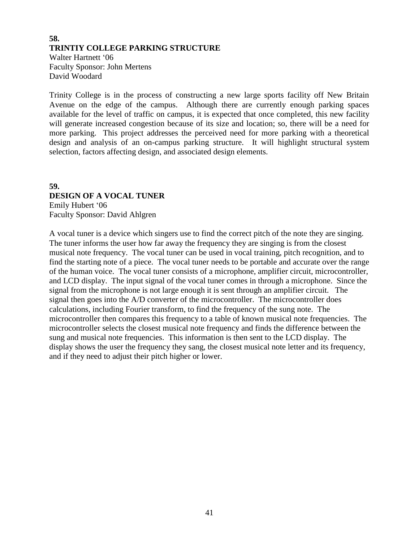#### **58. TRINTIY COLLEGE PARKING STRUCTURE** Walter Hartnett '06 Faculty Sponsor: John Mertens David Woodard

Trinity College is in the process of constructing a new large sports facility off New Britain Avenue on the edge of the campus. Although there are currently enough parking spaces available for the level of traffic on campus, it is expected that once completed, this new facility will generate increased congestion because of its size and location; so, there will be a need for more parking. This project addresses the perceived need for more parking with a theoretical design and analysis of an on-campus parking structure. It will highlight structural system selection, factors affecting design, and associated design elements.

#### **59. DESIGN OF A VOCAL TUNER** Emily Hubert '06 Faculty Sponsor: David Ahlgren

A vocal tuner is a device which singers use to find the correct pitch of the note they are singing. The tuner informs the user how far away the frequency they are singing is from the closest musical note frequency. The vocal tuner can be used in vocal training, pitch recognition, and to find the starting note of a piece. The vocal tuner needs to be portable and accurate over the range of the human voice. The vocal tuner consists of a microphone, amplifier circuit, microcontroller, and LCD display. The input signal of the vocal tuner comes in through a microphone. Since the signal from the microphone is not large enough it is sent through an amplifier circuit. The signal then goes into the A/D converter of the microcontroller. The microcontroller does calculations, including Fourier transform, to find the frequency of the sung note. The microcontroller then compares this frequency to a table of known musical note frequencies. The microcontroller selects the closest musical note frequency and finds the difference between the sung and musical note frequencies. This information is then sent to the LCD display. The display shows the user the frequency they sang, the closest musical note letter and its frequency, and if they need to adjust their pitch higher or lower.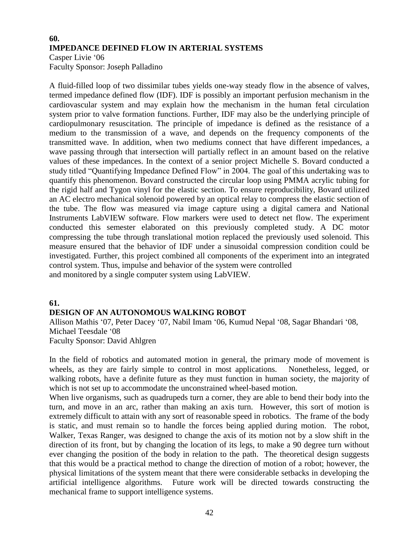## **60. IMPEDANCE DEFINED FLOW IN ARTERIAL SYSTEMS**

Casper Livie '06 Faculty Sponsor: Joseph Palladino

A fluid-filled loop of two dissimilar tubes yields one-way steady flow in the absence of valves, termed impedance defined flow (IDF). IDF is possibly an important perfusion mechanism in the cardiovascular system and may explain how the mechanism in the human fetal circulation system prior to valve formation functions. Further, IDF may also be the underlying principle of cardiopulmonary resuscitation. The principle of impedance is defined as the resistance of a medium to the transmission of a wave, and depends on the frequency components of the transmitted wave. In addition, when two mediums connect that have different impedances, a wave passing through that intersection will partially reflect in an amount based on the relative values of these impedances. In the context of a senior project Michelle S. Bovard conducted a study titled "Quantifying Impedance Defined Flow" in 2004. The goal of this undertaking was to quantify this phenomenon. Bovard constructed the circular loop using PMMA acrylic tubing for the rigid half and Tygon vinyl for the elastic section. To ensure reproducibility, Bovard utilized an AC electro mechanical solenoid powered by an optical relay to compress the elastic section of the tube. The flow was measured via image capture using a digital camera and National Instruments LabVIEW software. Flow markers were used to detect net flow. The experiment conducted this semester elaborated on this previously completed study. A DC motor compressing the tube through translational motion replaced the previously used solenoid. This measure ensured that the behavior of IDF under a sinusoidal compression condition could be investigated. Further, this project combined all components of the experiment into an integrated control system. Thus, impulse and behavior of the system were controlled and monitored by a single computer system using LabVIEW.

#### **61.**

#### **DESIGN OF AN AUTONOMOUS WALKING ROBOT**

Allison Mathis '07, Peter Dacey '07, Nabil Imam '06, Kumud Nepal '08, Sagar Bhandari '08, Michael Teesdale '08 Faculty Sponsor: David Ahlgren

In the field of robotics and automated motion in general, the primary mode of movement is wheels, as they are fairly simple to control in most applications. Nonetheless, legged, or walking robots, have a definite future as they must function in human society, the majority of which is not set up to accommodate the unconstrained wheel-based motion.

When live organisms, such as quadrupeds turn a corner, they are able to bend their body into the turn, and move in an arc, rather than making an axis turn. However, this sort of motion is extremely difficult to attain with any sort of reasonable speed in robotics. The frame of the body is static, and must remain so to handle the forces being applied during motion. The robot, Walker, Texas Ranger, was designed to change the axis of its motion not by a slow shift in the direction of its front, but by changing the location of its legs, to make a 90 degree turn without ever changing the position of the body in relation to the path. The theoretical design suggests that this would be a practical method to change the direction of motion of a robot; however, the physical limitations of the system meant that there were considerable setbacks in developing the artificial intelligence algorithms. Future work will be directed towards constructing the mechanical frame to support intelligence systems.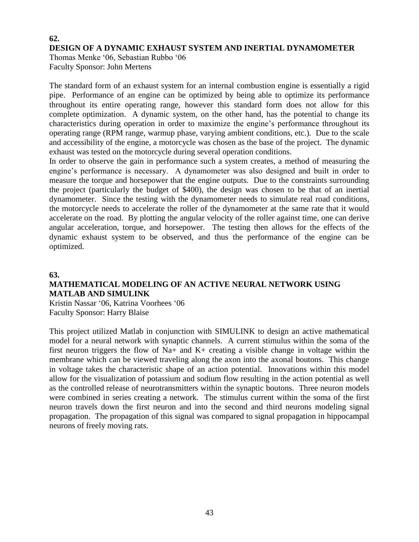## **62. DESIGN OF A DYNAMIC EXHAUST SYSTEM AND INERTIAL DYNAMOMETER**

Thomas Menke '06, Sebastian Rubbo '06 Faculty Sponsor: John Mertens

The standard form of an exhaust system for an internal combustion engine is essentially a rigid pipe. Performance of an engine can be optimized by being able to optimize its performance throughout its entire operating range, however this standard form does not allow for this complete optimization. A dynamic system, on the other hand, has the potential to change its characteristics during operation in order to maximize the engine's performance throughout its operating range (RPM range, warmup phase, varying ambient conditions, etc.). Due to the scale and accessibility of the engine, a motorcycle was chosen as the base of the project. The dynamic exhaust was tested on the motorcycle during several operation conditions.

In order to observe the gain in performance such a system creates, a method of measuring the engine's performance is necessary. A dynamometer was also designed and built in order to measure the torque and horsepower that the engine outputs. Due to the constraints surrounding the project (particularly the budget of \$400), the design was chosen to be that of an inertial dynamometer. Since the testing with the dynamometer needs to simulate real road conditions, the motorcycle needs to accelerate the roller of the dynamometer at the same rate that it would accelerate on the road. By plotting the angular velocity of the roller against time, one can derive angular acceleration, torque, and horsepower. The testing then allows for the effects of the dynamic exhaust system to be observed, and thus the performance of the engine can be optimized.

#### **63.**

## **MATHEMATICAL MODELING OF AN ACTIVE NEURAL NETWORK USING MATLAB AND SIMULINK**

Kristin Nassar '06, Katrina Voorhees '06 Faculty Sponsor: Harry Blaise

This project utilized Matlab in conjunction with SIMULINK to design an active mathematical model for a neural network with synaptic channels. A current stimulus within the soma of the first neuron triggers the flow of Na+ and K+ creating a visible change in voltage within the membrane which can be viewed traveling along the axon into the axonal boutons. This change in voltage takes the characteristic shape of an action potential. Innovations within this model allow for the visualization of potassium and sodium flow resulting in the action potential as well as the controlled release of neurotransmitters within the synaptic boutons. Three neuron models were combined in series creating a network. The stimulus current within the soma of the first neuron travels down the first neuron and into the second and third neurons modeling signal propagation. The propagation of this signal was compared to signal propagation in hippocampal neurons of freely moving rats.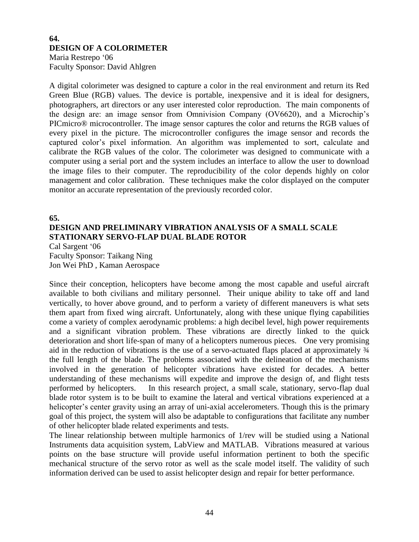### **64. DESIGN OF A COLORIMETER**

Maria Restrepo '06 Faculty Sponsor: David Ahlgren

A digital colorimeter was designed to capture a color in the real environment and return its Red Green Blue (RGB) values. The device is portable, inexpensive and it is ideal for designers, photographers, art directors or any user interested color reproduction. The main components of the design are: an image sensor from Omnivision Company (OV6620), and a Microchip's PICmicro® microcontroller. The image sensor captures the color and returns the RGB values of every pixel in the picture. The microcontroller configures the image sensor and records the captured color's pixel information. An algorithm was implemented to sort, calculate and calibrate the RGB values of the color. The colorimeter was designed to communicate with a computer using a serial port and the system includes an interface to allow the user to download the image files to their computer. The reproducibility of the color depends highly on color management and color calibration. These techniques make the color displayed on the computer monitor an accurate representation of the previously recorded color.

#### **65.**

## **DESIGN AND PRELIMINARY VIBRATION ANALYSIS OF A SMALL SCALE STATIONARY SERVO-FLAP DUAL BLADE ROTOR**

Cal Sargent '06 Faculty Sponsor: Taikang Ning Jon Wei PhD , Kaman Aerospace

Since their conception, helicopters have become among the most capable and useful aircraft available to both civilians and military personnel. Their unique ability to take off and land vertically, to hover above ground, and to perform a variety of different maneuvers is what sets them apart from fixed wing aircraft. Unfortunately, along with these unique flying capabilities come a variety of complex aerodynamic problems: a high decibel level, high power requirements and a significant vibration problem. These vibrations are directly linked to the quick deterioration and short life-span of many of a helicopters numerous pieces. One very promising aid in the reduction of vibrations is the use of a servo-actuated flaps placed at approximately ¾ the full length of the blade. The problems associated with the delineation of the mechanisms involved in the generation of helicopter vibrations have existed for decades. A better understanding of these mechanisms will expedite and improve the design of, and flight tests performed by helicopters. In this research project, a small scale, stationary, servo-flap dual blade rotor system is to be built to examine the lateral and vertical vibrations experienced at a helicopter's center gravity using an array of uni-axial accelerometers. Though this is the primary goal of this project, the system will also be adaptable to configurations that facilitate any number of other helicopter blade related experiments and tests.

The linear relationship between multiple harmonics of 1/rev will be studied using a National Instruments data acquisition system, LabView and MATLAB. Vibrations measured at various points on the base structure will provide useful information pertinent to both the specific mechanical structure of the servo rotor as well as the scale model itself. The validity of such information derived can be used to assist helicopter design and repair for better performance.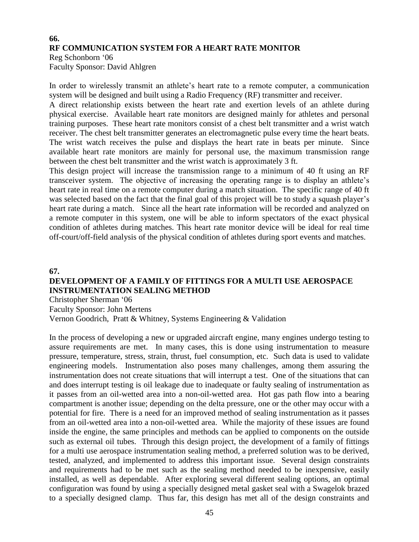## **66. RF COMMUNICATION SYSTEM FOR A HEART RATE MONITOR**

Reg Schonborn '06 Faculty Sponsor: David Ahlgren

In order to wirelessly transmit an athlete's heart rate to a remote computer, a communication system will be designed and built using a Radio Frequency (RF) transmitter and receiver.

A direct relationship exists between the heart rate and exertion levels of an athlete during physical exercise. Available heart rate monitors are designed mainly for athletes and personal training purposes. These heart rate monitors consist of a chest belt transmitter and a wrist watch receiver. The chest belt transmitter generates an electromagnetic pulse every time the heart beats. The wrist watch receives the pulse and displays the heart rate in beats per minute. Since available heart rate monitors are mainly for personal use, the maximum transmission range between the chest belt transmitter and the wrist watch is approximately 3 ft.

This design project will increase the transmission range to a minimum of 40 ft using an RF transceiver system. The objective of increasing the operating range is to display an athlete's heart rate in real time on a remote computer during a match situation. The specific range of 40 ft was selected based on the fact that the final goal of this project will be to study a squash player's heart rate during a match. Since all the heart rate information will be recorded and analyzed on a remote computer in this system, one will be able to inform spectators of the exact physical condition of athletes during matches. This heart rate monitor device will be ideal for real time off-court/off-field analysis of the physical condition of athletes during sport events and matches.

#### **67.**

#### **DEVELOPMENT OF A FAMILY OF FITTINGS FOR A MULTI USE AEROSPACE INSTRUMENTATION SEALING METHOD**

Christopher Sherman '06

Faculty Sponsor: John Mertens

Vernon Goodrich, Pratt & Whitney, Systems Engineering & Validation

In the process of developing a new or upgraded aircraft engine, many engines undergo testing to assure requirements are met. In many cases, this is done using instrumentation to measure pressure, temperature, stress, strain, thrust, fuel consumption, etc. Such data is used to validate engineering models. Instrumentation also poses many challenges, among them assuring the instrumentation does not create situations that will interrupt a test. One of the situations that can and does interrupt testing is oil leakage due to inadequate or faulty sealing of instrumentation as it passes from an oil-wetted area into a non-oil-wetted area. Hot gas path flow into a bearing compartment is another issue; depending on the delta pressure, one or the other may occur with a potential for fire. There is a need for an improved method of sealing instrumentation as it passes from an oil-wetted area into a non-oil-wetted area. While the majority of these issues are found inside the engine, the same principles and methods can be applied to components on the outside such as external oil tubes. Through this design project, the development of a family of fittings for a multi use aerospace instrumentation sealing method, a preferred solution was to be derived, tested, analyzed, and implemented to address this important issue. Several design constraints and requirements had to be met such as the sealing method needed to be inexpensive, easily installed, as well as dependable. After exploring several different sealing options, an optimal configuration was found by using a specially designed metal gasket seal with a Swagelok brazed to a specially designed clamp. Thus far, this design has met all of the design constraints and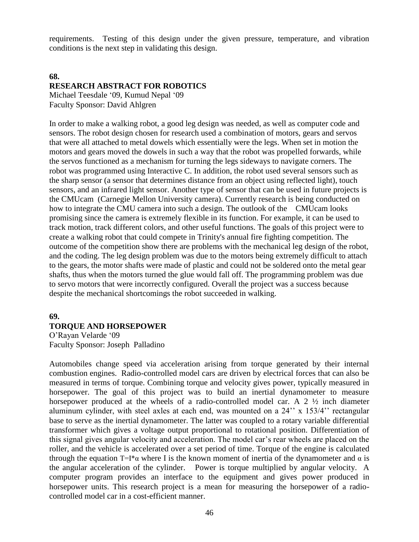requirements. Testing of this design under the given pressure, temperature, and vibration conditions is the next step in validating this design.

#### **68. RESEARCH ABSTRACT FOR ROBOTICS**

Michael Teesdale '09, Kumud Nepal '09 Faculty Sponsor: David Ahlgren

In order to make a walking robot, a good leg design was needed, as well as computer code and sensors. The robot design chosen for research used a combination of motors, gears and servos that were all attached to metal dowels which essentially were the legs. When set in motion the motors and gears moved the dowels in such a way that the robot was propelled forwards, while the servos functioned as a mechanism for turning the legs sideways to navigate corners. The robot was programmed using Interactive C. In addition, the robot used several sensors such as the sharp sensor (a sensor that determines distance from an object using reflected light), touch sensors, and an infrared light sensor. Another type of sensor that can be used in future projects is the CMUcam (Carnegie Mellon University camera). Currently research is being conducted on how to integrate the CMU camera into such a design. The outlook of the CMUcam looks promising since the camera is extremely flexible in its function. For example, it can be used to track motion, track different colors, and other useful functions. The goals of this project were to create a walking robot that could compete in Trinity's annual fire fighting competition. The outcome of the competition show there are problems with the mechanical leg design of the robot, and the coding. The leg design problem was due to the motors being extremely difficult to attach to the gears, the motor shafts were made of plastic and could not be soldered onto the metal gear shafts, thus when the motors turned the glue would fall off. The programming problem was due to servo motors that were incorrectly configured. Overall the project was a success because despite the mechanical shortcomings the robot succeeded in walking.

#### **69.**

#### **TORQUE AND HORSEPOWER**

O'Rayan Velarde '09 Faculty Sponsor: Joseph Palladino

Automobiles change speed via acceleration arising from torque generated by their internal combustion engines. Radio-controlled model cars are driven by electrical forces that can also be measured in terms of torque. Combining torque and velocity gives power, typically measured in horsepower. The goal of this project was to build an inertial dynamometer to measure horsepower produced at the wheels of a radio-controlled model car. A 2  $\frac{1}{2}$  inch diameter aluminum cylinder, with steel axles at each end, was mounted on a 24'' x 153/4'' rectangular base to serve as the inertial dynamometer. The latter was coupled to a rotary variable differential transformer which gives a voltage output proportional to rotational position. Differentiation of this signal gives angular velocity and acceleration. The model car's rear wheels are placed on the roller, and the vehicle is accelerated over a set period of time. Torque of the engine is calculated through the equation T=I<sup>\*</sup> $\alpha$  where I is the known moment of inertia of the dynamometer and  $\alpha$  is the angular acceleration of the cylinder. Power is torque multiplied by angular velocity. A computer program provides an interface to the equipment and gives power produced in horsepower units. This research project is a mean for measuring the horsepower of a radiocontrolled model car in a cost-efficient manner.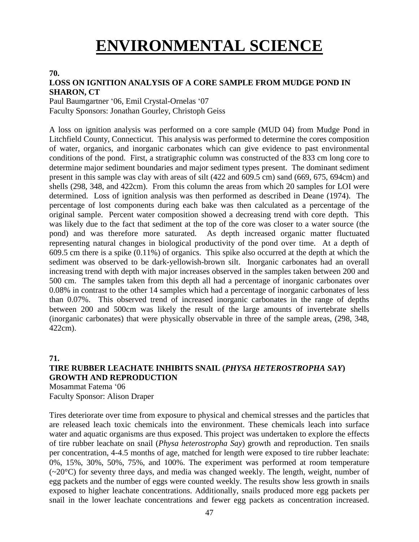# **ENVIRONMENTAL SCIENCE**

#### **70.**

#### **LOSS ON IGNITION ANALYSIS OF A CORE SAMPLE FROM MUDGE POND IN SHARON, CT**

Paul Baumgartner '06, Emil Crystal-Ornelas '07 Faculty Sponsors: Jonathan Gourley, Christoph Geiss

A loss on ignition analysis was performed on a core sample (MUD 04) from Mudge Pond in Litchfield County, Connecticut. This analysis was performed to determine the cores composition of water, organics, and inorganic carbonates which can give evidence to past environmental conditions of the pond. First, a stratigraphic column was constructed of the 833 cm long core to determine major sediment boundaries and major sediment types present. The dominant sediment present in this sample was clay with areas of silt (422 and 609.5 cm) sand (669, 675, 694cm) and shells (298, 348, and 422cm). From this column the areas from which 20 samples for LOI were determined. Loss of ignition analysis was then performed as described in Deane (1974). The percentage of lost components during each bake was then calculated as a percentage of the original sample. Percent water composition showed a decreasing trend with core depth. This was likely due to the fact that sediment at the top of the core was closer to a water source (the pond) and was therefore more saturated. As depth increased organic matter fluctuated representing natural changes in biological productivity of the pond over time. At a depth of 609.5 cm there is a spike (0.11%) of organics. This spike also occurred at the depth at which the sediment was observed to be dark-yellowish-brown silt. Inorganic carbonates had an overall increasing trend with depth with major increases observed in the samples taken between 200 and 500 cm. The samples taken from this depth all had a percentage of inorganic carbonates over 0.08% in contrast to the other 14 samples which had a percentage of inorganic carbonates of less than 0.07%. This observed trend of increased inorganic carbonates in the range of depths between 200 and 500cm was likely the result of the large amounts of invertebrate shells (inorganic carbonates) that were physically observable in three of the sample areas, (298, 348, 422cm).

#### **71.**

### **TIRE RUBBER LEACHATE INHIBITS SNAIL (***PHYSA HETEROSTROPHA SAY***) GROWTH AND REPRODUCTION**

Mosammat Fatema '06 Faculty Sponsor: Alison Draper

Tires deteriorate over time from exposure to physical and chemical stresses and the particles that are released leach toxic chemicals into the environment. These chemicals leach into surface water and aquatic organisms are thus exposed. This project was undertaken to explore the effects of tire rubber leachate on snail (*Physa heterostropha Say*) growth and reproduction. Ten snails per concentration, 4-4.5 months of age, matched for length were exposed to tire rubber leachate: 0%, 15%, 30%, 50%, 75%, and 100%. The experiment was performed at room temperature  $(\sim 20^{\circ}$ C) for seventy three days, and media was changed weekly. The length, weight, number of egg packets and the number of eggs were counted weekly. The results show less growth in snails exposed to higher leachate concentrations. Additionally, snails produced more egg packets per snail in the lower leachate concentrations and fewer egg packets as concentration increased.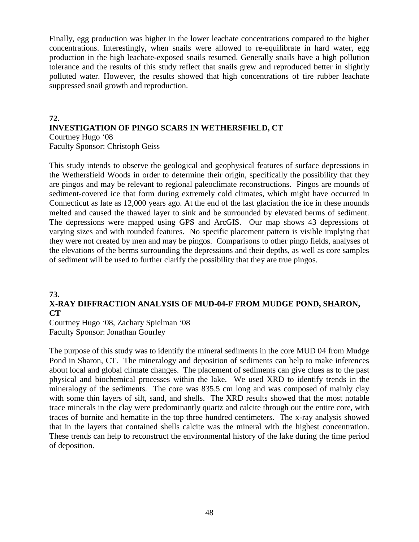Finally, egg production was higher in the lower leachate concentrations compared to the higher concentrations. Interestingly, when snails were allowed to re-equilibrate in hard water, egg production in the high leachate-exposed snails resumed. Generally snails have a high pollution tolerance and the results of this study reflect that snails grew and reproduced better in slightly polluted water. However, the results showed that high concentrations of tire rubber leachate suppressed snail growth and reproduction.

#### **72. INVESTIGATION OF PINGO SCARS IN WETHERSFIELD, CT** Courtney Hugo '08 Faculty Sponsor: Christoph Geiss

This study intends to observe the geological and geophysical features of surface depressions in the Wethersfield Woods in order to determine their origin, specifically the possibility that they are pingos and may be relevant to regional paleoclimate reconstructions. Pingos are mounds of sediment-covered ice that form during extremely cold climates, which might have occurred in Connecticut as late as 12,000 years ago. At the end of the last glaciation the ice in these mounds melted and caused the thawed layer to sink and be surrounded by elevated berms of sediment. The depressions were mapped using GPS and ArcGIS. Our map shows 43 depressions of varying sizes and with rounded features. No specific placement pattern is visible implying that they were not created by men and may be pingos. Comparisons to other pingo fields, analyses of the elevations of the berms surrounding the depressions and their depths, as well as core samples of sediment will be used to further clarify the possibility that they are true pingos.

#### **73.**

### **X-RAY DIFFRACTION ANALYSIS OF MUD-04-F FROM MUDGE POND, SHARON, CT**

Courtney Hugo '08, Zachary Spielman '08 Faculty Sponsor: Jonathan Gourley

The purpose of this study was to identify the mineral sediments in the core MUD 04 from Mudge Pond in Sharon, CT. The mineralogy and deposition of sediments can help to make inferences about local and global climate changes. The placement of sediments can give clues as to the past physical and biochemical processes within the lake. We used XRD to identify trends in the mineralogy of the sediments. The core was 835.5 cm long and was composed of mainly clay with some thin layers of silt, sand, and shells. The XRD results showed that the most notable trace minerals in the clay were predominantly quartz and calcite through out the entire core, with traces of bornite and hematite in the top three hundred centimeters. The x-ray analysis showed that in the layers that contained shells calcite was the mineral with the highest concentration. These trends can help to reconstruct the environmental history of the lake during the time period of deposition.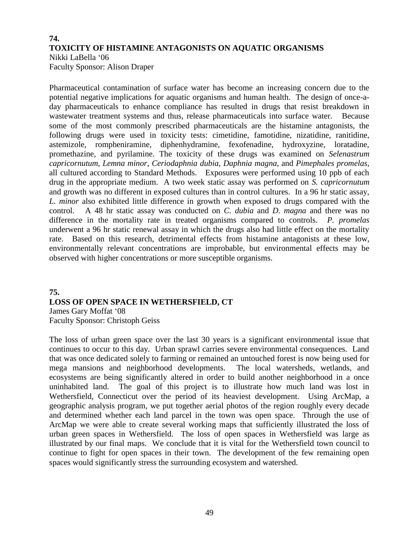#### **74. TOXICITY OF HISTAMINE ANTAGONISTS ON AQUATIC ORGANISMS** Nikki LaBella '06

Faculty Sponsor: Alison Draper

Pharmaceutical contamination of surface water has become an increasing concern due to the potential negative implications for aquatic organisms and human health. The design of once-aday pharmaceuticals to enhance compliance has resulted in drugs that resist breakdown in wastewater treatment systems and thus, release pharmaceuticals into surface water. Because some of the most commonly prescribed pharmaceuticals are the histamine antagonists, the following drugs were used in toxicity tests: cimetidine, famotidine, nizatidine, ranitidine, astemizole, rompheniramine, diphenhydramine, fexofenadine, hydroxyzine, loratadine, promethazine, and pyrilamine. The toxicity of these drugs was examined on *Selenastrum capricornutum*, *Lemna minor*, *Ceriodaphnia dubia*, *Daphnia magna*, and *Pimephales promelas*, all cultured according to Standard Methods. Exposures were performed using 10 ppb of each drug in the appropriate medium. A two week static assay was performed on *S. capricornutum* and growth was no different in exposed cultures than in control cultures. In a 96 hr static assay, *L. minor* also exhibited little difference in growth when exposed to drugs compared with the control. A 48 hr static assay was conducted on *C. dubia* and *D. magna* and there was no difference in the mortality rate in treated organisms compared to controls. *P. promelas* underwent a 96 hr static renewal assay in which the drugs also had little effect on the mortality rate. Based on this research, detrimental effects from histamine antagonists at these low, environmentally relevant concentrations are improbable, but environmental effects may be observed with higher concentrations or more susceptible organisms.

## **75. LOSS OF OPEN SPACE IN WETHERSFIELD, CT**  James Gary Moffat '08

Faculty Sponsor: Christoph Geiss

The loss of urban green space over the last 30 years is a significant environmental issue that continues to occur to this day. Urban sprawl carries severe environmental consequences. Land that was once dedicated solely to farming or remained an untouched forest is now being used for mega mansions and neighborhood developments. The local watersheds, wetlands, and ecosystems are being significantly altered in order to build another neighborhood in a once uninhabited land. The goal of this project is to illustrate how much land was lost in Wethersfield, Connecticut over the period of its heaviest development. Using ArcMap, a geographic analysis program, we put together aerial photos of the region roughly every decade and determined whether each land parcel in the town was open space. Through the use of ArcMap we were able to create several working maps that sufficiently illustrated the loss of urban green spaces in Wethersfield. The loss of open spaces in Wethersfield was large as illustrated by our final maps. We conclude that it is vital for the Wethersfield town council to continue to fight for open spaces in their town. The development of the few remaining open spaces would significantly stress the surrounding ecosystem and watershed.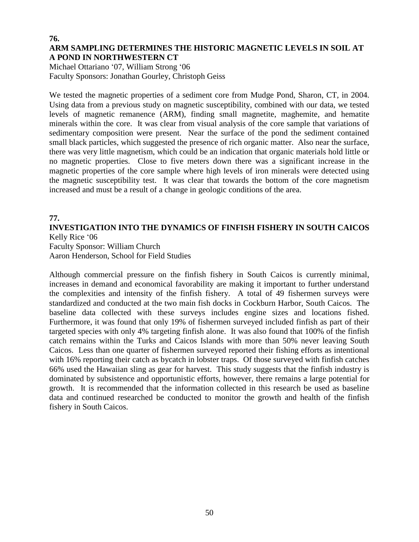#### **76. ARM SAMPLING DETERMINES THE HISTORIC MAGNETIC LEVELS IN SOIL AT A POND IN NORTHWESTERN CT**

Michael Ottariano '07, William Strong '06 Faculty Sponsors: Jonathan Gourley, Christoph Geiss

We tested the magnetic properties of a sediment core from Mudge Pond, Sharon, CT, in 2004. Using data from a previous study on magnetic susceptibility, combined with our data, we tested levels of magnetic remanence (ARM), finding small magnetite, maghemite, and hematite minerals within the core. It was clear from visual analysis of the core sample that variations of sedimentary composition were present. Near the surface of the pond the sediment contained small black particles, which suggested the presence of rich organic matter. Also near the surface, there was very little magnetism, which could be an indication that organic materials hold little or no magnetic properties. Close to five meters down there was a significant increase in the magnetic properties of the core sample where high levels of iron minerals were detected using the magnetic susceptibility test. It was clear that towards the bottom of the core magnetism increased and must be a result of a change in geologic conditions of the area.

#### **77.**

## **INVESTIGATION INTO THE DYNAMICS OF FINFISH FISHERY IN SOUTH CAICOS** Kelly Rice '06

Faculty Sponsor: William Church Aaron Henderson, School for Field Studies

Although commercial pressure on the finfish fishery in South Caicos is currently minimal, increases in demand and economical favorability are making it important to further understand the complexities and intensity of the finfish fishery. A total of 49 fishermen surveys were standardized and conducted at the two main fish docks in Cockburn Harbor, South Caicos. The baseline data collected with these surveys includes engine sizes and locations fished. Furthermore, it was found that only 19% of fishermen surveyed included finfish as part of their targeted species with only 4% targeting finfish alone. It was also found that 100% of the finfish catch remains within the Turks and Caicos Islands with more than 50% never leaving South Caicos. Less than one quarter of fishermen surveyed reported their fishing efforts as intentional with 16% reporting their catch as bycatch in lobster traps. Of those surveyed with finfish catches 66% used the Hawaiian sling as gear for harvest. This study suggests that the finfish industry is dominated by subsistence and opportunistic efforts, however, there remains a large potential for growth. It is recommended that the information collected in this research be used as baseline data and continued researched be conducted to monitor the growth and health of the finfish fishery in South Caicos.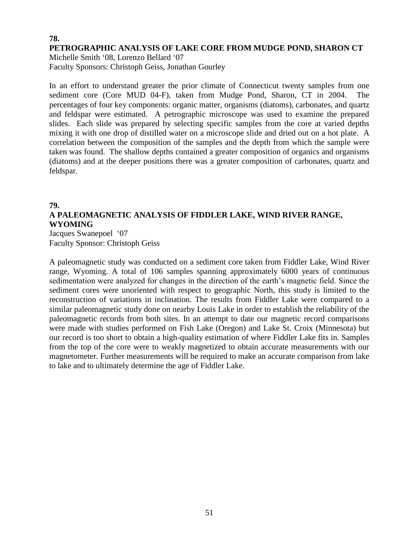#### **78. PETROGRAPHIC ANALYSIS OF LAKE CORE FROM MUDGE POND, SHARON CT**

Michelle Smith '08, Lorenzo Bellard '07 Faculty Sponsors: Christoph Geiss, Jonathan Gourley

In an effort to understand greater the prior climate of Connecticut twenty samples from one sediment core (Core MUD 04-F), taken from Mudge Pond, Sharon, CT in 2004. The percentages of four key components: organic matter, organisms (diatoms), carbonates, and quartz and feldspar were estimated. A petrographic microscope was used to examine the prepared slides. Each slide was prepared by selecting specific samples from the core at varied depths mixing it with one drop of distilled water on a microscope slide and dried out on a hot plate. A correlation between the composition of the samples and the depth from which the sample were taken was found. The shallow depths contained a greater composition of organics and organisms (diatoms) and at the deeper positions there was a greater composition of carbonates, quartz and feldspar.

#### **79.**

## **A PALEOMAGNETIC ANALYSIS OF FIDDLER LAKE, WIND RIVER RANGE, WYOMING**

Jacques Swanepoel '07 Faculty Sponsor: Christoph Geiss

A paleomagnetic study was conducted on a sediment core taken from Fiddler Lake, Wind River range, Wyoming. A total of 106 samples spanning approximately 6000 years of continuous sedimentation were analyzed for changes in the direction of the earth's magnetic field. Since the sediment cores were unoriented with respect to geographic North, this study is limited to the reconstruction of variations in inclination. The results from Fiddler Lake were compared to a similar paleomagnetic study done on nearby Louis Lake in order to establish the reliability of the paleomagnetic records from both sites. In an attempt to date our magnetic record comparisons were made with studies performed on Fish Lake (Oregon) and Lake St. Croix (Minnesota) but our record is too short to obtain a high-quality estimation of where Fiddler Lake fits in. Samples from the top of the core were to weakly magnetized to obtain accurate measurements with our magnetometer. Further measurements will be required to make an accurate comparison from lake to lake and to ultimately determine the age of Fiddler Lake.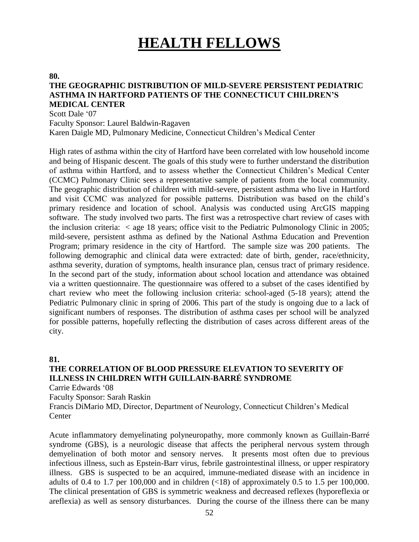## **HEALTH FELLOWS**

#### **80.**

#### **THE GEOGRAPHIC DISTRIBUTION OF MILD-SEVERE PERSISTENT PEDIATRIC ASTHMA IN HARTFORD PATIENTS OF THE CONNECTICUT CHILDREN'S MEDICAL CENTER**

Scott Dale '07

Faculty Sponsor: Laurel Baldwin-Ragaven

Karen Daigle MD, Pulmonary Medicine, Connecticut Children's Medical Center

High rates of asthma within the city of Hartford have been correlated with low household income and being of Hispanic descent. The goals of this study were to further understand the distribution of asthma within Hartford, and to assess whether the Connecticut Children's Medical Center (CCMC) Pulmonary Clinic sees a representative sample of patients from the local community. The geographic distribution of children with mild-severe, persistent asthma who live in Hartford and visit CCMC was analyzed for possible patterns. Distribution was based on the child's primary residence and location of school. Analysis was conducted using ArcGIS mapping software. The study involved two parts. The first was a retrospective chart review of cases with the inclusion criteria:  $\langle$  age 18 years; office visit to the Pediatric Pulmonology Clinic in 2005; mild-severe, persistent asthma as defined by the National Asthma Education and Prevention Program; primary residence in the city of Hartford. The sample size was 200 patients. The following demographic and clinical data were extracted: date of birth, gender, race/ethnicity, asthma severity, duration of symptoms, health insurance plan, census tract of primary residence. In the second part of the study, information about school location and attendance was obtained via a written questionnaire. The questionnaire was offered to a subset of the cases identified by chart review who meet the following inclusion criteria: school-aged (5-18 years); attend the Pediatric Pulmonary clinic in spring of 2006. This part of the study is ongoing due to a lack of significant numbers of responses. The distribution of asthma cases per school will be analyzed for possible patterns, hopefully reflecting the distribution of cases across different areas of the city.

#### **81.**

#### **THE CORRELATION OF BLOOD PRESSURE ELEVATION TO SEVERITY OF ILLNESS IN CHILDREN WITH GUILLAIN-BARRÉ SYNDROME**

Carrie Edwards '08

Faculty Sponsor: Sarah Raskin

Francis DiMario MD, Director, Department of Neurology, Connecticut Children's Medical **Center** 

Acute inflammatory demyelinating polyneuropathy, more commonly known as Guillain-Barré syndrome (GBS), is a neurologic disease that affects the peripheral nervous system through demyelination of both motor and sensory nerves. It presents most often due to previous infectious illness, such as Epstein-Barr virus, febrile gastrointestinal illness, or upper respiratory illness. GBS is suspected to be an acquired, immune-mediated disease with an incidence in adults of 0.4 to 1.7 per 100,000 and in children  $(\langle 18 \rangle)$  of approximately 0.5 to 1.5 per 100,000. The clinical presentation of GBS is symmetric weakness and decreased reflexes (hyporeflexia or areflexia) as well as sensory disturbances. During the course of the illness there can be many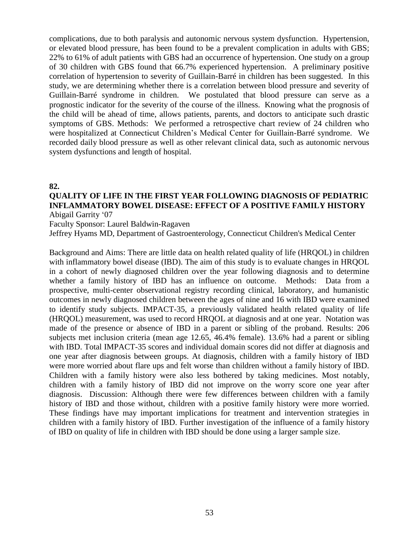complications, due to both paralysis and autonomic nervous system dysfunction. Hypertension, or elevated blood pressure, has been found to be a prevalent complication in adults with GBS; 22% to 61% of adult patients with GBS had an occurrence of hypertension. One study on a group of 30 children with GBS found that 66.7% experienced hypertension. A preliminary positive correlation of hypertension to severity of Guillain-Barré in children has been suggested. In this study, we are determining whether there is a correlation between blood pressure and severity of Guillain-Barré syndrome in children. We postulated that blood pressure can serve as a prognostic indicator for the severity of the course of the illness. Knowing what the prognosis of the child will be ahead of time, allows patients, parents, and doctors to anticipate such drastic symptoms of GBS. Methods: We performed a retrospective chart review of 24 children who were hospitalized at Connecticut Children's Medical Center for Guillain-Barré syndrome. We recorded daily blood pressure as well as other relevant clinical data, such as autonomic nervous system dysfunctions and length of hospital.

#### **82.**

## **QUALITY OF LIFE IN THE FIRST YEAR FOLLOWING DIAGNOSIS OF PEDIATRIC INFLAMMATORY BOWEL DISEASE: EFFECT OF A POSITIVE FAMILY HISTORY**

Abigail Garrity '07

Faculty Sponsor: Laurel Baldwin-Ragaven

Jeffrey Hyams MD, Department of Gastroenterology, Connecticut Children's Medical Center

Background and Aims: There are little data on health related quality of life (HRQOL) in children with inflammatory bowel disease (IBD). The aim of this study is to evaluate changes in HRQOL in a cohort of newly diagnosed children over the year following diagnosis and to determine whether a family history of IBD has an influence on outcome. Methods: Data from a prospective, multi-center observational registry recording clinical, laboratory, and humanistic outcomes in newly diagnosed children between the ages of nine and 16 with IBD were examined to identify study subjects. IMPACT-35, a previously validated health related quality of life (HRQOL) measurement, was used to record HRQOL at diagnosis and at one year. Notation was made of the presence or absence of IBD in a parent or sibling of the proband. Results: 206 subjects met inclusion criteria (mean age 12.65, 46.4% female). 13.6% had a parent or sibling with IBD. Total IMPACT-35 scores and individual domain scores did not differ at diagnosis and one year after diagnosis between groups. At diagnosis, children with a family history of IBD were more worried about flare ups and felt worse than children without a family history of IBD. Children with a family history were also less bothered by taking medicines. Most notably, children with a family history of IBD did not improve on the worry score one year after diagnosis. Discussion: Although there were few differences between children with a family history of IBD and those without, children with a positive family history were more worried. These findings have may important implications for treatment and intervention strategies in children with a family history of IBD. Further investigation of the influence of a family history of IBD on quality of life in children with IBD should be done using a larger sample size.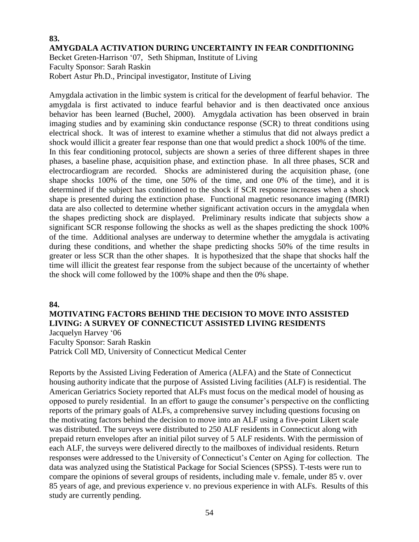#### **83. AMYGDALA ACTIVATION DURING UNCERTAINTY IN FEAR CONDITIONING** Becket Greten-Harrison '07, Seth Shipman, Institute of Living Faculty Sponsor: Sarah Raskin

Robert Astur Ph.D., Principal investigator, Institute of Living

Amygdala activation in the limbic system is critical for the development of fearful behavior. The amygdala is first activated to induce fearful behavior and is then deactivated once anxious behavior has been learned (Buchel, 2000). Amygdala activation has been observed in brain imaging studies and by examining skin conductance response (SCR) to threat conditions using electrical shock. It was of interest to examine whether a stimulus that did not always predict a shock would illicit a greater fear response than one that would predict a shock 100% of the time. In this fear conditioning protocol, subjects are shown a series of three different shapes in three phases, a baseline phase, acquisition phase, and extinction phase. In all three phases, SCR and electrocardiogram are recorded. Shocks are administered during the acquisition phase, (one shape shocks 100% of the time, one 50% of the time, and one 0% of the time), and it is determined if the subject has conditioned to the shock if SCR response increases when a shock shape is presented during the extinction phase. Functional magnetic resonance imaging (fMRI) data are also collected to determine whether significant activation occurs in the amygdala when the shapes predicting shock are displayed. Preliminary results indicate that subjects show a significant SCR response following the shocks as well as the shapes predicting the shock 100% of the time. Additional analyses are underway to determine whether the amygdala is activating during these conditions, and whether the shape predicting shocks 50% of the time results in greater or less SCR than the other shapes. It is hypothesized that the shape that shocks half the time will illicit the greatest fear response from the subject because of the uncertainty of whether the shock will come followed by the 100% shape and then the 0% shape.

#### **84.**

#### **MOTIVATING FACTORS BEHIND THE DECISION TO MOVE INTO ASSISTED LIVING: A SURVEY OF CONNECTICUT ASSISTED LIVING RESIDENTS**  Jacquelyn Harvey '06 Faculty Sponsor: Sarah Raskin

Patrick Coll MD, University of Connecticut Medical Center

Reports by the Assisted Living Federation of America (ALFA) and the State of Connecticut housing authority indicate that the purpose of Assisted Living facilities (ALF) is residential. The American Geriatrics Society reported that ALFs must focus on the medical model of housing as opposed to purely residential. In an effort to gauge the consumer's perspective on the conflicting reports of the primary goals of ALFs, a comprehensive survey including questions focusing on the motivating factors behind the decision to move into an ALF using a five-point Likert scale was distributed. The surveys were distributed to 250 ALF residents in Connecticut along with prepaid return envelopes after an initial pilot survey of 5 ALF residents. With the permission of each ALF, the surveys were delivered directly to the mailboxes of individual residents. Return responses were addressed to the University of Connecticut's Center on Aging for collection. The data was analyzed using the Statistical Package for Social Sciences (SPSS). T-tests were run to compare the opinions of several groups of residents, including male v. female, under 85 v. over 85 years of age, and previous experience v. no previous experience in with ALFs. Results of this study are currently pending.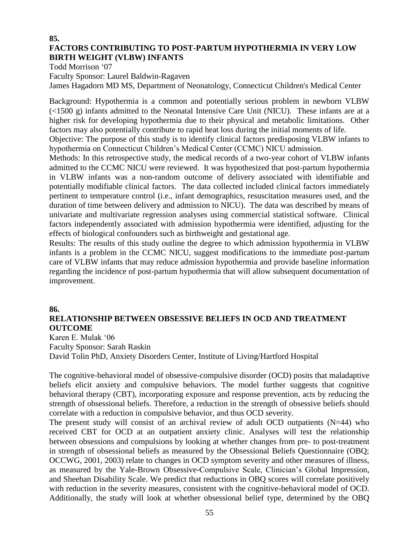#### **85. FACTORS CONTRIBUTING TO POST-PARTUM HYPOTHERMIA IN VERY LOW BIRTH WEIGHT (VLBW) INFANTS**

Todd Morrison '07

Faculty Sponsor: Laurel Baldwin-Ragaven

James Hagadorn MD MS, Department of Neonatology, Connecticut Children's Medical Center

Background: Hypothermia is a common and potentially serious problem in newborn VLBW (<1500 g) infants admitted to the Neonatal Intensive Care Unit (NICU). These infants are at a higher risk for developing hypothermia due to their physical and metabolic limitations. Other factors may also potentially contribute to rapid heat loss during the initial moments of life.

Objective: The purpose of this study is to identify clinical factors predisposing VLBW infants to hypothermia on Connecticut Children's Medical Center (CCMC) NICU admission.

Methods: In this retrospective study, the medical records of a two-year cohort of VLBW infants admitted to the CCMC NICU were reviewed. It was hypothesized that post-partum hypothermia in VLBW infants was a non-random outcome of delivery associated with identifiable and potentially modifiable clinical factors. The data collected included clinical factors immediately pertinent to temperature control (i.e., infant demographics, resuscitation measures used, and the duration of time between delivery and admission to NICU). The data was described by means of univariate and multivariate regression analyses using commercial statistical software. Clinical factors independently associated with admission hypothermia were identified, adjusting for the effects of biological confounders such as birthweight and gestational age.

Results: The results of this study outline the degree to which admission hypothermia in VLBW infants is a problem in the CCMC NICU, suggest modifications to the immediate post-partum care of VLBW infants that may reduce admission hypothermia and provide baseline information regarding the incidence of post-partum hypothermia that will allow subsequent documentation of improvement.

#### **86.**

## **RELATIONSHIP BETWEEN OBSESSIVE BELIEFS IN OCD AND TREATMENT OUTCOME**

Karen E. Mulak '06 Faculty Sponsor: Sarah Raskin David Tolin PhD, Anxiety Disorders Center, Institute of Living/Hartford Hospital

The cognitive-behavioral model of obsessive-compulsive disorder (OCD) posits that maladaptive beliefs elicit anxiety and compulsive behaviors. The model further suggests that cognitive behavioral therapy (CBT), incorporating exposure and response prevention, acts by reducing the strength of obsessional beliefs. Therefore, a reduction in the strength of obsessive beliefs should correlate with a reduction in compulsive behavior, and thus OCD severity.

The present study will consist of an archival review of adult OCD outpatients (N=44) who received CBT for OCD at an outpatient anxiety clinic. Analyses will test the relationship between obsessions and compulsions by looking at whether changes from pre- to post-treatment in strength of obsessional beliefs as measured by the Obsessional Beliefs Questionnaire (OBQ; OCCWG, 2001, 2003) relate to changes in OCD symptom severity and other measures of illness, as measured by the Yale-Brown Obsessive-Compulsive Scale, Clinician's Global Impression, and Sheehan Disability Scale. We predict that reductions in OBQ scores will correlate positively with reduction in the severity measures, consistent with the cognitive-behavioral model of OCD. Additionally, the study will look at whether obsessional belief type, determined by the OBQ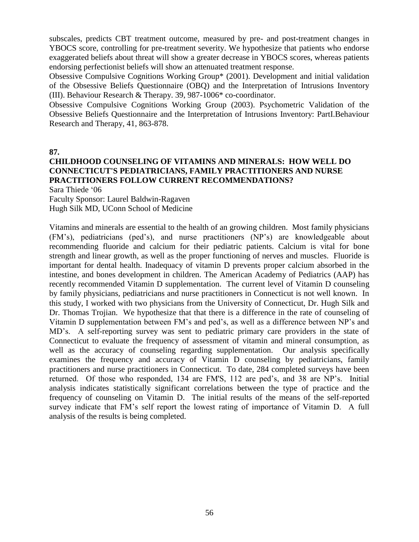subscales, predicts CBT treatment outcome, measured by pre- and post-treatment changes in YBOCS score, controlling for pre-treatment severity. We hypothesize that patients who endorse exaggerated beliefs about threat will show a greater decrease in YBOCS scores, whereas patients endorsing perfectionist beliefs will show an attenuated treatment response.

Obsessive Compulsive Cognitions Working Group\* (2001). Development and initial validation of the Obsessive Beliefs Questionnaire (OBQ) and the Interpretation of Intrusions Inventory (III). Behaviour Research & Therapy. 39, 987-1006\* co-coordinator.

Obsessive Compulsive Cognitions Working Group (2003). Psychometric Validation of the Obsessive Beliefs Questionnaire and the Interpretation of Intrusions Inventory: PartI.Behaviour Research and Therapy, 41, 863-878.

**87.**

### **CHILDHOOD COUNSELING OF VITAMINS AND MINERALS: HOW WELL DO CONNECTICUT'S PEDIATRICIANS, FAMILY PRACTITIONERS AND NURSE PRACTITIONERS FOLLOW CURRENT RECOMMENDATIONS?**

Sara Thiede '06

Faculty Sponsor: Laurel Baldwin-Ragaven Hugh Silk MD, UConn School of Medicine

Vitamins and minerals are essential to the health of an growing children. Most family physicians (FM's), pediatricians (ped's), and nurse practitioners (NP's) are knowledgeable about recommending fluoride and calcium for their pediatric patients. Calcium is vital for bone strength and linear growth, as well as the proper functioning of nerves and muscles. Fluoride is important for dental health. Inadequacy of vitamin D prevents proper calcium absorbed in the intestine, and bones development in children. The American Academy of Pediatrics (AAP) has recently recommended Vitamin D supplementation. The current level of Vitamin D counseling by family physicians, pediatricians and nurse practitioners in Connecticut is not well known. In this study, I worked with two physicians from the University of Connecticut, Dr. Hugh Silk and Dr. Thomas Trojian. We hypothesize that that there is a difference in the rate of counseling of Vitamin D supplementation between FM's and ped's, as well as a difference between NP's and MD's. A self-reporting survey was sent to pediatric primary care providers in the state of Connecticut to evaluate the frequency of assessment of vitamin and mineral consumption, as well as the accuracy of counseling regarding supplementation. Our analysis specifically examines the frequency and accuracy of Vitamin D counseling by pediatricians, family practitioners and nurse practitioners in Connecticut. To date, 284 completed surveys have been returned. Of those who responded, 134 are FM'S, 112 are ped's, and 38 are NP's. Initial analysis indicates statistically significant correlations between the type of practice and the frequency of counseling on Vitamin D. The initial results of the means of the self-reported survey indicate that FM's self report the lowest rating of importance of Vitamin D. A full analysis of the results is being completed.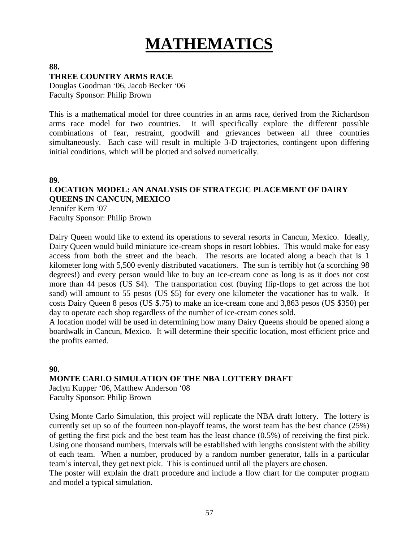# **MATHEMATICS**

#### **88. THREE COUNTRY ARMS RACE**

Douglas Goodman '06, Jacob Becker '06 Faculty Sponsor: Philip Brown

This is a mathematical model for three countries in an arms race, derived from the Richardson arms race model for two countries. It will specifically explore the different possible combinations of fear, restraint, goodwill and grievances between all three countries simultaneously. Each case will result in multiple 3-D trajectories, contingent upon differing initial conditions, which will be plotted and solved numerically.

**89.**

## **LOCATION MODEL: AN ANALYSIS OF STRATEGIC PLACEMENT OF DAIRY QUEENS IN CANCUN, MEXICO**

Jennifer Kern '07 Faculty Sponsor: Philip Brown

Dairy Queen would like to extend its operations to several resorts in Cancun, Mexico. Ideally, Dairy Queen would build miniature ice-cream shops in resort lobbies. This would make for easy access from both the street and the beach. The resorts are located along a beach that is 1 kilometer long with 5,500 evenly distributed vacationers. The sun is terribly hot (a scorching 98 degrees!) and every person would like to buy an ice-cream cone as long is as it does not cost more than 44 pesos (US \$4). The transportation cost (buying flip-flops to get across the hot sand) will amount to 55 pesos (US \$5) for every one kilometer the vacationer has to walk. It costs Dairy Queen 8 pesos (US \$.75) to make an ice-cream cone and 3,863 pesos (US \$350) per day to operate each shop regardless of the number of ice-cream cones sold.

A location model will be used in determining how many Dairy Queens should be opened along a boardwalk in Cancun, Mexico. It will determine their specific location, most efficient price and the profits earned.

## **90. MONTE CARLO SIMULATION OF THE NBA LOTTERY DRAFT** Jaclyn Kupper '06, Matthew Anderson '08

Faculty Sponsor: Philip Brown

Using Monte Carlo Simulation, this project will replicate the NBA draft lottery. The lottery is currently set up so of the fourteen non-playoff teams, the worst team has the best chance (25%) of getting the first pick and the best team has the least chance (0.5%) of receiving the first pick. Using one thousand numbers, intervals will be established with lengths consistent with the ability of each team. When a number, produced by a random number generator, falls in a particular team's interval, they get next pick. This is continued until all the players are chosen.

The poster will explain the draft procedure and include a flow chart for the computer program and model a typical simulation.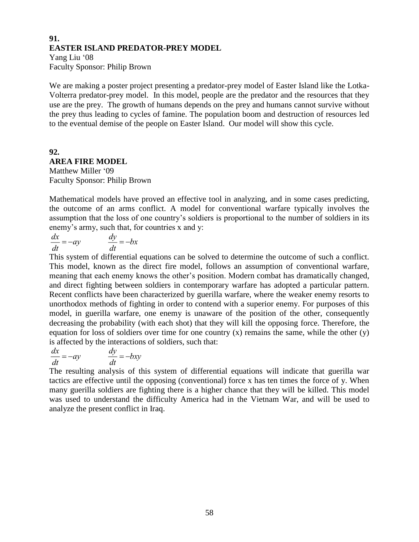#### **91. EASTER ISLAND PREDATOR-PREY MODEL**

Yang Liu '08 Faculty Sponsor: Philip Brown

We are making a poster project presenting a predator-prey model of Easter Island like the Lotka-Volterra predator-prey model. In this model, people are the predator and the resources that they use are the prey. The growth of humans depends on the prey and humans cannot survive without the prey thus leading to cycles of famine. The population boom and destruction of resources led to the eventual demise of the people on Easter Island. Our model will show this cycle.

## **92. AREA FIRE MODEL**

Matthew Miller '09 Faculty Sponsor: Philip Brown

Mathematical models have proved an effective tool in analyzing, and in some cases predicting, the outcome of an arms conflict. A model for conventional warfare typically involves the assumption that the loss of one country's soldiers is proportional to the number of soldiers in its enemy's army, such that, for countries x and y:

$$
\frac{dx}{dt} = -ay \qquad \qquad \frac{dy}{dt} = -bx
$$

 and direct fighting between soldiers in contemporary warfare has adopted a particular pattern. This system of differential equations can be solved to determine the outcome of such a conflict. This model, known as the direct fire model, follows an assumption of conventional warfare, meaning that each enemy knows the other's position. Modern combat has dramatically changed, Recent conflicts have been characterized by guerilla warfare, where the weaker enemy resorts to unorthodox methods of fighting in order to contend with a superior enemy. For purposes of this model, in guerilla warfare, one enemy is unaware of the position of the other, consequently decreasing the probability (with each shot) that they will kill the opposing force. Therefore, the equation for loss of soldiers over time for one country  $(x)$  remains the same, while the other  $(y)$ is affected by the interactions of soldiers, such that:

$$
\frac{dx}{dt} = -ay \qquad \qquad \frac{dy}{dt} = -bxy
$$

 was used to understand the difficulty America had in the Vietnam War, and will be used to The resulting analysis of this system of differential equations will indicate that guerilla war tactics are effective until the opposing (conventional) force x has ten times the force of y. When many guerilla soldiers are fighting there is a higher chance that they will be killed. This model analyze the present conflict in Iraq.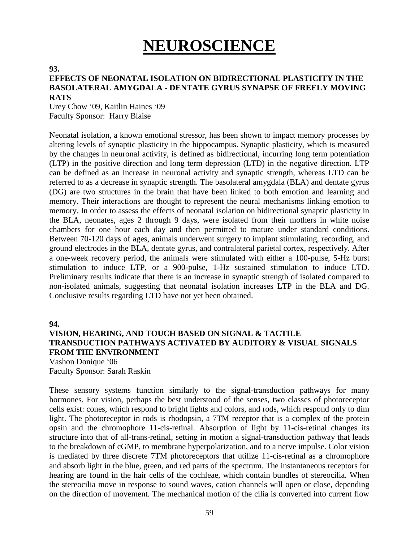# **NEUROSCIENCE**

#### **93.**

#### **EFFECTS OF NEONATAL ISOLATION ON BIDIRECTIONAL PLASTICITY IN THE BASOLATERAL AMYGDALA - DENTATE GYRUS SYNAPSE OF FREELY MOVING RATS**

Urey Chow '09, Kaitlin Haines '09 Faculty Sponsor: Harry Blaise

Neonatal isolation, a known emotional stressor, has been shown to impact memory processes by altering levels of synaptic plasticity in the hippocampus. Synaptic plasticity, which is measured by the changes in neuronal activity, is defined as bidirectional, incurring long term potentiation (LTP) in the positive direction and long term depression (LTD) in the negative direction. LTP can be defined as an increase in neuronal activity and synaptic strength, whereas LTD can be referred to as a decrease in synaptic strength. The basolateral amygdala (BLA) and dentate gyrus (DG) are two structures in the brain that have been linked to both emotion and learning and memory. Their interactions are thought to represent the neural mechanisms linking emotion to memory. In order to assess the effects of neonatal isolation on bidirectional synaptic plasticity in the BLA, neonates, ages 2 through 9 days, were isolated from their mothers in white noise chambers for one hour each day and then permitted to mature under standard conditions. Between 70-120 days of ages, animals underwent surgery to implant stimulating, recording, and ground electrodes in the BLA, dentate gyrus, and contralateral parietal cortex, respectively. After a one-week recovery period, the animals were stimulated with either a 100-pulse, 5-Hz burst stimulation to induce LTP, or a 900-pulse, 1-Hz sustained stimulation to induce LTD. Preliminary results indicate that there is an increase in synaptic strength of isolated compared to non-isolated animals, suggesting that neonatal isolation increases LTP in the BLA and DG. Conclusive results regarding LTD have not yet been obtained.

**94.**

#### **VISION, HEARING, AND TOUCH BASED ON SIGNAL & TACTILE TRANSDUCTION PATHWAYS ACTIVATED BY AUDITORY & VISUAL SIGNALS FROM THE ENVIRONMENT**

Vashon Donique '06 Faculty Sponsor: Sarah Raskin

These sensory systems function similarly to the signal-transduction pathways for many hormones. For vision, perhaps the best understood of the senses, two classes of photoreceptor cells exist: cones, which respond to bright lights and colors, and rods, which respond only to dim light. The photoreceptor in rods is rhodopsin, a 7TM receptor that is a complex of the protein opsin and the chromophore 11-cis-retinal. Absorption of light by 11-cis-retinal changes its structure into that of all-trans-retinal, setting in motion a signal-transduction pathway that leads to the breakdown of cGMP, to membrane hyperpolarization, and to a nerve impulse. Color vision is mediated by three discrete 7TM photoreceptors that utilize 11-cis-retinal as a chromophore and absorb light in the blue, green, and red parts of the spectrum. The instantaneous receptors for hearing are found in the hair cells of the cochleae, which contain bundles of stereocilia. When the stereocilia move in response to sound waves, cation channels will open or close, depending on the direction of movement. The mechanical motion of the cilia is converted into current flow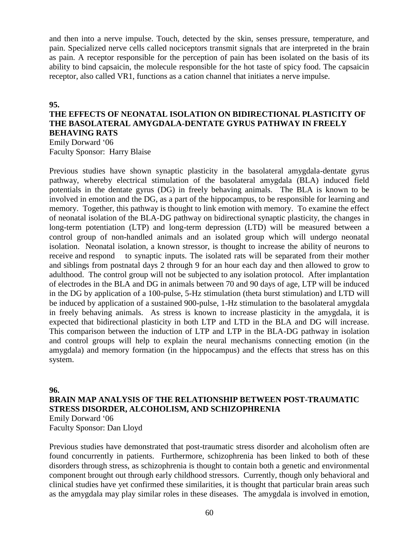and then into a nerve impulse. Touch, detected by the skin, senses pressure, temperature, and pain. Specialized nerve cells called nociceptors transmit signals that are interpreted in the brain as pain. A receptor responsible for the perception of pain has been isolated on the basis of its ability to bind capsaicin, the molecule responsible for the hot taste of spicy food. The capsaicin receptor, also called VR1, functions as a cation channel that initiates a nerve impulse.

#### **95.**

#### **THE EFFECTS OF NEONATAL ISOLATION ON BIDIRECTIONAL PLASTICITY OF THE BASOLATERAL AMYGDALA-DENTATE GYRUS PATHWAY IN FREELY BEHAVING RATS** Emily Dorward '06

Faculty Sponsor: Harry Blaise

Previous studies have shown synaptic plasticity in the basolateral amygdala-dentate gyrus pathway, whereby electrical stimulation of the basolateral amygdala (BLA) induced field potentials in the dentate gyrus (DG) in freely behaving animals. The BLA is known to be involved in emotion and the DG, as a part of the hippocampus, to be responsible for learning and memory. Together, this pathway is thought to link emotion with memory. To examine the effect of neonatal isolation of the BLA-DG pathway on bidirectional synaptic plasticity, the changes in long-term potentiation (LTP) and long-term depression (LTD) will be measured between a control group of non-handled animals and an isolated group which will undergo neonatal isolation. Neonatal isolation, a known stressor, is thought to increase the ability of neurons to receive and respond to synaptic inputs. The isolated rats will be separated from their mother and siblings from postnatal days 2 through 9 for an hour each day and then allowed to grow to adulthood. The control group will not be subjected to any isolation protocol. After implantation of electrodes in the BLA and DG in animals between 70 and 90 days of age, LTP will be induced in the DG by application of a 100-pulse, 5-Hz stimulation (theta burst stimulation) and LTD will be induced by application of a sustained 900-pulse, 1-Hz stimulation to the basolateral amygdala in freely behaving animals. As stress is known to increase plasticity in the amygdala, it is expected that bidirectional plasticity in both LTP and LTD in the BLA and DG will increase. This comparison between the induction of LTP and LTP in the BLA-DG pathway in isolation and control groups will help to explain the neural mechanisms connecting emotion (in the amygdala) and memory formation (in the hippocampus) and the effects that stress has on this system.

#### **96. BRAIN MAP ANALYSIS OF THE RELATIONSHIP BETWEEN POST-TRAUMATIC STRESS DISORDER, ALCOHOLISM, AND SCHIZOPHRENIA** Emily Dorward '06

Faculty Sponsor: Dan Lloyd

Previous studies have demonstrated that post-traumatic stress disorder and alcoholism often are found concurrently in patients. Furthermore, schizophrenia has been linked to both of these disorders through stress, as schizophrenia is thought to contain both a genetic and environmental component brought out through early childhood stressors. Currently, though only behavioral and clinical studies have yet confirmed these similarities, it is thought that particular brain areas such as the amygdala may play similar roles in these diseases. The amygdala is involved in emotion,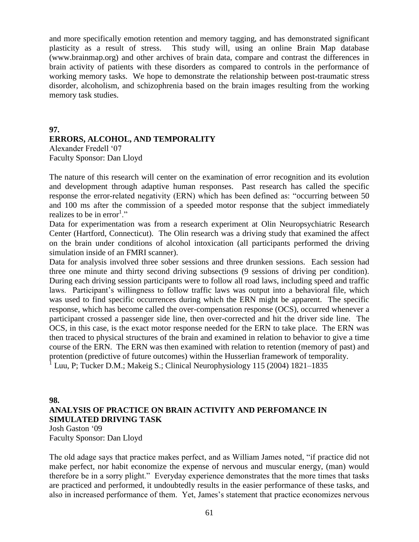and more specifically emotion retention and memory tagging, and has demonstrated significant plasticity as a result of stress. This study will, using an online Brain Map database (www.brainmap.org) and other archives of brain data, compare and contrast the differences in brain activity of patients with these disorders as compared to controls in the performance of working memory tasks. We hope to demonstrate the relationship between post-traumatic stress disorder, alcoholism, and schizophrenia based on the brain images resulting from the working memory task studies.

#### **97. ERRORS, ALCOHOL, AND TEMPORALITY** Alexander Fredell '07 Faculty Sponsor: Dan Lloyd

The nature of this research will center on the examination of error recognition and its evolution and development through adaptive human responses. Past research has called the specific response the error-related negativity (ERN) which has been defined as: "occurring between 50 and 100 ms after the commission of a speeded motor response that the subject immediately realizes to be in  $error<sup>1</sup>$ ."

Data for experimentation was from a research experiment at Olin Neuropsychiatric Research Center (Hartford, Connecticut). The Olin research was a driving study that examined the affect on the brain under conditions of alcohol intoxication (all participants performed the driving simulation inside of an FMRI scanner).

Data for analysis involved three sober sessions and three drunken sessions. Each session had three one minute and thirty second driving subsections (9 sessions of driving per condition). During each driving session participants were to follow all road laws, including speed and traffic laws. Participant's willingness to follow traffic laws was output into a behavioral file, which was used to find specific occurrences during which the ERN might be apparent. The specific response, which has become called the over-compensation response (OCS), occurred whenever a participant crossed a passenger side line, then over-corrected and hit the driver side line. The OCS, in this case, is the exact motor response needed for the ERN to take place. The ERN was then traced to physical structures of the brain and examined in relation to behavior to give a time course of the ERN. The ERN was then examined with relation to retention (memory of past) and protention (predictive of future outcomes) within the Husserlian framework of temporality.

<sup>1</sup> Luu, P; Tucker D.M.; Makeig S.; Clinical Neurophysiology 115 (2004) 1821–1835

#### **98. ANALYSIS OF PRACTICE ON BRAIN ACTIVITY AND PERFOMANCE IN SIMULATED DRIVING TASK**

Josh Gaston '09 Faculty Sponsor: Dan Lloyd

The old adage says that practice makes perfect, and as William James noted, "if practice did not make perfect, nor habit economize the expense of nervous and muscular energy, (man) would therefore be in a sorry plight." Everyday experience demonstrates that the more times that tasks are practiced and performed, it undoubtedly results in the easier performance of these tasks, and also in increased performance of them. Yet, James's statement that practice economizes nervous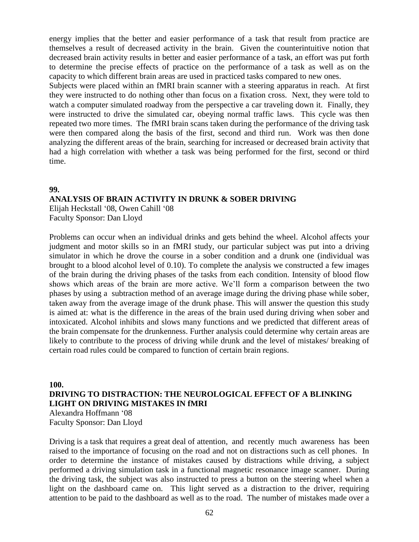energy implies that the better and easier performance of a task that result from practice are themselves a result of decreased activity in the brain. Given the counterintuitive notion that decreased brain activity results in better and easier performance of a task, an effort was put forth to determine the precise effects of practice on the performance of a task as well as on the capacity to which different brain areas are used in practiced tasks compared to new ones.

Subjects were placed within an fMRI brain scanner with a steering apparatus in reach. At first they were instructed to do nothing other than focus on a fixation cross. Next, they were told to watch a computer simulated roadway from the perspective a car traveling down it. Finally, they were instructed to drive the simulated car, obeying normal traffic laws. This cycle was then repeated two more times. The fMRI brain scans taken during the performance of the driving task were then compared along the basis of the first, second and third run. Work was then done analyzing the different areas of the brain, searching for increased or decreased brain activity that had a high correlation with whether a task was being performed for the first, second or third time.

#### **99.**

#### **ANALYSIS OF BRAIN ACTIVITY IN DRUNK & SOBER DRIVING**

Elijah Heckstall '08, Owen Cahill '08 Faculty Sponsor: Dan Lloyd

Problems can occur when an individual drinks and gets behind the wheel. Alcohol affects your judgment and motor skills so in an fMRI study, our particular subject was put into a driving simulator in which he drove the course in a sober condition and a drunk one (individual was brought to a blood alcohol level of 0.10). To complete the analysis we constructed a few images of the brain during the driving phases of the tasks from each condition. Intensity of blood flow shows which areas of the brain are more active. We'll form a comparison between the two phases by using a subtraction method of an average image during the driving phase while sober, taken away from the average image of the drunk phase. This will answer the question this study is aimed at: what is the difference in the areas of the brain used during driving when sober and intoxicated. Alcohol inhibits and slows many functions and we predicted that different areas of the brain compensate for the drunkenness. Further analysis could determine why certain areas are likely to contribute to the process of driving while drunk and the level of mistakes/ breaking of certain road rules could be compared to function of certain brain regions.

**100. DRIVING TO DISTRACTION: THE NEUROLOGICAL EFFECT OF A BLINKING LIGHT ON DRIVING MISTAKES IN fMRI**  Alexandra Hoffmann '08 Faculty Sponsor: Dan Lloyd

Driving is a task that requires a great deal of attention, and recently much awareness has been raised to the importance of focusing on the road and not on distractions such as cell phones. In order to determine the instance of mistakes caused by distractions while driving, a subject performed a driving simulation task in a functional magnetic resonance image scanner. During the driving task, the subject was also instructed to press a button on the steering wheel when a light on the dashboard came on. This light served as a distraction to the driver, requiring attention to be paid to the dashboard as well as to the road. The number of mistakes made over a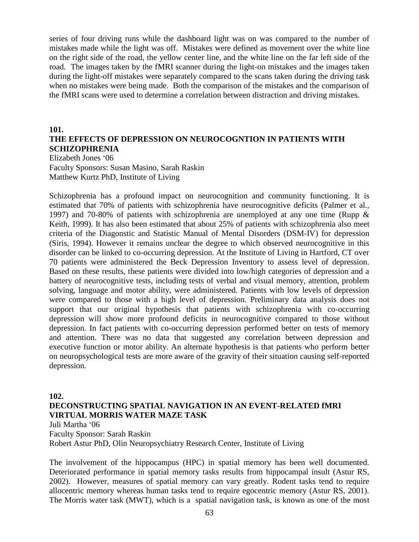series of four driving runs while the dashboard light was on was compared to the number of mistakes made while the light was off. Mistakes were defined as movement over the white line on the right side of the road, the yellow center line, and the white line on the far left side of the road. The images taken by the fMRI scanner during the light-on mistakes and the images taken during the light-off mistakes were separately compared to the scans taken during the driving task when no mistakes were being made. Both the comparison of the mistakes and the comparison of the fMRI scans were used to determine a correlation between distraction and driving mistakes.

#### **101.**

#### **THE EFFECTS OF DEPRESSION ON NEUROCOGNTION IN PATIENTS WITH SCHIZOPHRENIA**

Elizabeth Jones '06 Faculty Sponsors: Susan Masino, Sarah Raskin Matthew Kurtz PhD, Institute of Living

Schizophrenia has a profound impact on neurocognition and community functioning. It is estimated that 70% of patients with schizophrenia have neurocognitive deficits (Palmer et al., 1997) and 70-80% of patients with schizophrenia are unemployed at any one time (Rupp & Keith, 1999). It has also been estimated that about 25% of patients with schizophrenia also meet criteria of the Diagonstic and Statistic Manual of Mental Disorders (DSM-IV) for depression (Siris, 1994). However it remains unclear the degree to which observed neurocognitive in this disorder can be linked to co-occurring depression. At the Institute of Living in Hartford, CT over 70 patients were administered the Beck Depression Inventory to assess level of depression. Based on these results, these patients were divided into low/high categories of depression and a battery of neurocognitive tests, including tests of verbal and visual memory, attention, problem solving, language and motor ability, were administered. Patients with low levels of depression were compared to those with a high level of depression. Preliminary data analysis does not support that our original hypothesis that patients with schizophrenia with co-occurring depression will show more profound deficits in neurocognitive compared to those without depression. In fact patients with co-occurring depression performed better on tests of memory and attention. There was no data that suggested any correlation between depression and executive function or motor ability. An alternate hypothesis is that patients who perform better on neuropsychological tests are more aware of the gravity of their situation causing self-reported depression.

#### **102.**

#### **DECONSTRUCTING SPATIAL NAVIGATION IN AN EVENT-RELATED fMRI VIRTUAL MORRIS WATER MAZE TASK**

Juli Martha '06

Faculty Sponsor: Sarah Raskin

Robert Astur PhD, Olin Neuropsychiatry Research Center, Institute of Living

The involvement of the hippocampus (HPC) in spatial memory has been well documented. Deteriorated performance in spatial memory tasks results from hippocampal insult (Astur RS, 2002). However, measures of spatial memory can vary greatly. Rodent tasks tend to require allocentric memory whereas human tasks tend to require egocentric memory (Astur RS, 2001). The Morris water task (MWT), which is a spatial navigation task, is known as one of the most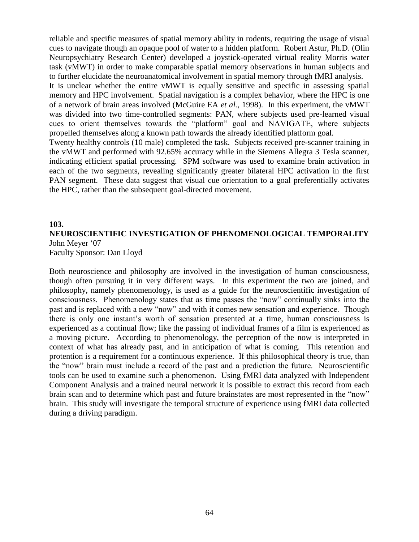reliable and specific measures of spatial memory ability in rodents, requiring the usage of visual cues to navigate though an opaque pool of water to a hidden platform. Robert Astur, Ph.D. (Olin Neuropsychiatry Research Center) developed a joystick-operated virtual reality Morris water task (vMWT) in order to make comparable spatial memory observations in human subjects and to further elucidate the neuroanatomical involvement in spatial memory through fMRI analysis.

It is unclear whether the entire vMWT is equally sensitive and specific in assessing spatial memory and HPC involvement. Spatial navigation is a complex behavior, where the HPC is one of a network of brain areas involved (McGuire EA *et al.,* 1998). In this experiment, the vMWT was divided into two time-controlled segments: PAN, where subjects used pre-learned visual cues to orient themselves towards the "platform" goal and NAVIGATE, where subjects propelled themselves along a known path towards the already identified platform goal.

Twenty healthy controls (10 male) completed the task. Subjects received pre-scanner training in the vMWT and performed with 92.65% accuracy while in the Siemens Allegra 3 Tesla scanner, indicating efficient spatial processing. SPM software was used to examine brain activation in each of the two segments, revealing significantly greater bilateral HPC activation in the first PAN segment. These data suggest that visual cue orientation to a goal preferentially activates the HPC, rather than the subsequent goal-directed movement.

#### **103.**

#### **NEUROSCIENTIFIC INVESTIGATION OF PHENOMENOLOGICAL TEMPORALITY** John Meyer '07

Faculty Sponsor: Dan Lloyd

Both neuroscience and philosophy are involved in the investigation of human consciousness, though often pursuing it in very different ways. In this experiment the two are joined, and philosophy, namely phenomenology, is used as a guide for the neuroscientific investigation of consciousness. Phenomenology states that as time passes the "now" continually sinks into the past and is replaced with a new "now" and with it comes new sensation and experience. Though there is only one instant's worth of sensation presented at a time, human consciousness is experienced as a continual flow; like the passing of individual frames of a film is experienced as a moving picture. According to phenomenology, the perception of the now is interpreted in context of what has already past, and in anticipation of what is coming. This retention and protention is a requirement for a continuous experience. If this philosophical theory is true, than the "now" brain must include a record of the past and a prediction the future. Neuroscientific tools can be used to examine such a phenomenon. Using fMRI data analyzed with Independent Component Analysis and a trained neural network it is possible to extract this record from each brain scan and to determine which past and future brainstates are most represented in the "now" brain. This study will investigate the temporal structure of experience using fMRI data collected during a driving paradigm.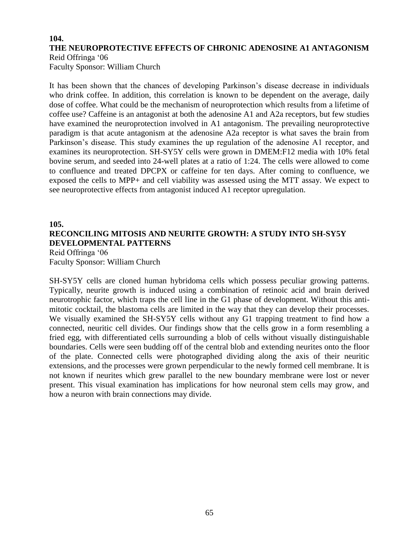#### **104. THE NEUROPROTECTIVE EFFECTS OF CHRONIC ADENOSINE A1 ANTAGONISM** Reid Offringa '06

Faculty Sponsor: William Church

It has been shown that the chances of developing Parkinson's disease decrease in individuals who drink coffee. In addition, this correlation is known to be dependent on the average, daily dose of coffee. What could be the mechanism of neuroprotection which results from a lifetime of coffee use? Caffeine is an antagonist at both the adenosine A1 and A2a receptors, but few studies have examined the neuroprotection involved in A1 antagonism. The prevailing neuroprotective paradigm is that acute antagonism at the adenosine A2a receptor is what saves the brain from Parkinson's disease. This study examines the up regulation of the adenosine A1 receptor, and examines its neuroprotection. SH-SY5Y cells were grown in DMEM:F12 media with 10% fetal bovine serum, and seeded into 24-well plates at a ratio of 1:24. The cells were allowed to come to confluence and treated DPCPX or caffeine for ten days. After coming to confluence, we exposed the cells to MPP+ and cell viability was assessed using the MTT assay. We expect to see neuroprotective effects from antagonist induced A1 receptor upregulation.

#### **105.**

## **RECONCILING MITOSIS AND NEURITE GROWTH: A STUDY INTO SH-SY5Y DEVELOPMENTAL PATTERNS**

Reid Offringa '06 Faculty Sponsor: William Church

SH-SY5Y cells are cloned human hybridoma cells which possess peculiar growing patterns. Typically, neurite growth is induced using a combination of retinoic acid and brain derived neurotrophic factor, which traps the cell line in the G1 phase of development. Without this antimitotic cocktail, the blastoma cells are limited in the way that they can develop their processes. We visually examined the SH-SY5Y cells without any G1 trapping treatment to find how a connected, neuritic cell divides. Our findings show that the cells grow in a form resembling a fried egg, with differentiated cells surrounding a blob of cells without visually distinguishable boundaries. Cells were seen budding off of the central blob and extending neurites onto the floor of the plate. Connected cells were photographed dividing along the axis of their neuritic extensions, and the processes were grown perpendicular to the newly formed cell membrane. It is not known if neurites which grew parallel to the new boundary membrane were lost or never present. This visual examination has implications for how neuronal stem cells may grow, and how a neuron with brain connections may divide.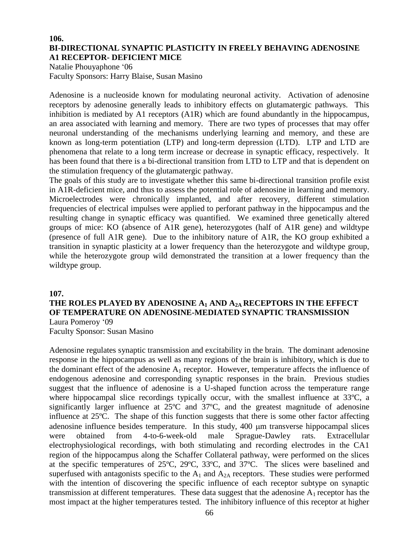#### **106. BI-DIRECTIONAL SYNAPTIC PLASTICITY IN FREELY BEHAVING ADENOSINE A1 RECEPTOR- DEFICIENT MICE**

Natalie Phouyaphone '06 Faculty Sponsors: Harry Blaise, Susan Masino

Adenosine is a nucleoside known for modulating neuronal activity. Activation of adenosine receptors by adenosine generally leads to inhibitory effects on glutamatergic pathways. This inhibition is mediated by A1 receptors (A1R) which are found abundantly in the hippocampus, an area associated with learning and memory. There are two types of processes that may offer neuronal understanding of the mechanisms underlying learning and memory, and these are known as long-term potentiation (LTP) and long-term depression (LTD). LTP and LTD are phenomena that relate to a long term increase or decrease in synaptic efficacy, respectively. It has been found that there is a bi-directional transition from LTD to LTP and that is dependent on the stimulation frequency of the glutamatergic pathway.

The goals of this study are to investigate whether this same bi-directional transition profile exist in A1R-deficient mice, and thus to assess the potential role of adenosine in learning and memory. Microelectrodes were chronically implanted, and after recovery, different stimulation frequencies of electrical impulses were applied to perforant pathway in the hippocampus and the resulting change in synaptic efficacy was quantified. We examined three genetically altered groups of mice: KO (absence of A1R gene), heterozygotes (half of A1R gene) and wildtype (presence of full A1R gene). Due to the inhibitory nature of A1R, the KO group exhibited a transition in synaptic plasticity at a lower frequency than the heterozygote and wildtype group, while the heterozygote group wild demonstrated the transition at a lower frequency than the wildtype group.

#### **107.**

#### **THE ROLES PLAYED BY ADENOSINE A<sup>1</sup> AND A2A RECEPTORS IN THE EFFECT OF TEMPERATURE ON ADENOSINE-MEDIATED SYNAPTIC TRANSMISSION** Laura Pomeroy '09

Faculty Sponsor: Susan Masino

Adenosine regulates synaptic transmission and excitability in the brain. The dominant adenosine response in the hippocampus as well as many regions of the brain is inhibitory, which is due to the dominant effect of the adenosine  $A_1$  receptor. However, temperature affects the influence of endogenous adenosine and corresponding synaptic responses in the brain. Previous studies suggest that the influence of adenosine is a U-shaped function across the temperature range where hippocampal slice recordings typically occur, with the smallest influence at 33°C, a significantly larger influence at 25ºC and 37ºC, and the greatest magnitude of adenosine influence at 25ºC. The shape of this function suggests that there is some other factor affecting adenosine influence besides temperature. In this study, 400  $\mu$ m transverse hippocampal slices were obtained from 4-to-6-week-old male Sprague-Dawley rats. Extracellular electrophysiological recordings, with both stimulating and recording electrodes in the CA1 region of the hippocampus along the Schaffer Collateral pathway, were performed on the slices at the specific temperatures of 25ºC, 29ºC, 33ºC, and 37ºC. The slices were baselined and superfused with antagonists specific to the  $A_1$  and  $A_{2A}$  receptors. These studies were performed with the intention of discovering the specific influence of each receptor subtype on synaptic transmission at different temperatures. These data suggest that the adenosine  $A_1$  receptor has the most impact at the higher temperatures tested. The inhibitory influence of this receptor at higher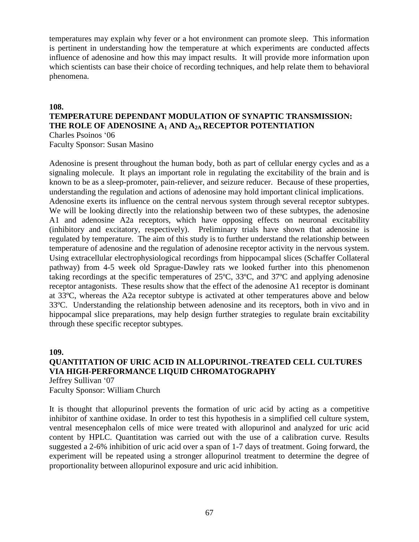temperatures may explain why fever or a hot environment can promote sleep. This information is pertinent in understanding how the temperature at which experiments are conducted affects influence of adenosine and how this may impact results. It will provide more information upon which scientists can base their choice of recording techniques, and help relate them to behavioral phenomena.

#### **108.**

#### **TEMPERATURE DEPENDANT MODULATION OF SYNAPTIC TRANSMISSION: THE ROLE OF ADENOSINE A<sup>1</sup> AND A2A RECEPTOR POTENTIATION**

Charles Psoinos '06 Faculty Sponsor: Susan Masino

Adenosine is present throughout the human body, both as part of cellular energy cycles and as a signaling molecule. It plays an important role in regulating the excitability of the brain and is known to be as a sleep-promoter, pain-reliever, and seizure reducer. Because of these properties, understanding the regulation and actions of adenosine may hold important clinical implications. Adenosine exerts its influence on the central nervous system through several receptor subtypes. We will be looking directly into the relationship between two of these subtypes, the adenosine A1 and adenosine A2a receptors, which have opposing effects on neuronal excitability (inhibitory and excitatory, respectively). Preliminary trials have shown that adenosine is regulated by temperature. The aim of this study is to further understand the relationship between temperature of adenosine and the regulation of adenosine receptor activity in the nervous system. Using extracellular electrophysiological recordings from hippocampal slices (Schaffer Collateral pathway) from 4-5 week old Sprague-Dawley rats we looked further into this phenomenon taking recordings at the specific temperatures of 25ºC, 33ºC, and 37ºC and applying adenosine receptor antagonists. These results show that the effect of the adenosine A1 receptor is dominant at 33ºC, whereas the A2a receptor subtype is activated at other temperatures above and below 33ºC. Understanding the relationship between adenosine and its receptors, both in vivo and in hippocampal slice preparations, may help design further strategies to regulate brain excitability through these specific receptor subtypes.

#### **109.**

## **QUANTITATION OF URIC ACID IN ALLOPURINOL-TREATED CELL CULTURES VIA HIGH-PERFORMANCE LIQUID CHROMATOGRAPHY**

Jeffrey Sullivan '07 Faculty Sponsor: William Church

It is thought that allopurinol prevents the formation of uric acid by acting as a competitive inhibitor of xanthine oxidase. In order to test this hypothesis in a simplified cell culture system, ventral mesencephalon cells of mice were treated with allopurinol and analyzed for uric acid content by HPLC. Quantitation was carried out with the use of a calibration curve. Results suggested a 2-6% inhibition of uric acid over a span of 1-7 days of treatment. Going forward, the experiment will be repeated using a stronger allopurinol treatment to determine the degree of proportionality between allopurinol exposure and uric acid inhibition.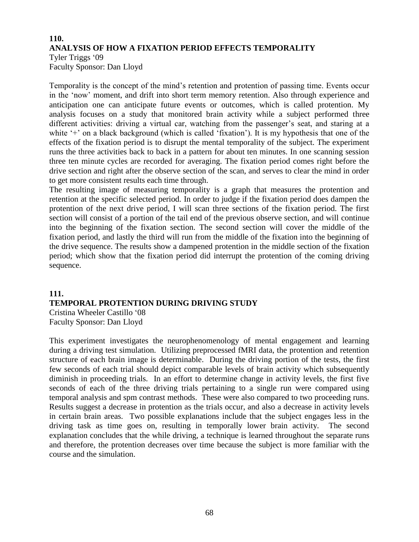#### **110. ANALYSIS OF HOW A FIXATION PERIOD EFFECTS TEMPORALITY** Tyler Triggs '09

Faculty Sponsor: Dan Lloyd

Temporality is the concept of the mind's retention and protention of passing time. Events occur in the 'now' moment, and drift into short term memory retention. Also through experience and anticipation one can anticipate future events or outcomes, which is called protention. My analysis focuses on a study that monitored brain activity while a subject performed three different activities: driving a virtual car, watching from the passenger's seat, and staring at a white '+' on a black background (which is called 'fixation'). It is my hypothesis that one of the effects of the fixation period is to disrupt the mental temporality of the subject. The experiment runs the three activities back to back in a pattern for about ten minutes. In one scanning session three ten minute cycles are recorded for averaging. The fixation period comes right before the drive section and right after the observe section of the scan, and serves to clear the mind in order to get more consistent results each time through.

The resulting image of measuring temporality is a graph that measures the protention and retention at the specific selected period. In order to judge if the fixation period does dampen the protention of the next drive period, I will scan three sections of the fixation period. The first section will consist of a portion of the tail end of the previous observe section, and will continue into the beginning of the fixation section. The second section will cover the middle of the fixation period, and lastly the third will run from the middle of the fixation into the beginning of the drive sequence. The results show a dampened protention in the middle section of the fixation period; which show that the fixation period did interrupt the protention of the coming driving sequence.

#### **111. TEMPORAL PROTENTION DURING DRIVING STUDY**  Cristina Wheeler Castillo '08 Faculty Sponsor: Dan Lloyd

This experiment investigates the neurophenomenology of mental engagement and learning during a driving test simulation. Utilizing preprocessed fMRI data, the protention and retention structure of each brain image is determinable. During the driving portion of the tests, the first few seconds of each trial should depict comparable levels of brain activity which subsequently diminish in proceeding trials. In an effort to determine change in activity levels, the first five seconds of each of the three driving trials pertaining to a single run were compared using temporal analysis and spm contrast methods. These were also compared to two proceeding runs. Results suggest a decrease in protention as the trials occur, and also a decrease in activity levels in certain brain areas. Two possible explanations include that the subject engages less in the driving task as time goes on, resulting in temporally lower brain activity. The second explanation concludes that the while driving, a technique is learned throughout the separate runs and therefore, the protention decreases over time because the subject is more familiar with the course and the simulation.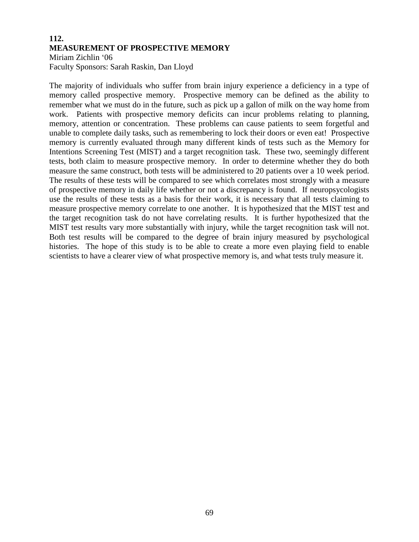#### **112. MEASUREMENT OF PROSPECTIVE MEMORY** Miriam Zichlin '06 Faculty Sponsors: Sarah Raskin, Dan Lloyd

The majority of individuals who suffer from brain injury experience a deficiency in a type of memory called prospective memory. Prospective memory can be defined as the ability to remember what we must do in the future, such as pick up a gallon of milk on the way home from work. Patients with prospective memory deficits can incur problems relating to planning, memory, attention or concentration. These problems can cause patients to seem forgetful and unable to complete daily tasks, such as remembering to lock their doors or even eat! Prospective memory is currently evaluated through many different kinds of tests such as the Memory for Intentions Screening Test (MIST) and a target recognition task. These two, seemingly different tests, both claim to measure prospective memory. In order to determine whether they do both measure the same construct, both tests will be administered to 20 patients over a 10 week period. The results of these tests will be compared to see which correlates most strongly with a measure of prospective memory in daily life whether or not a discrepancy is found. If neuropsycologists use the results of these tests as a basis for their work, it is necessary that all tests claiming to measure prospective memory correlate to one another. It is hypothesized that the MIST test and the target recognition task do not have correlating results. It is further hypothesized that the MIST test results vary more substantially with injury, while the target recognition task will not. Both test results will be compared to the degree of brain injury measured by psychological histories. The hope of this study is to be able to create a more even playing field to enable scientists to have a clearer view of what prospective memory is, and what tests truly measure it.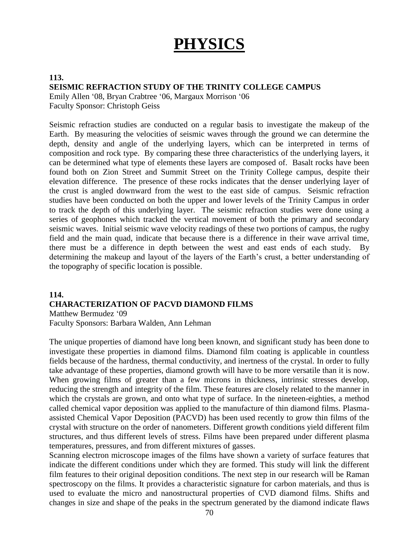# **PHYSICS**

#### **113. SEISMIC REFRACTION STUDY OF THE TRINITY COLLEGE CAMPUS**

Emily Allen '08, Bryan Crabtree '06, Margaux Morrison '06 Faculty Sponsor: Christoph Geiss

Seismic refraction studies are conducted on a regular basis to investigate the makeup of the Earth. By measuring the velocities of seismic waves through the ground we can determine the depth, density and angle of the underlying layers, which can be interpreted in terms of composition and rock type. By comparing these three characteristics of the underlying layers, it can be determined what type of elements these layers are composed of. Basalt rocks have been found both on Zion Street and Summit Street on the Trinity College campus, despite their elevation difference. The presence of these rocks indicates that the denser underlying layer of the crust is angled downward from the west to the east side of campus. Seismic refraction studies have been conducted on both the upper and lower levels of the Trinity Campus in order to track the depth of this underlying layer. The seismic refraction studies were done using a series of geophones which tracked the vertical movement of both the primary and secondary seismic waves. Initial seismic wave velocity readings of these two portions of campus, the rugby field and the main quad, indicate that because there is a difference in their wave arrival time, there must be a difference in depth between the west and east ends of each study. By determining the makeup and layout of the layers of the Earth's crust, a better understanding of the topography of specific location is possible.

#### **114. CHARACTERIZATION OF PACVD DIAMOND FILMS** Matthew Bermudez '09

Faculty Sponsors: Barbara Walden, Ann Lehman

The unique properties of diamond have long been known, and significant study has been done to investigate these properties in diamond films. Diamond film coating is applicable in countless fields because of the hardness, thermal conductivity, and inertness of the crystal. In order to fully take advantage of these properties, diamond growth will have to be more versatile than it is now. When growing films of greater than a few microns in thickness, intrinsic stresses develop, reducing the strength and integrity of the film. These features are closely related to the manner in which the crystals are grown, and onto what type of surface. In the nineteen-eighties, a method called chemical vapor deposition was applied to the manufacture of thin diamond films. Plasmaassisted Chemical Vapor Deposition (PACVD) has been used recently to grow thin films of the crystal with structure on the order of nanometers. Different growth conditions yield different film structures, and thus different levels of stress. Films have been prepared under different plasma temperatures, pressures, and from different mixtures of gasses.

Scanning electron microscope images of the films have shown a variety of surface features that indicate the different conditions under which they are formed. This study will link the different film features to their original deposition conditions. The next step in our research will be Raman spectroscopy on the films. It provides a characteristic signature for carbon materials, and thus is used to evaluate the micro and nanostructural properties of CVD diamond films. Shifts and changes in size and shape of the peaks in the spectrum generated by the diamond indicate flaws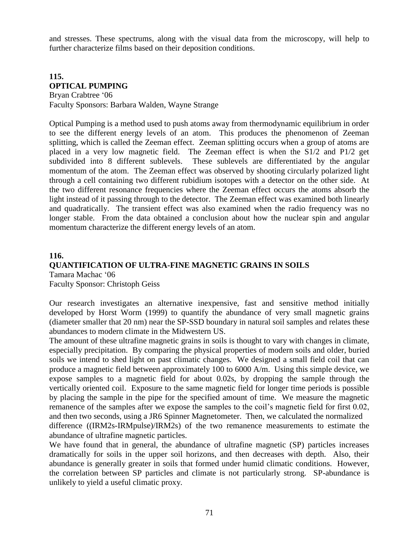and stresses. These spectrums, along with the visual data from the microscopy, will help to further characterize films based on their deposition conditions.

## **115. OPTICAL PUMPING** Bryan Crabtree '06

Faculty Sponsors: Barbara Walden, Wayne Strange

Optical Pumping is a method used to push atoms away from thermodynamic equilibrium in order to see the different energy levels of an atom. This produces the phenomenon of Zeeman splitting, which is called the Zeeman effect. Zeeman splitting occurs when a group of atoms are placed in a very low magnetic field. The Zeeman effect is when the S1/2 and P1/2 get subdivided into 8 different sublevels. These sublevels are differentiated by the angular momentum of the atom. The Zeeman effect was observed by shooting circularly polarized light through a cell containing two different rubidium isotopes with a detector on the other side. At the two different resonance frequencies where the Zeeman effect occurs the atoms absorb the light instead of it passing through to the detector. The Zeeman effect was examined both linearly and quadratically. The transient effect was also examined when the radio frequency was no longer stable. From the data obtained a conclusion about how the nuclear spin and angular momentum characterize the different energy levels of an atom.

#### **116. QUANTIFICATION OF ULTRA-FINE MAGNETIC GRAINS IN SOILS** Tamara Machac '06 Faculty Sponsor: Christoph Geiss

Our research investigates an alternative inexpensive, fast and sensitive method initially developed by Horst Worm (1999) to quantify the abundance of very small magnetic grains (diameter smaller that 20 nm) near the SP-SSD boundary in natural soil samples and relates these abundances to modern climate in the Midwestern US.

The amount of these ultrafine magnetic grains in soils is thought to vary with changes in climate, especially precipitation. By comparing the physical properties of modern soils and older, buried soils we intend to shed light on past climatic changes. We designed a small field coil that can produce a magnetic field between approximately 100 to 6000 A/m. Using this simple device, we expose samples to a magnetic field for about 0.02s, by dropping the sample through the vertically oriented coil. Exposure to the same magnetic field for longer time periods is possible by placing the sample in the pipe for the specified amount of time. We measure the magnetic remanence of the samples after we expose the samples to the coil's magnetic field for first 0.02, and then two seconds, using a JR6 Spinner Magnetometer. Then, we calculated the normalized difference ((IRM2s-IRMpulse)/IRM2s) of the two remanence measurements to estimate the abundance of ultrafine magnetic particles.

We have found that in general, the abundance of ultrafine magnetic (SP) particles increases dramatically for soils in the upper soil horizons, and then decreases with depth. Also, their abundance is generally greater in soils that formed under humid climatic conditions. However, the correlation between SP particles and climate is not particularly strong. SP-abundance is unlikely to yield a useful climatic proxy.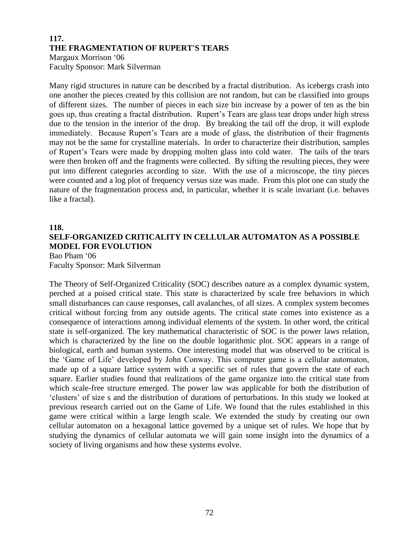# **117. THE FRAGMENTATION OF RUPERT'S TEARS** Margaux Morrison '06 Faculty Sponsor: Mark Silverman

Many rigid structures in nature can be described by a fractal distribution. As icebergs crash into one another the pieces created by this collision are not random, but can be classified into groups of different sizes. The number of pieces in each size bin increase by a power of ten as the bin goes up, thus creating a fractal distribution. Rupert's Tears are glass tear drops under high stress due to the tension in the interior of the drop. By breaking the tail off the drop, it will explode immediately. Because Rupert's Tears are a mode of glass, the distribution of their fragments may not be the same for crystalline materials. In order to characterize their distribution, samples of Rupert's Tears were made by dropping molten glass into cold water. The tails of the tears were then broken off and the fragments were collected. By sifting the resulting pieces, they were put into different categories according to size. With the use of a microscope, the tiny pieces were counted and a log plot of frequency versus size was made. From this plot one can study the nature of the fragmentation process and, in particular, whether it is scale invariant (i.e. behaves like a fractal).

#### **118.**

## **SELF-ORGANIZED CRITICALITY IN CELLULAR AUTOMATON AS A POSSIBLE MODEL FOR EVOLUTION** Bao Pham '06

Faculty Sponsor: Mark Silverman

The Theory of Self-Organized Criticality (SOC) describes nature as a complex dynamic system, perched at a poised critical state. This state is characterized by scale free behaviors in which small disturbances can cause responses, call avalanches, of all sizes. A complex system becomes critical without forcing from any outside agents. The critical state comes into existence as a consequence of interactions among individual elements of the system. In other word, the critical state is self-organized. The key mathematical characteristic of SOC is the power laws relation, which is characterized by the line on the double logarithmic plot. SOC appears in a range of biological, earth and human systems. One interesting model that was observed to be critical is the 'Game of Life' developed by John Conway. This computer game is a cellular automaton, made up of a square lattice system with a specific set of rules that govern the state of each square. Earlier studies found that realizations of the game organize into the critical state from which scale-free structure emerged. The power law was applicable for both the distribution of 'clusters' of size s and the distribution of durations of perturbations. In this study we looked at previous research carried out on the Game of Life. We found that the rules established in this game were critical within a large length scale. We extended the study by creating our own cellular automaton on a hexagonal lattice governed by a unique set of rules. We hope that by studying the dynamics of cellular automata we will gain some insight into the dynamics of a society of living organisms and how these systems evolve.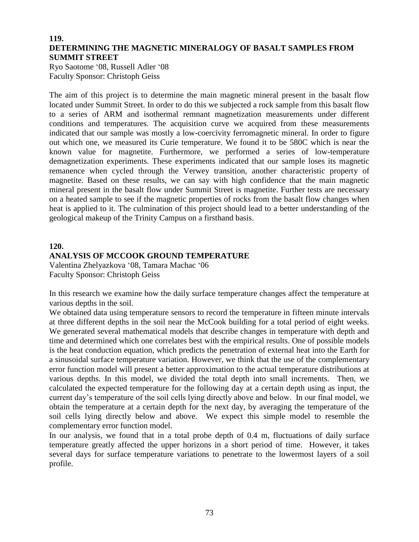#### **119. DETERMINING THE MAGNETIC MINERALOGY OF BASALT SAMPLES FROM SUMMIT STREET**

Ryo Saotome '08, Russell Adler '08 Faculty Sponsor: Christoph Geiss

The aim of this project is to determine the main magnetic mineral present in the basalt flow located under Summit Street. In order to do this we subjected a rock sample from this basalt flow to a series of ARM and isothermal remnant magnetization measurements under different conditions and temperatures. The acquisition curve we acquired from these measurements indicated that our sample was mostly a low-coercivity ferromagnetic mineral. In order to figure out which one, we measured its Curie temperature. We found it to be 580C which is near the known value for magnetite. Furthermore, we performed a series of low-temperature demagnetization experiments. These experiments indicated that our sample loses its magnetic remanence when cycled through the Verwey transition, another characteristic property of magnetite. Based on these results, we can say with high confidence that the main magnetic mineral present in the basalt flow under Summit Street is magnetite. Further tests are necessary on a heated sample to see if the magnetic properties of rocks from the basalt flow changes when heat is applied to it. The culmination of this project should lead to a better understanding of the geological makeup of the Trinity Campus on a firsthand basis.

#### **120.**

# **ANALYSIS OF MCCOOK GROUND TEMPERATURE**

Valentina Zhelyazkova '08, Tamara Machac '06 Faculty Sponsor: Christoph Geiss

In this research we examine how the daily surface temperature changes affect the temperature at various depths in the soil.

We obtained data using temperature sensors to record the temperature in fifteen minute intervals at three different depths in the soil near the McCook building for a total period of eight weeks. We generated several mathematical models that describe changes in temperature with depth and time and determined which one correlates best with the empirical results. One of possible models is the heat conduction equation, which predicts the penetration of external heat into the Earth for a sinusoidal surface temperature variation. However, we think that the use of the complementary error function model will present a better approximation to the actual temperature distributions at various depths. In this model, we divided the total depth into small increments. Then, we calculated the expected temperature for the following day at a certain depth using as input, the current day's temperature of the soil cells lying directly above and below. In our final model, we obtain the temperature at a certain depth for the next day, by averaging the temperature of the soil cells lying directly below and above. We expect this simple model to resemble the complementary error function model.

In our analysis, we found that in a total probe depth of 0.4 m, fluctuations of daily surface temperature greatly affected the upper horizons in a short period of time. However, it takes several days for surface temperature variations to penetrate to the lowermost layers of a soil profile.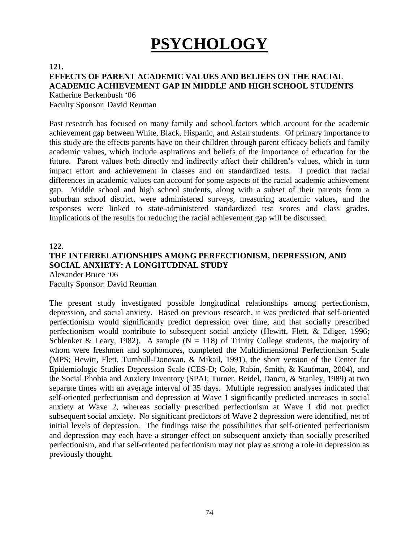# **PSYCHOLOGY**

#### **121.**

# **EFFECTS OF PARENT ACADEMIC VALUES AND BELIEFS ON THE RACIAL ACADEMIC ACHIEVEMENT GAP IN MIDDLE AND HIGH SCHOOL STUDENTS**

Katherine Berkenbush '06

Faculty Sponsor: David Reuman

Past research has focused on many family and school factors which account for the academic achievement gap between White, Black, Hispanic, and Asian students. Of primary importance to this study are the effects parents have on their children through parent efficacy beliefs and family academic values, which include aspirations and beliefs of the importance of education for the future. Parent values both directly and indirectly affect their children's values, which in turn impact effort and achievement in classes and on standardized tests. I predict that racial differences in academic values can account for some aspects of the racial academic achievement gap. Middle school and high school students, along with a subset of their parents from a suburban school district, were administered surveys, measuring academic values, and the responses were linked to state-administered standardized test scores and class grades. Implications of the results for reducing the racial achievement gap will be discussed.

#### **122.**

#### **THE INTERRELATIONSHIPS AMONG PERFECTIONISM, DEPRESSION, AND SOCIAL ANXIETY: A LONGITUDINAL STUDY** Alexander Bruce '06

Faculty Sponsor: David Reuman

The present study investigated possible longitudinal relationships among perfectionism, depression, and social anxiety. Based on previous research, it was predicted that self-oriented perfectionism would significantly predict depression over time, and that socially prescribed perfectionism would contribute to subsequent social anxiety (Hewitt, Flett, & Ediger, 1996; Schlenker & Leary, 1982). A sample ( $N = 118$ ) of Trinity College students, the majority of whom were freshmen and sophomores, completed the Multidimensional Perfectionism Scale (MPS; Hewitt, Flett, Turnbull-Donovan, & Mikail, 1991), the short version of the Center for Epidemiologic Studies Depression Scale (CES-D; Cole, Rabin, Smith, & Kaufman, 2004), and the Social Phobia and Anxiety Inventory (SPAI; Turner, Beidel, Dancu, & Stanley, 1989) at two separate times with an average interval of 35 days. Multiple regression analyses indicated that self-oriented perfectionism and depression at Wave 1 significantly predicted increases in social anxiety at Wave 2, whereas socially prescribed perfectionism at Wave 1 did not predict subsequent social anxiety. No significant predictors of Wave 2 depression were identified, net of initial levels of depression. The findings raise the possibilities that self-oriented perfectionism and depression may each have a stronger effect on subsequent anxiety than socially prescribed perfectionism, and that self-oriented perfectionism may not play as strong a role in depression as previously thought.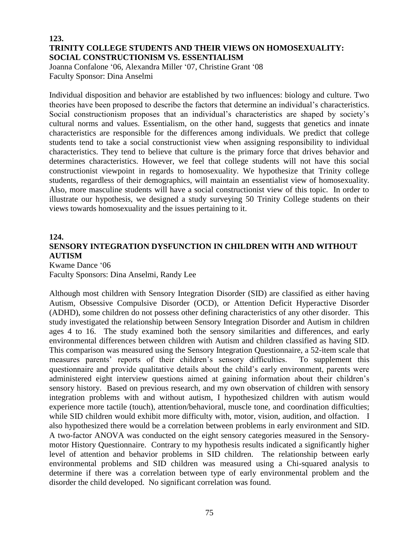## **123. TRINITY COLLEGE STUDENTS AND THEIR VIEWS ON HOMOSEXUALITY: SOCIAL CONSTRUCTIONISM VS. ESSENTIALISM**

Joanna Confalone '06, Alexandra Miller '07, Christine Grant '08 Faculty Sponsor: Dina Anselmi

Individual disposition and behavior are established by two influences: biology and culture. Two theories have been proposed to describe the factors that determine an individual's characteristics. Social constructionism proposes that an individual's characteristics are shaped by society's cultural norms and values. Essentialism, on the other hand, suggests that genetics and innate characteristics are responsible for the differences among individuals. We predict that college students tend to take a social constructionist view when assigning responsibility to individual characteristics. They tend to believe that culture is the primary force that drives behavior and determines characteristics. However, we feel that college students will not have this social constructionist viewpoint in regards to homosexuality. We hypothesize that Trinity college students, regardless of their demographics, will maintain an essentialist view of homosexuality. Also, more masculine students will have a social constructionist view of this topic. In order to illustrate our hypothesis, we designed a study surveying 50 Trinity College students on their views towards homosexuality and the issues pertaining to it.

#### **124.**

# **SENSORY INTEGRATION DYSFUNCTION IN CHILDREN WITH AND WITHOUT AUTISM**

Kwame Dance '06 Faculty Sponsors: Dina Anselmi, Randy Lee

Although most children with Sensory Integration Disorder (SID) are classified as either having Autism, Obsessive Compulsive Disorder (OCD), or Attention Deficit Hyperactive Disorder (ADHD), some children do not possess other defining characteristics of any other disorder. This study investigated the relationship between Sensory Integration Disorder and Autism in children ages 4 to 16. The study examined both the sensory similarities and differences, and early environmental differences between children with Autism and children classified as having SID. This comparison was measured using the Sensory Integration Questionnaire, a 52-item scale that measures parents' reports of their children's sensory difficulties. To supplement this questionnaire and provide qualitative details about the child's early environment, parents were administered eight interview questions aimed at gaining information about their children's sensory history. Based on previous research, and my own observation of children with sensory integration problems with and without autism, I hypothesized children with autism would experience more tactile (touch), attention/behavioral, muscle tone, and coordination difficulties; while SID children would exhibit more difficulty with, motor, vision, audition, and olfaction. I also hypothesized there would be a correlation between problems in early environment and SID. A two-factor ANOVA was conducted on the eight sensory categories measured in the Sensorymotor History Questionnaire. Contrary to my hypothesis results indicated a significantly higher level of attention and behavior problems in SID children. The relationship between early environmental problems and SID children was measured using a Chi-squared analysis to determine if there was a correlation between type of early environmental problem and the disorder the child developed. No significant correlation was found.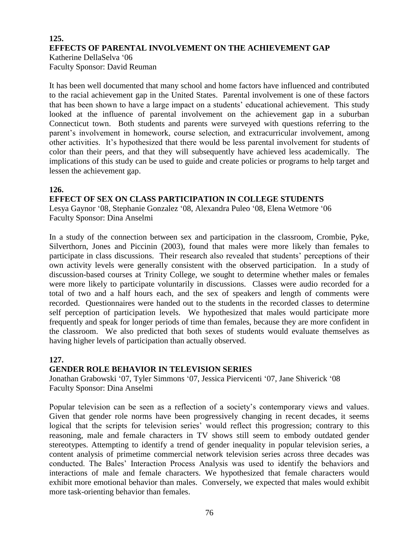# **125. EFFECTS OF PARENTAL INVOLVEMENT ON THE ACHIEVEMENT GAP** Katherine DellaSelva '06 Faculty Sponsor: David Reuman

It has been well documented that many school and home factors have influenced and contributed to the racial achievement gap in the United States. Parental involvement is one of these factors that has been shown to have a large impact on a students' educational achievement. This study looked at the influence of parental involvement on the achievement gap in a suburban Connecticut town. Both students and parents were surveyed with questions referring to the parent's involvement in homework, course selection, and extracurricular involvement, among other activities. It's hypothesized that there would be less parental involvement for students of color than their peers, and that they will subsequently have achieved less academically. The implications of this study can be used to guide and create policies or programs to help target and lessen the achievement gap.

# **126.**

# **EFFECT OF SEX ON CLASS PARTICIPATION IN COLLEGE STUDENTS**

Lesya Gaynor '08, Stephanie Gonzalez '08, Alexandra Puleo '08, Elena Wetmore '06 Faculty Sponsor: Dina Anselmi

In a study of the connection between sex and participation in the classroom, Crombie, Pyke, Silverthorn, Jones and Piccinin (2003), found that males were more likely than females to participate in class discussions. Their research also revealed that students' perceptions of their own activity levels were generally consistent with the observed participation. In a study of discussion-based courses at Trinity College, we sought to determine whether males or females were more likely to participate voluntarily in discussions. Classes were audio recorded for a total of two and a half hours each, and the sex of speakers and length of comments were recorded. Questionnaires were handed out to the students in the recorded classes to determine self perception of participation levels. We hypothesized that males would participate more frequently and speak for longer periods of time than females, because they are more confident in the classroom. We also predicted that both sexes of students would evaluate themselves as having higher levels of participation than actually observed.

# **127.**

#### **GENDER ROLE BEHAVIOR IN TELEVISION SERIES**

Jonathan Grabowski '07, Tyler Simmons '07, Jessica Piervicenti '07, Jane Shiverick '08 Faculty Sponsor: Dina Anselmi

Popular television can be seen as a reflection of a society's contemporary views and values. Given that gender role norms have been progressively changing in recent decades, it seems logical that the scripts for television series' would reflect this progression; contrary to this reasoning, male and female characters in TV shows still seem to embody outdated gender stereotypes. Attempting to identify a trend of gender inequality in popular television series, a content analysis of primetime commercial network television series across three decades was conducted. The Bales' Interaction Process Analysis was used to identify the behaviors and interactions of male and female characters. We hypothesized that female characters would exhibit more emotional behavior than males. Conversely, we expected that males would exhibit more task-orienting behavior than females.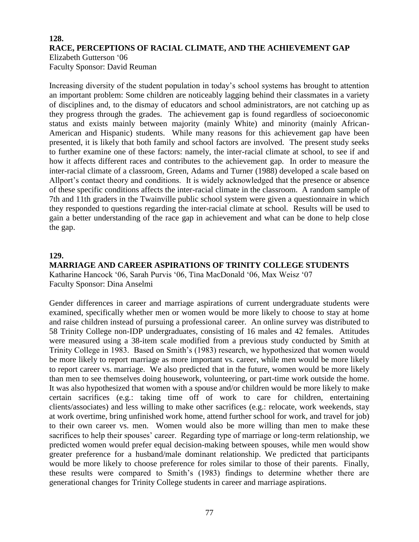# **128. RACE, PERCEPTIONS OF RACIAL CLIMATE, AND THE ACHIEVEMENT GAP** Elizabeth Gutterson '06 Faculty Sponsor: David Reuman

Increasing diversity of the student population in today's school systems has brought to attention an important problem: Some children are noticeably lagging behind their classmates in a variety of disciplines and, to the dismay of educators and school administrators, are not catching up as they progress through the grades. The achievement gap is found regardless of socioeconomic status and exists mainly between majority (mainly White) and minority (mainly African-American and Hispanic) students. While many reasons for this achievement gap have been presented, it is likely that both family and school factors are involved. The present study seeks to further examine one of these factors: namely, the inter-racial climate at school, to see if and how it affects different races and contributes to the achievement gap. In order to measure the inter-racial climate of a classroom, Green, Adams and Turner (1988) developed a scale based on Allport's contact theory and conditions. It is widely acknowledged that the presence or absence of these specific conditions affects the inter-racial climate in the classroom. A random sample of 7th and 11th graders in the Twainville public school system were given a questionnaire in which they responded to questions regarding the inter-racial climate at school. Results will be used to gain a better understanding of the race gap in achievement and what can be done to help close the gap.

#### **129.**

#### **MARRIAGE AND CAREER ASPIRATIONS OF TRINITY COLLEGE STUDENTS** Katharine Hancock '06, Sarah Purvis '06, Tina MacDonald '06, Max Weisz '07 Faculty Sponsor: Dina Anselmi

Gender differences in career and marriage aspirations of current undergraduate students were examined, specifically whether men or women would be more likely to choose to stay at home and raise children instead of pursuing a professional career. An online survey was distributed to 58 Trinity College non-IDP undergraduates, consisting of 16 males and 42 females. Attitudes were measured using a 38-item scale modified from a previous study conducted by Smith at Trinity College in 1983. Based on Smith's (1983) research, we hypothesized that women would be more likely to report marriage as more important vs. career, while men would be more likely to report career vs. marriage. We also predicted that in the future, women would be more likely than men to see themselves doing housework, volunteering, or part-time work outside the home. It was also hypothesized that women with a spouse and/or children would be more likely to make certain sacrifices (e.g.: taking time off of work to care for children, entertaining clients/associates) and less willing to make other sacrifices (e.g.: relocate, work weekends, stay at work overtime, bring unfinished work home, attend further school for work, and travel for job) to their own career vs. men. Women would also be more willing than men to make these sacrifices to help their spouses' career. Regarding type of marriage or long-term relationship, we predicted women would prefer equal decision-making between spouses, while men would show greater preference for a husband/male dominant relationship. We predicted that participants would be more likely to choose preference for roles similar to those of their parents. Finally, these results were compared to Smith's (1983) findings to determine whether there are generational changes for Trinity College students in career and marriage aspirations.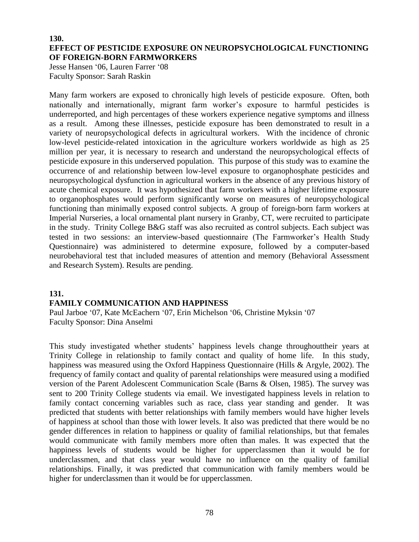### **130. EFFECT OF PESTICIDE EXPOSURE ON NEUROPSYCHOLOGICAL FUNCTIONING OF FOREIGN-BORN FARMWORKERS**

Jesse Hansen '06, Lauren Farrer '08 Faculty Sponsor: Sarah Raskin

Many farm workers are exposed to chronically high levels of pesticide exposure. Often, both nationally and internationally, migrant farm worker's exposure to harmful pesticides is underreported, and high percentages of these workers experience negative symptoms and illness as a result. Among these illnesses, pesticide exposure has been demonstrated to result in a variety of neuropsychological defects in agricultural workers. With the incidence of chronic low-level pesticide-related intoxication in the agriculture workers worldwide as high as 25 million per year, it is necessary to research and understand the neuropsychological effects of pesticide exposure in this underserved population. This purpose of this study was to examine the occurrence of and relationship between low-level exposure to organophosphate pesticides and neuropsychological dysfunction in agricultural workers in the absence of any previous history of acute chemical exposure. It was hypothesized that farm workers with a higher lifetime exposure to organophosphates would perform significantly worse on measures of neuropsychological functioning than minimally exposed control subjects. A group of foreign-born farm workers at Imperial Nurseries, a local ornamental plant nursery in Granby, CT, were recruited to participate in the study. Trinity College B&G staff was also recruited as control subjects. Each subject was tested in two sessions: an interview-based questionnaire (The Farmworker's Health Study Questionnaire) was administered to determine exposure, followed by a computer-based neurobehavioral test that included measures of attention and memory (Behavioral Assessment and Research System). Results are pending.

# **131.**

# **FAMILY COMMUNICATION AND HAPPINESS**

Paul Jarboe '07, Kate McEachern '07, Erin Michelson '06, Christine Myksin '07 Faculty Sponsor: Dina Anselmi

This study investigated whether students' happiness levels change throughouttheir years at Trinity College in relationship to family contact and quality of home life. In this study, happiness was measured using the Oxford Happiness Questionnaire (Hills & Argyle, 2002). The frequency of family contact and quality of parental relationships were measured using a modified version of the Parent Adolescent Communication Scale (Barns & Olsen, 1985). The survey was sent to 200 Trinity College students via email. We investigated happiness levels in relation to family contact concerning variables such as race, class year standing and gender. It was predicted that students with better relationships with family members would have higher levels of happiness at school than those with lower levels. It also was predicted that there would be no gender differences in relation to happiness or quality of familial relationships, but that females would communicate with family members more often than males. It was expected that the happiness levels of students would be higher for upperclassmen than it would be for underclassmen, and that class year would have no influence on the quality of familial relationships. Finally, it was predicted that communication with family members would be higher for underclassmen than it would be for upperclassmen.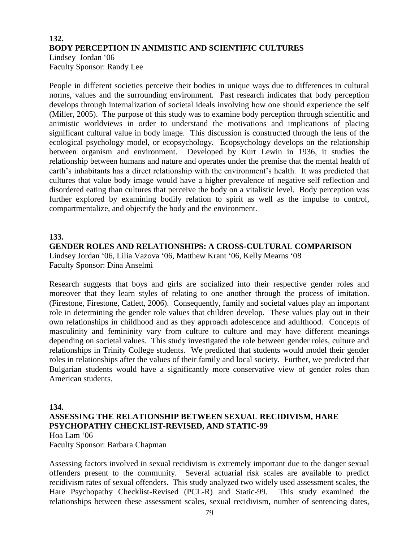# **132. BODY PERCEPTION IN ANIMISTIC AND SCIENTIFIC CULTURES** Lindsey Jordan '06

Faculty Sponsor: Randy Lee

People in different societies perceive their bodies in unique ways due to differences in cultural norms, values and the surrounding environment. Past research indicates that body perception develops through internalization of societal ideals involving how one should experience the self (Miller, 2005). The purpose of this study was to examine body perception through scientific and animistic worldviews in order to understand the motivations and implications of placing significant cultural value in body image. This discussion is constructed through the lens of the ecological psychology model, or ecopsychology. Ecopsychology develops on the relationship between organism and environment. Developed by Kurt Lewin in 1936, it studies the relationship between humans and nature and operates under the premise that the mental health of earth's inhabitants has a direct relationship with the environment's health. It was predicted that cultures that value body image would have a higher prevalence of negative self reflection and disordered eating than cultures that perceive the body on a vitalistic level. Body perception was further explored by examining bodily relation to spirit as well as the impulse to control, compartmentalize, and objectify the body and the environment.

# **133.**

**GENDER ROLES AND RELATIONSHIPS: A CROSS-CULTURAL COMPARISON** Lindsey Jordan '06, Lilia Vazova '06, Matthew Krant '06, Kelly Mearns '08 Faculty Sponsor: Dina Anselmi

Research suggests that boys and girls are socialized into their respective gender roles and moreover that they learn styles of relating to one another through the process of imitation. (Firestone, Firestone, Catlett, 2006). Consequently, family and societal values play an important role in determining the gender role values that children develop. These values play out in their own relationships in childhood and as they approach adolescence and adulthood. Concepts of masculinity and femininity vary from culture to culture and may have different meanings depending on societal values. This study investigated the role between gender roles, culture and relationships in Trinity College students. We predicted that students would model their gender roles in relationships after the values of their family and local society. Further, we predicted that Bulgarian students would have a significantly more conservative view of gender roles than American students.

#### **134.**

# **ASSESSING THE RELATIONSHIP BETWEEN SEXUAL RECIDIVISM, HARE PSYCHOPATHY CHECKLIST-REVISED, AND STATIC-99** Hoa Lam '06

Faculty Sponsor: Barbara Chapman

Assessing factors involved in sexual recidivism is extremely important due to the danger sexual offenders present to the community. Several actuarial risk scales are available to predict recidivism rates of sexual offenders. This study analyzed two widely used assessment scales, the Hare Psychopathy Checklist-Revised (PCL-R) and Static-99. This study examined the relationships between these assessment scales, sexual recidivism, number of sentencing dates,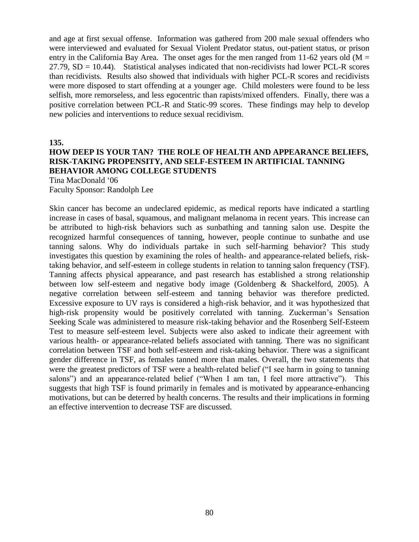and age at first sexual offense. Information was gathered from 200 male sexual offenders who were interviewed and evaluated for Sexual Violent Predator status, out-patient status, or prison entry in the California Bay Area. The onset ages for the men ranged from 11-62 years old ( $M =$  $27.79$ ,  $SD = 10.44$ ). Statistical analyses indicated that non-recidivists had lower PCL-R scores than recidivists. Results also showed that individuals with higher PCL-R scores and recidivists were more disposed to start offending at a younger age. Child molesters were found to be less selfish, more remorseless, and less egocentric than rapists/mixed offenders. Finally, there was a positive correlation between PCL-R and Static-99 scores. These findings may help to develop new policies and interventions to reduce sexual recidivism.

**135.**

# **HOW DEEP IS YOUR TAN? THE ROLE OF HEALTH AND APPEARANCE BELIEFS, RISK-TAKING PROPENSITY, AND SELF-ESTEEM IN ARTIFICIAL TANNING BEHAVIOR AMONG COLLEGE STUDENTS**

Tina MacDonald '06

Faculty Sponsor: Randolph Lee

Skin cancer has become an undeclared epidemic, as medical reports have indicated a startling increase in cases of basal, squamous, and malignant melanoma in recent years. This increase can be attributed to high-risk behaviors such as sunbathing and tanning salon use. Despite the recognized harmful consequences of tanning, however, people continue to sunbathe and use tanning salons. Why do individuals partake in such self-harming behavior? This study investigates this question by examining the roles of health- and appearance-related beliefs, risktaking behavior, and self-esteem in college students in relation to tanning salon frequency (TSF). Tanning affects physical appearance, and past research has established a strong relationship between low self-esteem and negative body image (Goldenberg & Shackelford, 2005). A negative correlation between self-esteem and tanning behavior was therefore predicted. Excessive exposure to UV rays is considered a high-risk behavior, and it was hypothesized that high-risk propensity would be positively correlated with tanning. Zuckerman's Sensation Seeking Scale was administered to measure risk-taking behavior and the Rosenberg Self-Esteem Test to measure self-esteem level. Subjects were also asked to indicate their agreement with various health- or appearance-related beliefs associated with tanning. There was no significant correlation between TSF and both self-esteem and risk-taking behavior. There was a significant gender difference in TSF, as females tanned more than males. Overall, the two statements that were the greatest predictors of TSF were a health-related belief ("I see harm in going to tanning salons") and an appearance-related belief ("When I am tan, I feel more attractive"). This suggests that high TSF is found primarily in females and is motivated by appearance-enhancing motivations, but can be deterred by health concerns. The results and their implications in forming an effective intervention to decrease TSF are discussed.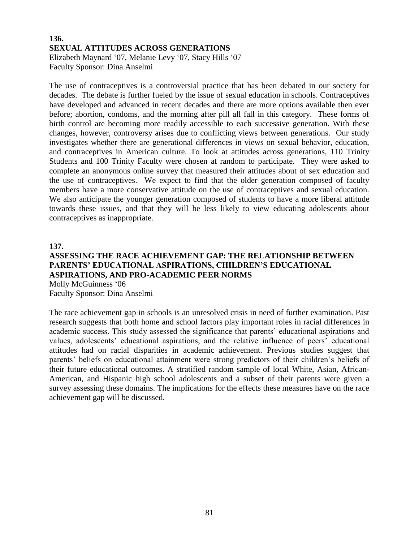# **136. SEXUAL ATTITUDES ACROSS GENERATIONS** Elizabeth Maynard '07, Melanie Levy '07, Stacy Hills '07 Faculty Sponsor: Dina Anselmi

The use of contraceptives is a controversial practice that has been debated in our society for decades. The debate is further fueled by the issue of sexual education in schools. Contraceptives have developed and advanced in recent decades and there are more options available then ever before; abortion, condoms, and the morning after pill all fall in this category. These forms of birth control are becoming more readily accessible to each successive generation. With these changes, however, controversy arises due to conflicting views between generations. Our study investigates whether there are generational differences in views on sexual behavior, education, and contraceptives in American culture. To look at attitudes across generations, 110 Trinity Students and 100 Trinity Faculty were chosen at random to participate. They were asked to complete an anonymous online survey that measured their attitudes about of sex education and the use of contraceptives. We expect to find that the older generation composed of faculty members have a more conservative attitude on the use of contraceptives and sexual education. We also anticipate the younger generation composed of students to have a more liberal attitude towards these issues, and that they will be less likely to view educating adolescents about contraceptives as inappropriate.

#### **137.**

# **ASSESSING THE RACE ACHIEVEMENT GAP: THE RELATIONSHIP BETWEEN PARENTS' EDUCATIONAL ASPIRATIONS, CHILDREN'S EDUCATIONAL ASPIRATIONS, AND PRO-ACADEMIC PEER NORMS** Molly McGuinness '06

Faculty Sponsor: Dina Anselmi

The race achievement gap in schools is an unresolved crisis in need of further examination. Past research suggests that both home and school factors play important roles in racial differences in academic success. This study assessed the significance that parents' educational aspirations and values, adolescents' educational aspirations, and the relative influence of peers' educational attitudes had on racial disparities in academic achievement. Previous studies suggest that parents' beliefs on educational attainment were strong predictors of their children's beliefs of their future educational outcomes. A stratified random sample of local White, Asian, African-American, and Hispanic high school adolescents and a subset of their parents were given a survey assessing these domains. The implications for the effects these measures have on the race achievement gap will be discussed.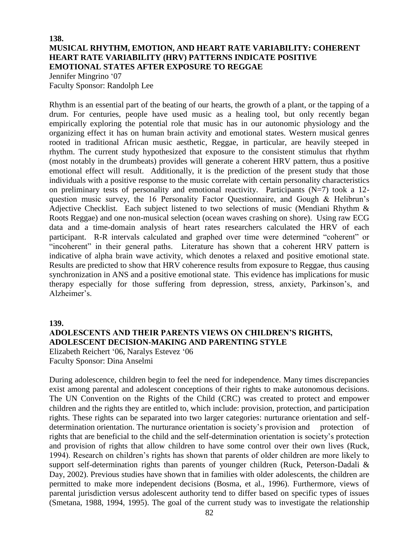#### **138. MUSICAL RHYTHM, EMOTION, AND HEART RATE VARIABILITY: COHERENT HEART RATE VARIABILITY (HRV) PATTERNS INDICATE POSITIVE EMOTIONAL STATES AFTER EXPOSURE TO REGGAE** Jennifer Mingrino '07

Faculty Sponsor: Randolph Lee

Rhythm is an essential part of the beating of our hearts, the growth of a plant, or the tapping of a drum. For centuries, people have used music as a healing tool, but only recently began empirically exploring the potential role that music has in our autonomic physiology and the organizing effect it has on human brain activity and emotional states. Western musical genres rooted in traditional African music aesthetic, Reggae, in particular, are heavily steeped in rhythm. The current study hypothesized that exposure to the consistent stimulus that rhythm (most notably in the drumbeats) provides will generate a coherent HRV pattern, thus a positive emotional effect will result. Additionally, it is the prediction of the present study that those individuals with a positive response to the music correlate with certain personality characteristics on preliminary tests of personality and emotional reactivity. Participants  $(N=7)$  took a 12question music survey, the 16 Personality Factor Questionnaire, and Gough & Helibrun's Adjective Checklist. Each subject listened to two selections of music (Mendiani Rhythm & Roots Reggae) and one non-musical selection (ocean waves crashing on shore). Using raw ECG data and a time-domain analysis of heart rates researchers calculated the HRV of each participant. R-R intervals calculated and graphed over time were determined "coherent" or "incoherent" in their general paths. Literature has shown that a coherent HRV pattern is indicative of alpha brain wave activity, which denotes a relaxed and positive emotional state. Results are predicted to show that HRV coherence results from exposure to Reggae, thus causing synchronization in ANS and a positive emotional state. This evidence has implications for music therapy especially for those suffering from depression, stress, anxiety, Parkinson's, and Alzheimer's.

**139.**

#### **ADOLESCENTS AND THEIR PARENTS VIEWS ON CHILDREN'S RIGHTS, ADOLESCENT DECISION-MAKING AND PARENTING STYLE**

Elizabeth Reichert '06, Naralys Estevez '06 Faculty Sponsor: Dina Anselmi

During adolescence, children begin to feel the need for independence. Many times discrepancies exist among parental and adolescent conceptions of their rights to make autonomous decisions. The UN Convention on the Rights of the Child (CRC) was created to protect and empower children and the rights they are entitled to, which include: provision, protection, and participation rights. These rights can be separated into two larger categories: nurturance orientation and selfdetermination orientation. The nurturance orientation is society's provision and protection of rights that are beneficial to the child and the self-determination orientation is society's protection and provision of rights that allow children to have some control over their own lives (Ruck, 1994). Research on children's rights has shown that parents of older children are more likely to support self-determination rights than parents of younger children (Ruck, Peterson-Dadali & Day, 2002). Previous studies have shown that in families with older adolescents, the children are permitted to make more independent decisions (Bosma, et al., 1996). Furthermore, views of parental jurisdiction versus adolescent authority tend to differ based on specific types of issues (Smetana, 1988, 1994, 1995). The goal of the current study was to investigate the relationship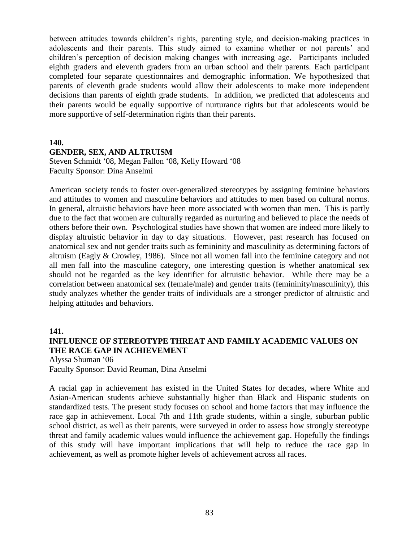between attitudes towards children's rights, parenting style, and decision-making practices in adolescents and their parents. This study aimed to examine whether or not parents' and children's perception of decision making changes with increasing age. Participants included eighth graders and eleventh graders from an urban school and their parents. Each participant completed four separate questionnaires and demographic information. We hypothesized that parents of eleventh grade students would allow their adolescents to make more independent decisions than parents of eighth grade students. In addition, we predicted that adolescents and their parents would be equally supportive of nurturance rights but that adolescents would be more supportive of self-determination rights than their parents.

#### **140.**

#### **GENDER, SEX, AND ALTRUISM**

Steven Schmidt '08, Megan Fallon '08, Kelly Howard '08 Faculty Sponsor: Dina Anselmi

American society tends to foster over-generalized stereotypes by assigning feminine behaviors and attitudes to women and masculine behaviors and attitudes to men based on cultural norms. In general, altruistic behaviors have been more associated with women than men. This is partly due to the fact that women are culturally regarded as nurturing and believed to place the needs of others before their own. Psychological studies have shown that women are indeed more likely to display altruistic behavior in day to day situations. However, past research has focused on anatomical sex and not gender traits such as femininity and masculinity as determining factors of altruism (Eagly & Crowley, 1986). Since not all women fall into the feminine category and not all men fall into the masculine category, one interesting question is whether anatomical sex should not be regarded as the key identifier for altruistic behavior. While there may be a correlation between anatomical sex (female/male) and gender traits (femininity/masculinity), this study analyzes whether the gender traits of individuals are a stronger predictor of altruistic and helping attitudes and behaviors.

# **141. INFLUENCE OF STEREOTYPE THREAT AND FAMILY ACADEMIC VALUES ON THE RACE GAP IN ACHIEVEMENT**

Alyssa Shuman '06 Faculty Sponsor: David Reuman, Dina Anselmi

A racial gap in achievement has existed in the United States for decades, where White and Asian-American students achieve substantially higher than Black and Hispanic students on standardized tests. The present study focuses on school and home factors that may influence the race gap in achievement. Local 7th and 11th grade students, within a single, suburban public school district, as well as their parents, were surveyed in order to assess how strongly stereotype threat and family academic values would influence the achievement gap. Hopefully the findings of this study will have important implications that will help to reduce the race gap in achievement, as well as promote higher levels of achievement across all races.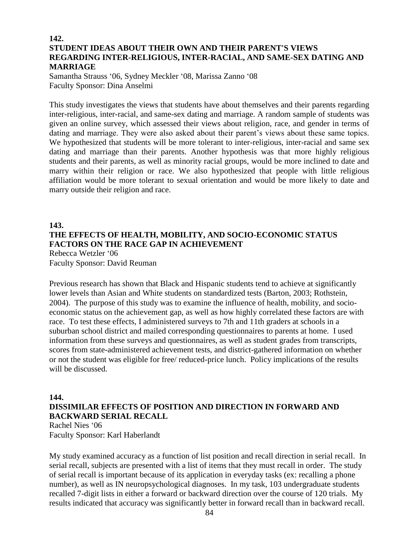# **142. STUDENT IDEAS ABOUT THEIR OWN AND THEIR PARENT'S VIEWS REGARDING INTER-RELIGIOUS, INTER-RACIAL, AND SAME-SEX DATING AND MARRIAGE**

Samantha Strauss '06, Sydney Meckler '08, Marissa Zanno '08 Faculty Sponsor: Dina Anselmi

This study investigates the views that students have about themselves and their parents regarding inter-religious, inter-racial, and same-sex dating and marriage. A random sample of students was given an online survey, which assessed their views about religion, race, and gender in terms of dating and marriage. They were also asked about their parent's views about these same topics. We hypothesized that students will be more tolerant to inter-religious, inter-racial and same sex dating and marriage than their parents. Another hypothesis was that more highly religious students and their parents, as well as minority racial groups, would be more inclined to date and marry within their religion or race. We also hypothesized that people with little religious affiliation would be more tolerant to sexual orientation and would be more likely to date and marry outside their religion and race.

# **143.**

# **THE EFFECTS OF HEALTH, MOBILITY, AND SOCIO-ECONOMIC STATUS FACTORS ON THE RACE GAP IN ACHIEVEMENT** Rebecca Wetzler '06

Faculty Sponsor: David Reuman

Previous research has shown that Black and Hispanic students tend to achieve at significantly lower levels than Asian and White students on standardized tests (Barton, 2003; Rothstein, 2004). The purpose of this study was to examine the influence of health, mobility, and socioeconomic status on the achievement gap, as well as how highly correlated these factors are with race. To test these effects, I administered surveys to 7th and 11th graders at schools in a suburban school district and mailed corresponding questionnaires to parents at home. I used information from these surveys and questionnaires, as well as student grades from transcripts, scores from state-administered achievement tests, and district-gathered information on whether or not the student was eligible for free/ reduced-price lunch. Policy implications of the results will be discussed.

#### **144.**

# **DISSIMILAR EFFECTS OF POSITION AND DIRECTION IN FORWARD AND BACKWARD SERIAL RECALL**

Rachel Nies '06 Faculty Sponsor: Karl Haberlandt

My study examined accuracy as a function of list position and recall direction in serial recall. In serial recall, subjects are presented with a list of items that they must recall in order. The study of serial recall is important because of its application in everyday tasks (ex: recalling a phone number), as well as IN neuropsychological diagnoses. In my task, 103 undergraduate students recalled 7-digit lists in either a forward or backward direction over the course of 120 trials. My results indicated that accuracy was significantly better in forward recall than in backward recall.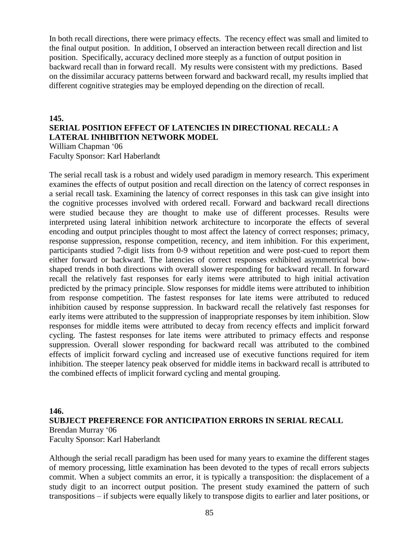In both recall directions, there were primacy effects. The recency effect was small and limited to the final output position. In addition, I observed an interaction between recall direction and list position. Specifically, accuracy declined more steeply as a function of output position in backward recall than in forward recall. My results were consistent with my predictions. Based on the dissimilar accuracy patterns between forward and backward recall, my results implied that different cognitive strategies may be employed depending on the direction of recall.

# **145. SERIAL POSITION EFFECT OF LATENCIES IN DIRECTIONAL RECALL: A LATERAL INHIBITION NETWORK MODEL**

William Chapman '06 Faculty Sponsor: Karl Haberlandt

The serial recall task is a robust and widely used paradigm in memory research. This experiment examines the effects of output position and recall direction on the latency of correct responses in a serial recall task. Examining the latency of correct responses in this task can give insight into the cognitive processes involved with ordered recall. Forward and backward recall directions were studied because they are thought to make use of different processes. Results were interpreted using lateral inhibition network architecture to incorporate the effects of several encoding and output principles thought to most affect the latency of correct responses; primacy, response suppression, response competition, recency, and item inhibition. For this experiment, participants studied 7-digit lists from 0-9 without repetition and were post-cued to report them either forward or backward. The latencies of correct responses exhibited asymmetrical bowshaped trends in both directions with overall slower responding for backward recall. In forward recall the relatively fast responses for early items were attributed to high initial activation predicted by the primacy principle. Slow responses for middle items were attributed to inhibition from response competition. The fastest responses for late items were attributed to reduced inhibition caused by response suppression. In backward recall the relatively fast responses for early items were attributed to the suppression of inappropriate responses by item inhibition. Slow responses for middle items were attributed to decay from recency effects and implicit forward cycling. The fastest responses for late items were attributed to primacy effects and response suppression. Overall slower responding for backward recall was attributed to the combined effects of implicit forward cycling and increased use of executive functions required for item inhibition. The steeper latency peak observed for middle items in backward recall is attributed to the combined effects of implicit forward cycling and mental grouping.

#### **146.**

### **SUBJECT PREFERENCE FOR ANTICIPATION ERRORS IN SERIAL RECALL** Brendan Murray '06 Faculty Sponsor: Karl Haberlandt

Although the serial recall paradigm has been used for many years to examine the different stages of memory processing, little examination has been devoted to the types of recall errors subjects commit. When a subject commits an error, it is typically a transposition: the displacement of a study digit to an incorrect output position. The present study examined the pattern of such transpositions – if subjects were equally likely to transpose digits to earlier and later positions, or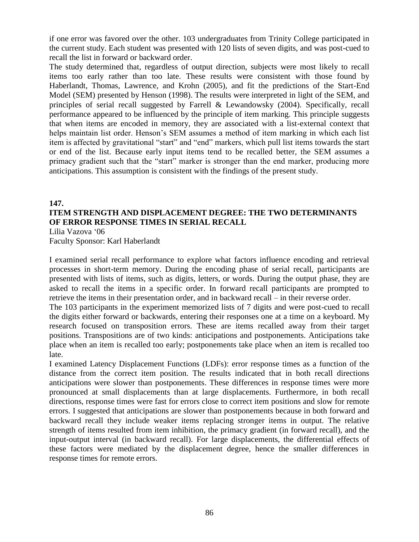if one error was favored over the other. 103 undergraduates from Trinity College participated in the current study. Each student was presented with 120 lists of seven digits, and was post-cued to recall the list in forward or backward order.

The study determined that, regardless of output direction, subjects were most likely to recall items too early rather than too late. These results were consistent with those found by Haberlandt, Thomas, Lawrence, and Krohn (2005), and fit the predictions of the Start-End Model (SEM) presented by Henson (1998). The results were interpreted in light of the SEM, and principles of serial recall suggested by Farrell & Lewandowsky (2004). Specifically, recall performance appeared to be influenced by the principle of item marking. This principle suggests that when items are encoded in memory, they are associated with a list-external context that helps maintain list order. Henson's SEM assumes a method of item marking in which each list item is affected by gravitational "start" and "end" markers, which pull list items towards the start or end of the list. Because early input items tend to be recalled better, the SEM assumes a primacy gradient such that the "start" marker is stronger than the end marker, producing more anticipations. This assumption is consistent with the findings of the present study.

# **147. ITEM STRENGTH AND DISPLACEMENT DEGREE: THE TWO DETERMINANTS OF ERROR RESPONSE TIMES IN SERIAL RECALL**

Lilia Vazova '06

Faculty Sponsor: Karl Haberlandt

I examined serial recall performance to explore what factors influence encoding and retrieval processes in short-term memory. During the encoding phase of serial recall, participants are presented with lists of items, such as digits, letters, or words. During the output phase, they are asked to recall the items in a specific order. In forward recall participants are prompted to retrieve the items in their presentation order, and in backward recall – in their reverse order.

The 103 participants in the experiment memorized lists of 7 digits and were post-cued to recall the digits either forward or backwards, entering their responses one at a time on a keyboard. My research focused on transposition errors. These are items recalled away from their target positions. Transpositions are of two kinds: anticipations and postponements. Anticipations take place when an item is recalled too early; postponements take place when an item is recalled too late.

I examined Latency Displacement Functions (LDFs): error response times as a function of the distance from the correct item position. The results indicated that in both recall directions anticipations were slower than postponements. These differences in response times were more pronounced at small displacements than at large displacements. Furthermore, in both recall directions, response times were fast for errors close to correct item positions and slow for remote errors. I suggested that anticipations are slower than postponements because in both forward and backward recall they include weaker items replacing stronger items in output. The relative strength of items resulted from item inhibition, the primacy gradient (in forward recall), and the input-output interval (in backward recall). For large displacements, the differential effects of these factors were mediated by the displacement degree, hence the smaller differences in response times for remote errors.